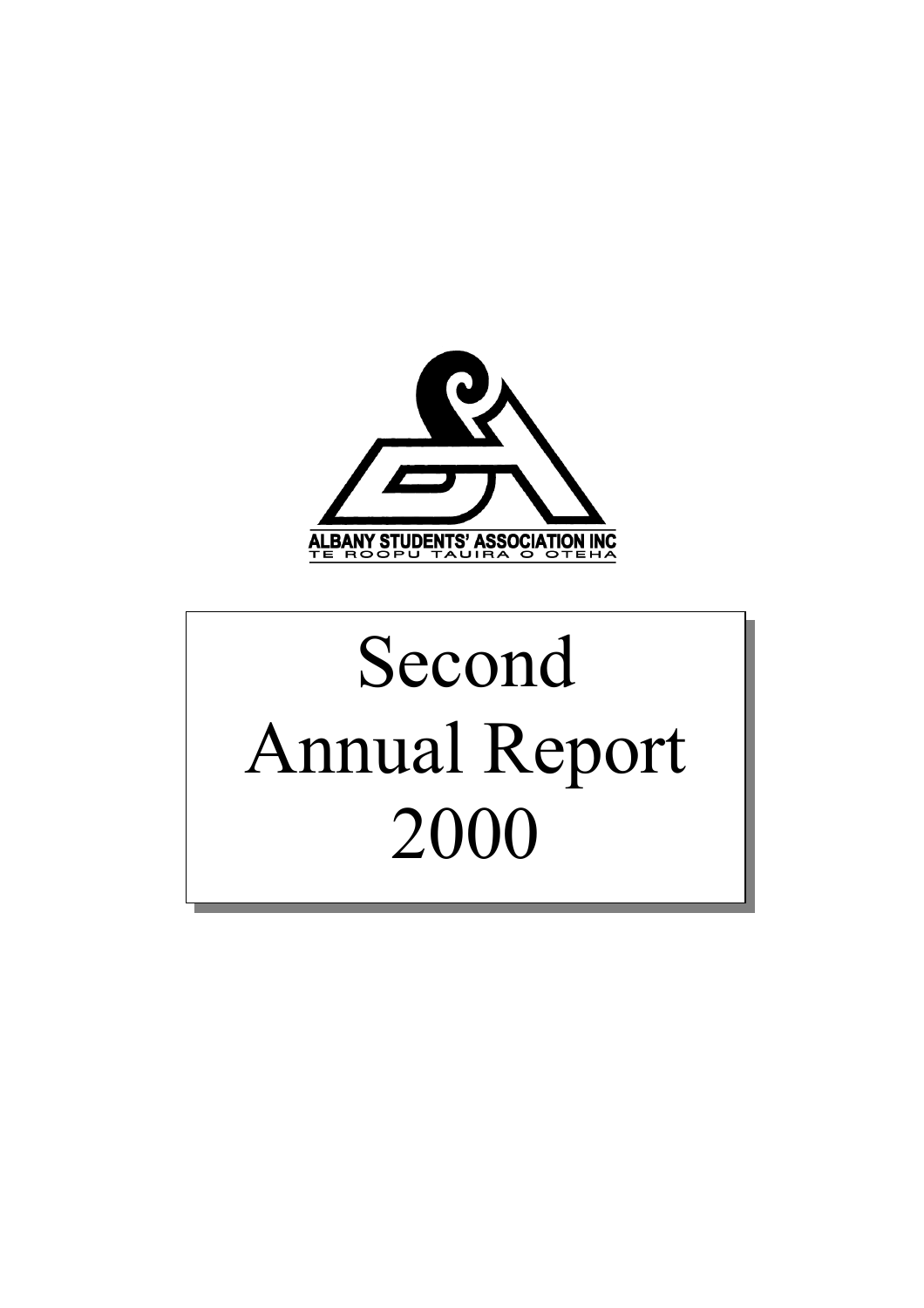

# Second Annual Report 2000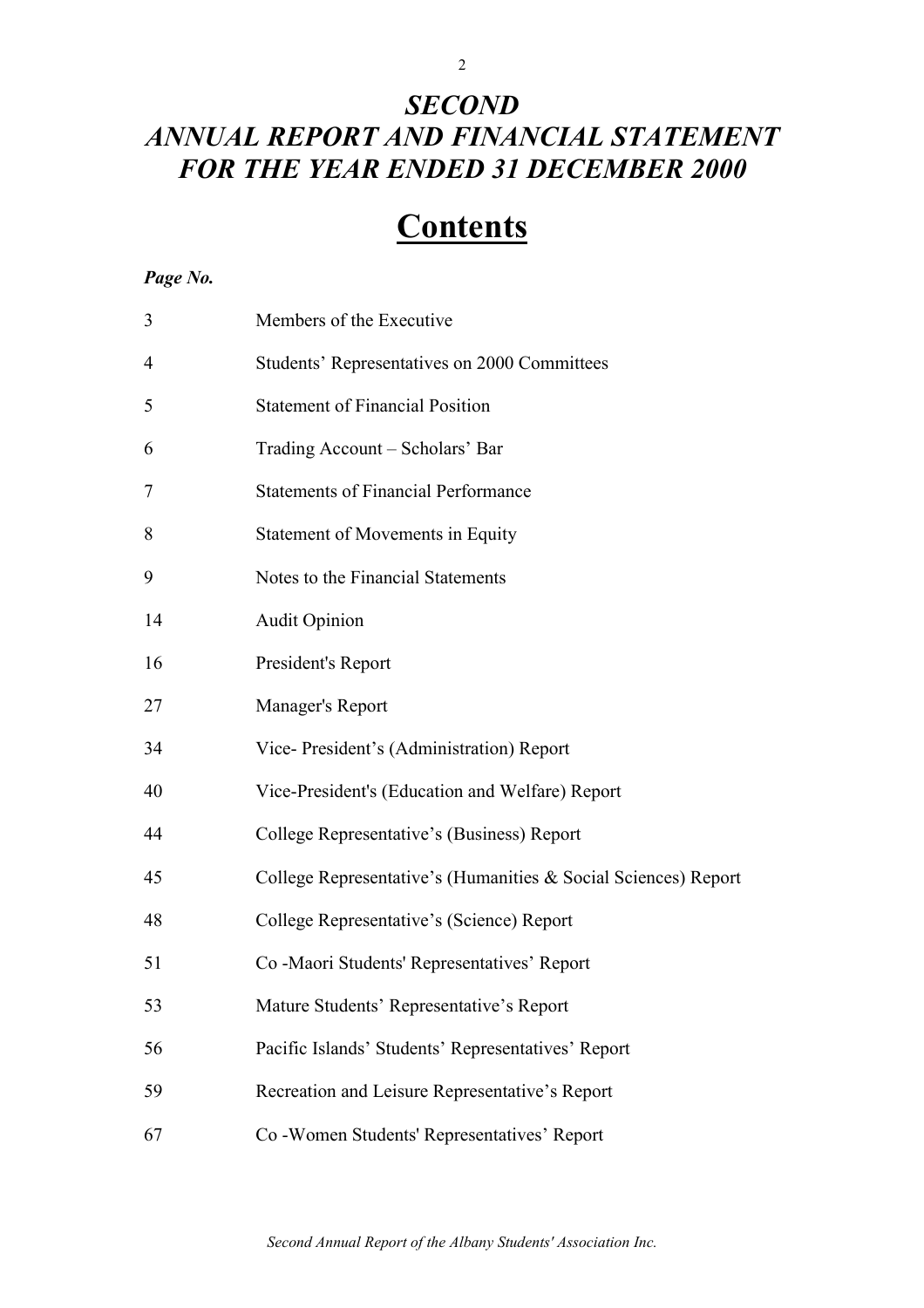# 2

## *SECOND ANNUAL REPORT AND FINANCIAL STATEMENT FOR THE YEAR ENDED 31 DECEMBER 2000*

# **Contents**

#### *Page No.*

| 3  | Members of the Executive                                       |
|----|----------------------------------------------------------------|
| 4  | Students' Representatives on 2000 Committees                   |
| 5  | <b>Statement of Financial Position</b>                         |
| 6  | Trading Account – Scholars' Bar                                |
| 7  | <b>Statements of Financial Performance</b>                     |
| 8  | Statement of Movements in Equity                               |
| 9  | Notes to the Financial Statements                              |
| 14 | <b>Audit Opinion</b>                                           |
| 16 | President's Report                                             |
| 27 | Manager's Report                                               |
| 34 | Vice-President's (Administration) Report                       |
| 40 | Vice-President's (Education and Welfare) Report                |
| 44 | College Representative's (Business) Report                     |
| 45 | College Representative's (Humanities & Social Sciences) Report |
| 48 | College Representative's (Science) Report                      |
| 51 | Co - Maori Students' Representatives' Report                   |
| 53 | Mature Students' Representative's Report                       |
| 56 | Pacific Islands' Students' Representatives' Report             |
| 59 | Recreation and Leisure Representative's Report                 |
| 67 | Co - Women Students' Representatives' Report                   |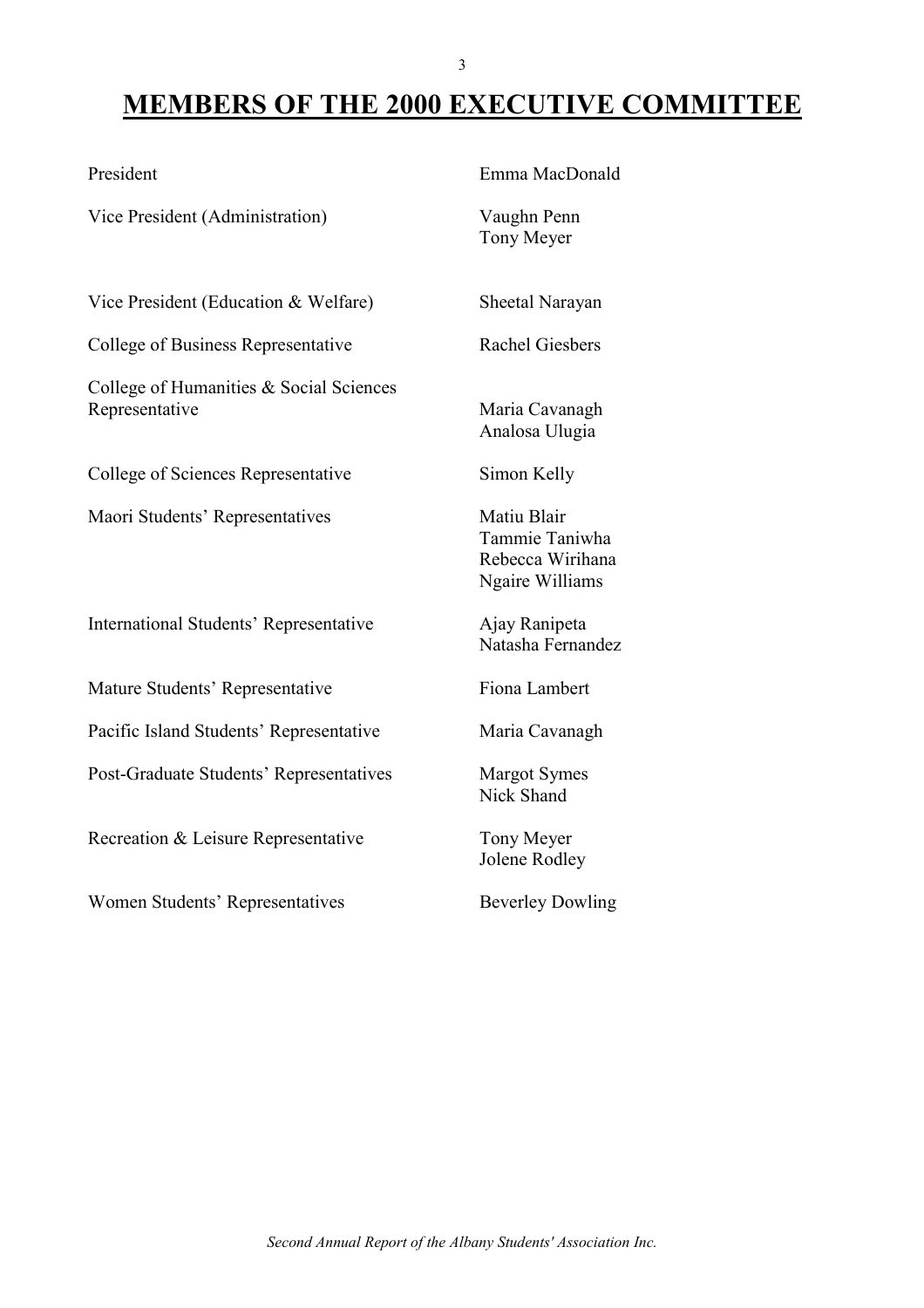## **MEMBERS OF THE 2000 EXECUTIVE COMMITTEE**

| President                                                 | Emma MacDonald                                                              |
|-----------------------------------------------------------|-----------------------------------------------------------------------------|
| Vice President (Administration)                           | Vaughn Penn<br>Tony Meyer                                                   |
| Vice President (Education & Welfare)                      | Sheetal Narayan                                                             |
| College of Business Representative                        | <b>Rachel Giesbers</b>                                                      |
| College of Humanities & Social Sciences<br>Representative | Maria Cavanagh<br>Analosa Ulugia                                            |
| College of Sciences Representative                        | Simon Kelly                                                                 |
| Maori Students' Representatives                           | Matiu Blair<br>Tammie Taniwha<br>Rebecca Wirihana<br><b>Ngaire Williams</b> |
| International Students' Representative                    | Ajay Ranipeta<br>Natasha Fernandez                                          |
| Mature Students' Representative                           | Fiona Lambert                                                               |
| Pacific Island Students' Representative                   | Maria Cavanagh                                                              |
| Post-Graduate Students' Representatives                   | <b>Margot Symes</b><br>Nick Shand                                           |
| Recreation & Leisure Representative                       | Tony Meyer<br>Jolene Rodley                                                 |
| Women Students' Representatives                           | <b>Beverley Dowling</b>                                                     |

3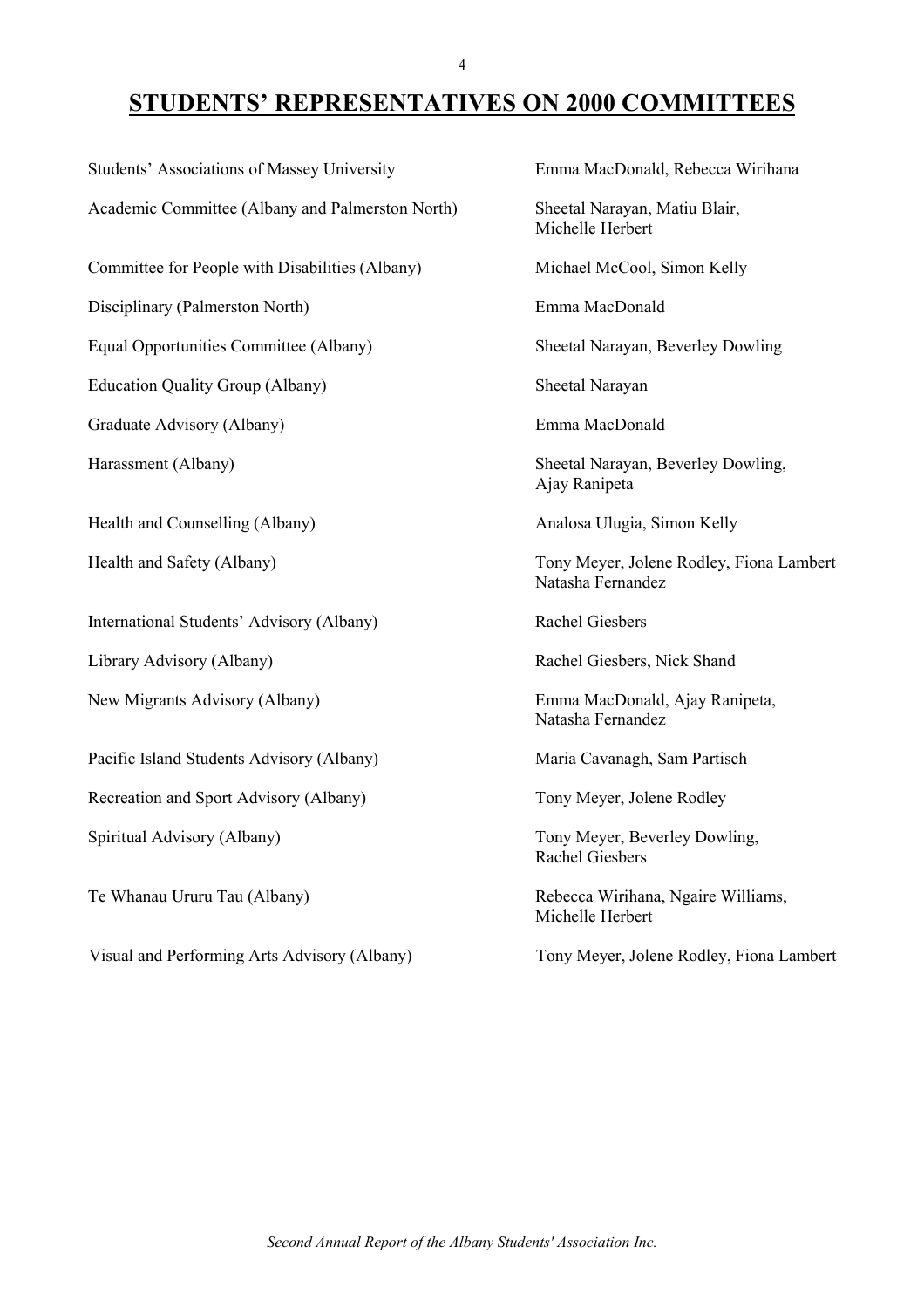## **STUDENTS' REPRESENTATIVES ON 2000 COMMITTEES**

| <b>Students' Associations of Massey University</b> | Emma MacDonald, Rebecca Wirihana                              |
|----------------------------------------------------|---------------------------------------------------------------|
| Academic Committee (Albany and Palmerston North)   | Sheetal Narayan, Matiu Blair,<br>Michelle Herbert             |
| Committee for People with Disabilities (Albany)    | Michael McCool, Simon Kelly                                   |
| Disciplinary (Palmerston North)                    | Emma MacDonald                                                |
| Equal Opportunities Committee (Albany)             | Sheetal Narayan, Beverley Dowling                             |
| <b>Education Quality Group (Albany)</b>            | Sheetal Narayan                                               |
| Graduate Advisory (Albany)                         | Emma MacDonald                                                |
| Harassment (Albany)                                | Sheetal Narayan, Beverley Dowling,<br>Ajay Ranipeta           |
| Health and Counselling (Albany)                    | Analosa Ulugia, Simon Kelly                                   |
| Health and Safety (Albany)                         | Tony Meyer, Jolene Rodley, Fiona Lambert<br>Natasha Fernandez |
| International Students' Advisory (Albany)          | <b>Rachel Giesbers</b>                                        |
| Library Advisory (Albany)                          | Rachel Giesbers, Nick Shand                                   |
| New Migrants Advisory (Albany)                     | Emma MacDonald, Ajay Ranipeta,<br>Natasha Fernandez           |
| Pacific Island Students Advisory (Albany)          | Maria Cavanagh, Sam Partisch                                  |
| Recreation and Sport Advisory (Albany)             | Tony Meyer, Jolene Rodley                                     |
| Spiritual Advisory (Albany)                        | Tony Meyer, Beverley Dowling,<br><b>Rachel Giesbers</b>       |
| Te Whanau Ururu Tau (Albany)                       | Rebecca Wirihana, Ngaire Williams,<br>Michelle Herbert        |
| Visual and Performing Arts Advisory (Albany)       | Tony Meyer, Jolene Rodley, Fiona Lambert                      |
|                                                    |                                                               |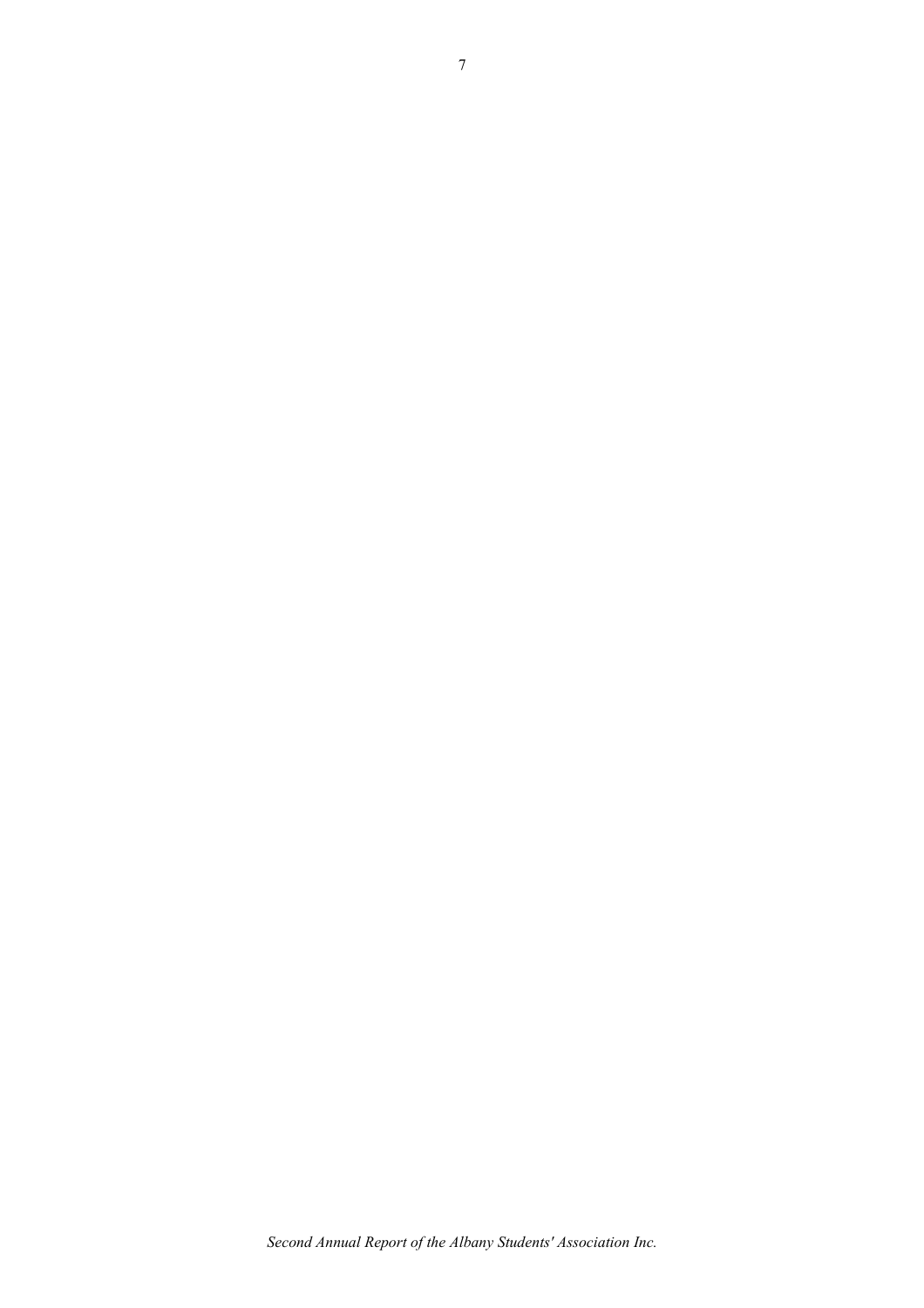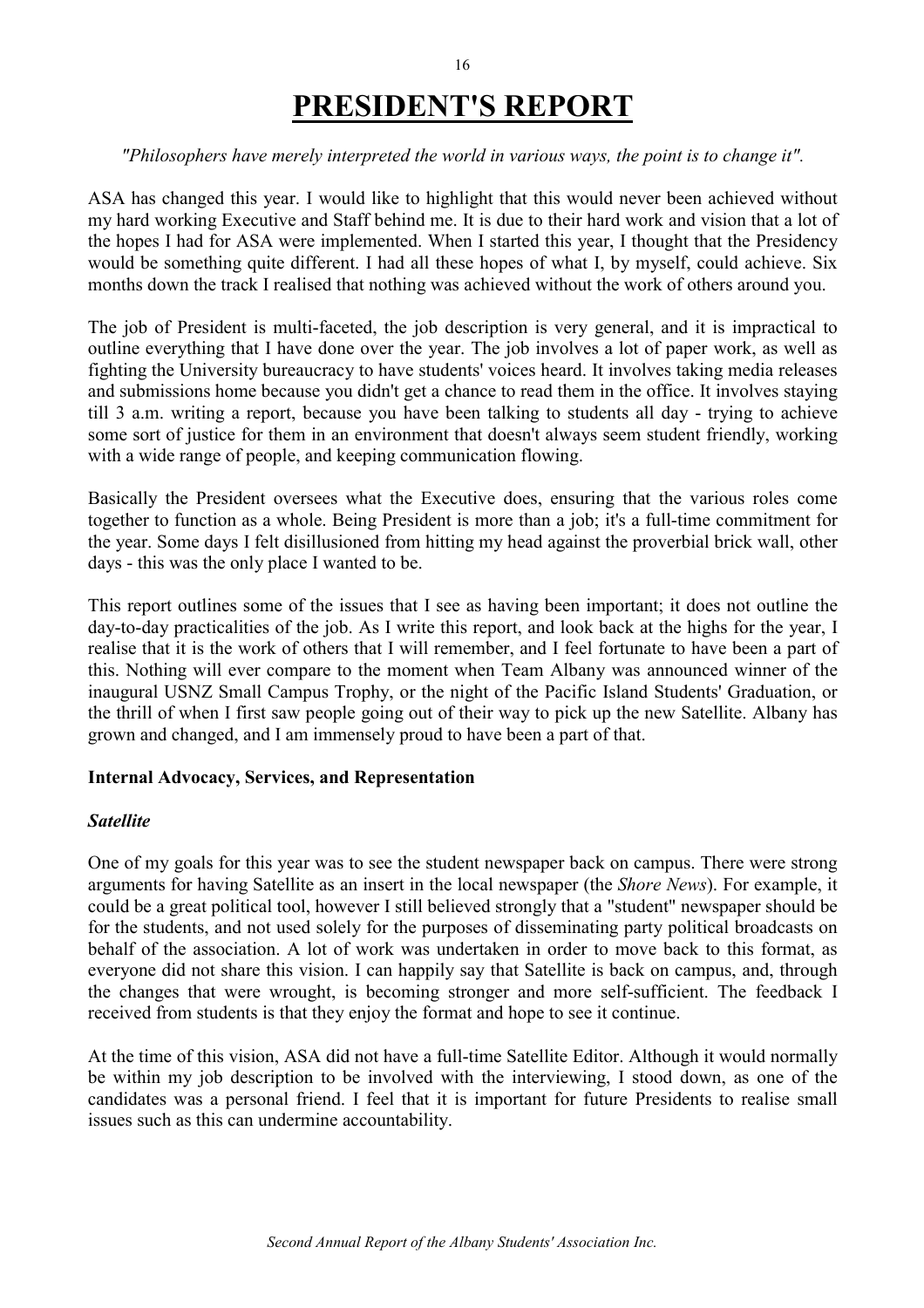## **PRESIDENT'S REPORT**

#### *"Philosophers have merely interpreted the world in various ways, the point is to change it".*

ASA has changed this year. I would like to highlight that this would never been achieved without my hard working Executive and Staff behind me. It is due to their hard work and vision that a lot of the hopes I had for ASA were implemented. When I started this year, I thought that the Presidency would be something quite different. I had all these hopes of what I, by myself, could achieve. Six months down the track I realised that nothing was achieved without the work of others around you.

The job of President is multi-faceted, the job description is very general, and it is impractical to outline everything that I have done over the year. The job involves a lot of paper work, as well as fighting the University bureaucracy to have students' voices heard. It involves taking media releases and submissions home because you didn't get a chance to read them in the office. It involves staying till 3 a.m. writing a report, because you have been talking to students all day - trying to achieve some sort of justice for them in an environment that doesn't always seem student friendly, working with a wide range of people, and keeping communication flowing.

Basically the President oversees what the Executive does, ensuring that the various roles come together to function as a whole. Being President is more than a job; it's a full-time commitment for the year. Some days I felt disillusioned from hitting my head against the proverbial brick wall, other days - this was the only place I wanted to be.

This report outlines some of the issues that I see as having been important; it does not outline the day-to-day practicalities of the job. As I write this report, and look back at the highs for the year, I realise that it is the work of others that I will remember, and I feel fortunate to have been a part of this. Nothing will ever compare to the moment when Team Albany was announced winner of the inaugural USNZ Small Campus Trophy, or the night of the Pacific Island Students' Graduation, or the thrill of when I first saw people going out of their way to pick up the new Satellite. Albany has grown and changed, and I am immensely proud to have been a part of that.

#### **Internal Advocacy, Services, and Representation**

#### *Satellite*

One of my goals for this year was to see the student newspaper back on campus. There were strong arguments for having Satellite as an insert in the local newspaper (the *Shore News*). For example, it could be a great political tool, however I still believed strongly that a "student" newspaper should be for the students, and not used solely for the purposes of disseminating party political broadcasts on behalf of the association. A lot of work was undertaken in order to move back to this format, as everyone did not share this vision. I can happily say that Satellite is back on campus, and, through the changes that were wrought, is becoming stronger and more self-sufficient. The feedback I received from students is that they enjoy the format and hope to see it continue.

At the time of this vision, ASA did not have a full-time Satellite Editor. Although it would normally be within my job description to be involved with the interviewing, I stood down, as one of the candidates was a personal friend. I feel that it is important for future Presidents to realise small issues such as this can undermine accountability.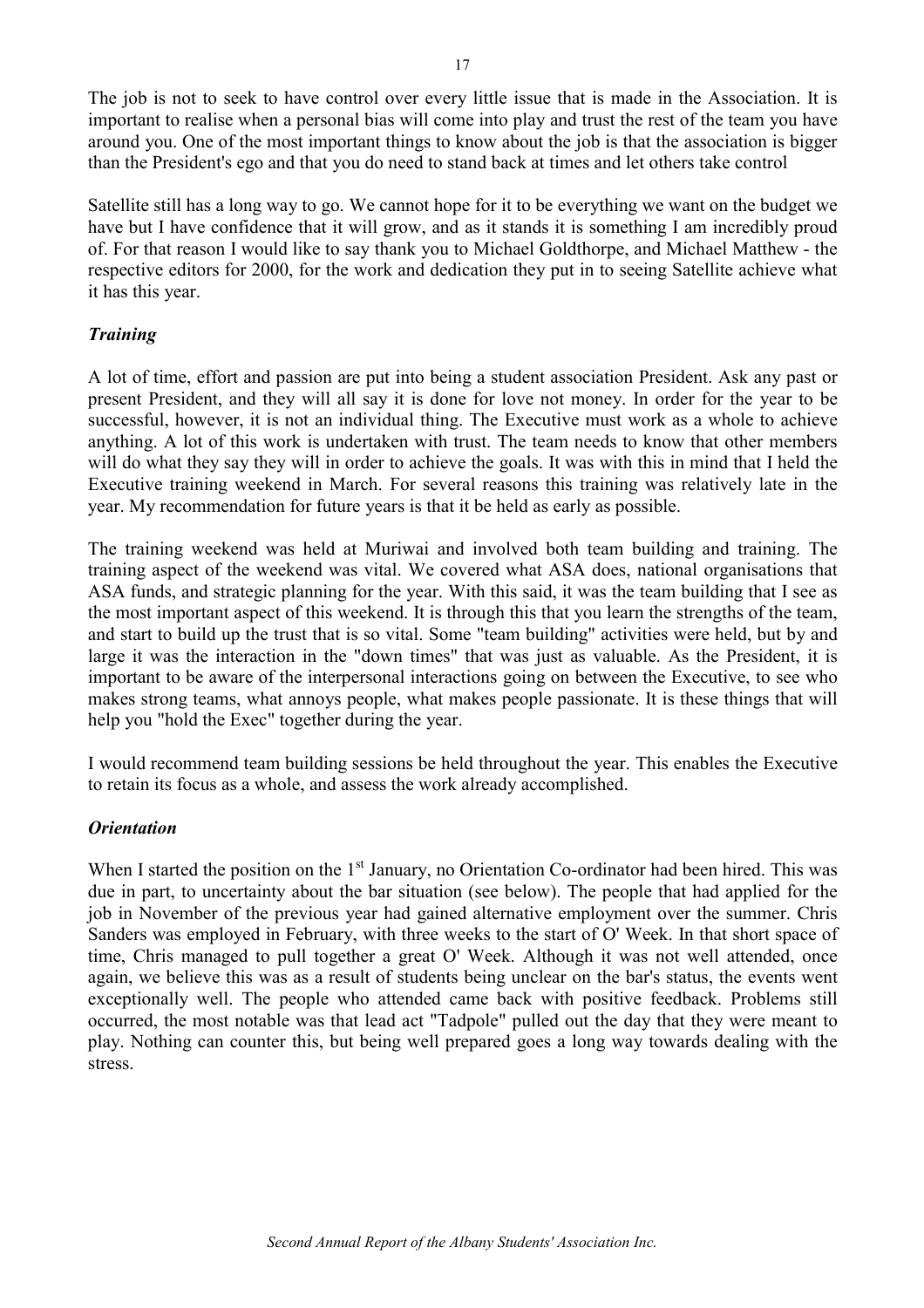The job is not to seek to have control over every little issue that is made in the Association. It is important to realise when a personal bias will come into play and trust the rest of the team you have around you. One of the most important things to know about the job is that the association is bigger than the President's ego and that you do need to stand back at times and let others take control

Satellite still has a long way to go. We cannot hope for it to be everything we want on the budget we have but I have confidence that it will grow, and as it stands it is something I am incredibly proud of. For that reason I would like to say thank you to Michael Goldthorpe, and Michael Matthew - the respective editors for 2000, for the work and dedication they put in to seeing Satellite achieve what it has this year.

#### *Training*

A lot of time, effort and passion are put into being a student association President. Ask any past or present President, and they will all say it is done for love not money. In order for the year to be successful, however, it is not an individual thing. The Executive must work as a whole to achieve anything. A lot of this work is undertaken with trust. The team needs to know that other members will do what they say they will in order to achieve the goals. It was with this in mind that I held the Executive training weekend in March. For several reasons this training was relatively late in the year. My recommendation for future years is that it be held as early as possible.

The training weekend was held at Muriwai and involved both team building and training. The training aspect of the weekend was vital. We covered what ASA does, national organisations that ASA funds, and strategic planning for the year. With this said, it was the team building that I see as the most important aspect of this weekend. It is through this that you learn the strengths of the team, and start to build up the trust that is so vital. Some "team building" activities were held, but by and large it was the interaction in the "down times" that was just as valuable. As the President, it is important to be aware of the interpersonal interactions going on between the Executive, to see who makes strong teams, what annoys people, what makes people passionate. It is these things that will help you "hold the Exec" together during the year.

I would recommend team building sessions be held throughout the year. This enables the Executive to retain its focus as a whole, and assess the work already accomplished.

#### *Orientation*

When I started the position on the  $1<sup>st</sup>$  January, no Orientation Co-ordinator had been hired. This was due in part, to uncertainty about the bar situation (see below). The people that had applied for the job in November of the previous year had gained alternative employment over the summer. Chris Sanders was employed in February, with three weeks to the start of O' Week. In that short space of time, Chris managed to pull together a great O' Week. Although it was not well attended, once again, we believe this was as a result of students being unclear on the bar's status, the events went exceptionally well. The people who attended came back with positive feedback. Problems still occurred, the most notable was that lead act "Tadpole" pulled out the day that they were meant to play. Nothing can counter this, but being well prepared goes a long way towards dealing with the stress.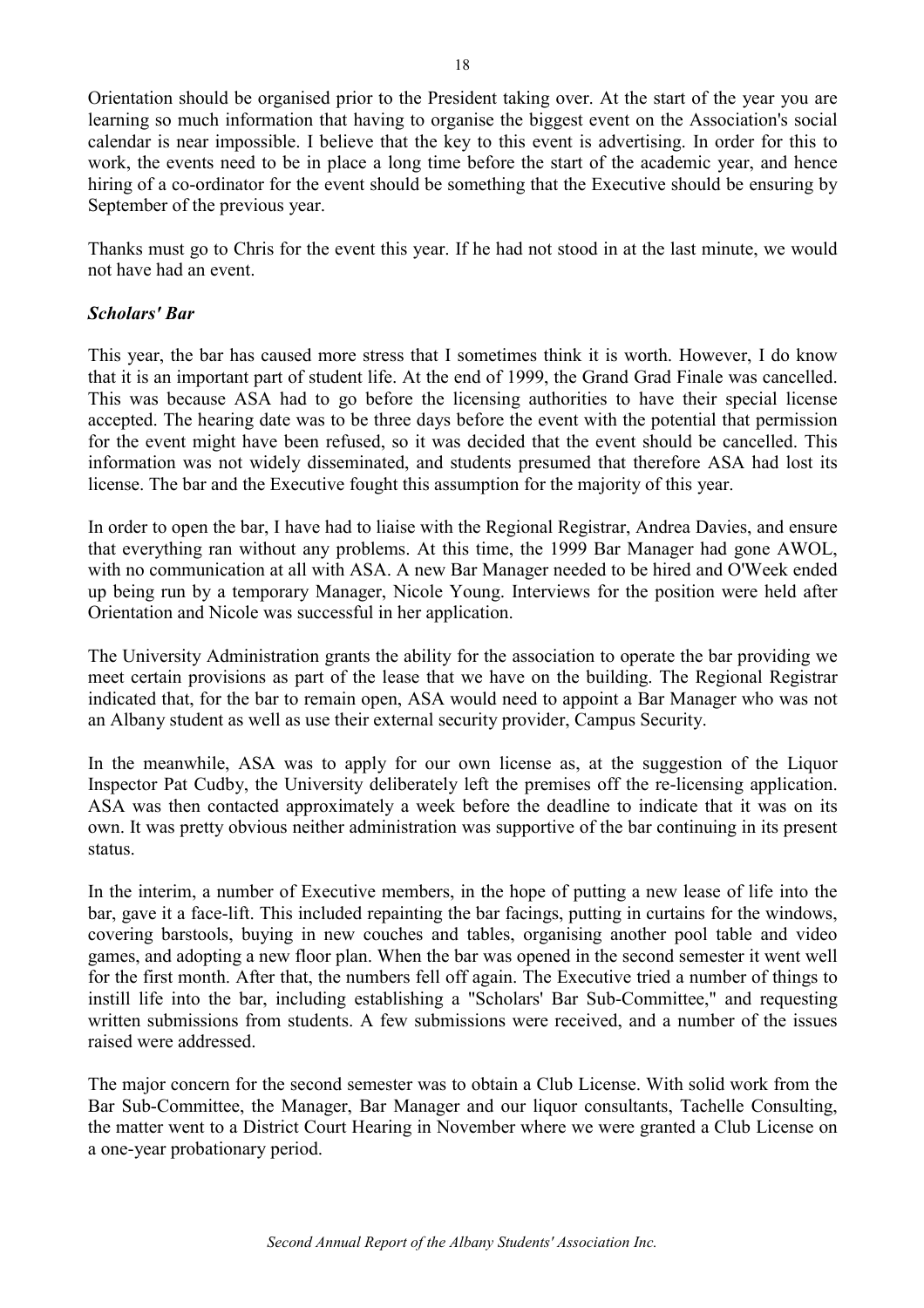Orientation should be organised prior to the President taking over. At the start of the year you are learning so much information that having to organise the biggest event on the Association's social calendar is near impossible. I believe that the key to this event is advertising. In order for this to work, the events need to be in place a long time before the start of the academic year, and hence hiring of a co-ordinator for the event should be something that the Executive should be ensuring by September of the previous year.

Thanks must go to Chris for the event this year. If he had not stood in at the last minute, we would not have had an event.

#### *Scholars' Bar*

This year, the bar has caused more stress that I sometimes think it is worth. However, I do know that it is an important part of student life. At the end of 1999, the Grand Grad Finale was cancelled. This was because ASA had to go before the licensing authorities to have their special license accepted. The hearing date was to be three days before the event with the potential that permission for the event might have been refused, so it was decided that the event should be cancelled. This information was not widely disseminated, and students presumed that therefore ASA had lost its license. The bar and the Executive fought this assumption for the majority of this year.

In order to open the bar, I have had to liaise with the Regional Registrar, Andrea Davies, and ensure that everything ran without any problems. At this time, the 1999 Bar Manager had gone AWOL, with no communication at all with ASA. A new Bar Manager needed to be hired and O'Week ended up being run by a temporary Manager, Nicole Young. Interviews for the position were held after Orientation and Nicole was successful in her application.

The University Administration grants the ability for the association to operate the bar providing we meet certain provisions as part of the lease that we have on the building. The Regional Registrar indicated that, for the bar to remain open, ASA would need to appoint a Bar Manager who was not an Albany student as well as use their external security provider, Campus Security.

In the meanwhile, ASA was to apply for our own license as, at the suggestion of the Liquor Inspector Pat Cudby, the University deliberately left the premises off the re-licensing application. ASA was then contacted approximately a week before the deadline to indicate that it was on its own. It was pretty obvious neither administration was supportive of the bar continuing in its present status.

In the interim, a number of Executive members, in the hope of putting a new lease of life into the bar, gave it a face-lift. This included repainting the bar facings, putting in curtains for the windows, covering barstools, buying in new couches and tables, organising another pool table and video games, and adopting a new floor plan. When the bar was opened in the second semester it went well for the first month. After that, the numbers fell off again. The Executive tried a number of things to instill life into the bar, including establishing a "Scholars' Bar Sub-Committee," and requesting written submissions from students. A few submissions were received, and a number of the issues raised were addressed.

The major concern for the second semester was to obtain a Club License. With solid work from the Bar Sub-Committee, the Manager, Bar Manager and our liquor consultants, Tachelle Consulting, the matter went to a District Court Hearing in November where we were granted a Club License on a one-year probationary period.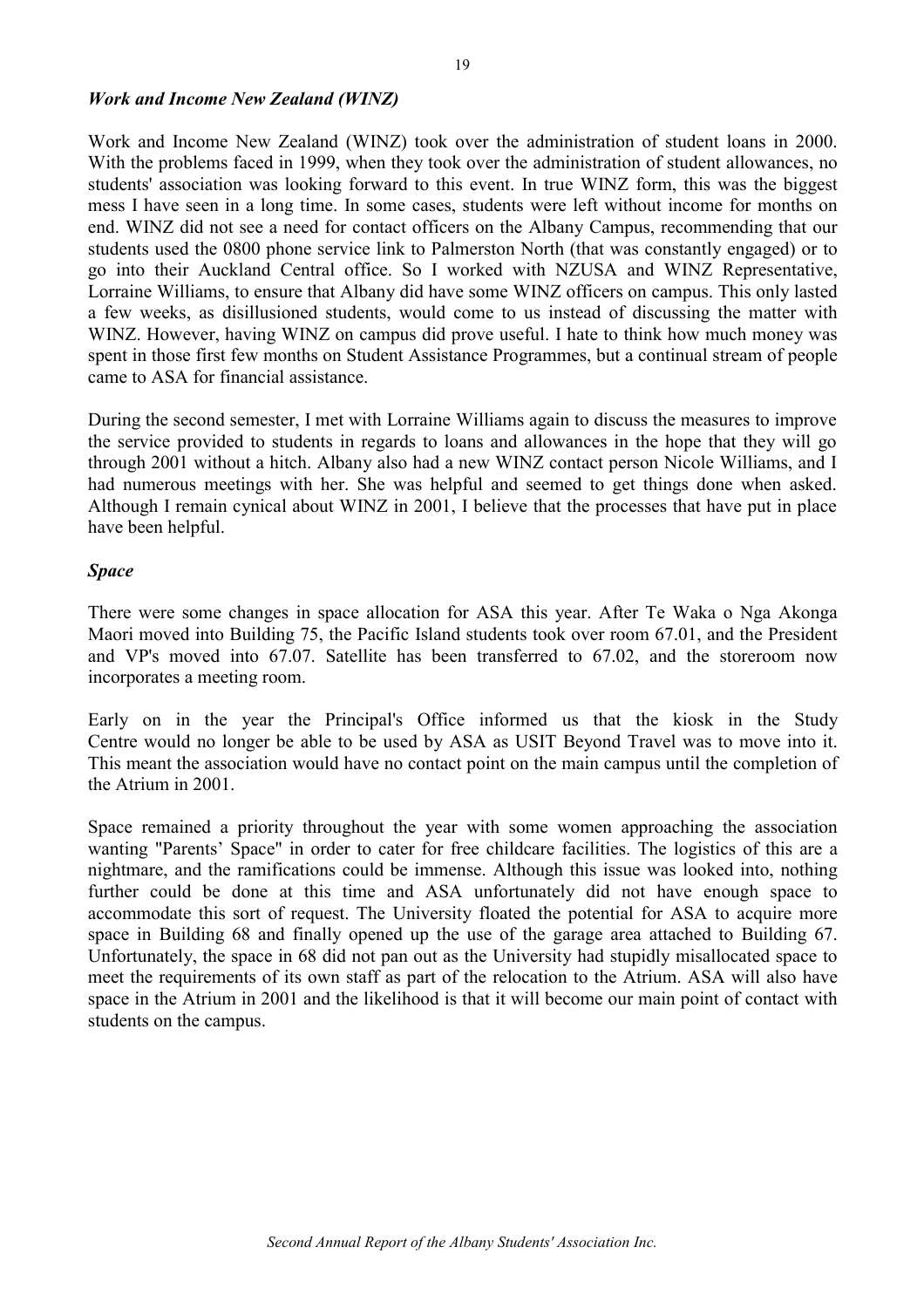#### *Work and Income New Zealand (WINZ)*

Work and Income New Zealand (WINZ) took over the administration of student loans in 2000. With the problems faced in 1999, when they took over the administration of student allowances, no students' association was looking forward to this event. In true WINZ form, this was the biggest mess I have seen in a long time. In some cases, students were left without income for months on end. WINZ did not see a need for contact officers on the Albany Campus, recommending that our students used the 0800 phone service link to Palmerston North (that was constantly engaged) or to go into their Auckland Central office. So I worked with NZUSA and WINZ Representative, Lorraine Williams, to ensure that Albany did have some WINZ officers on campus. This only lasted a few weeks, as disillusioned students, would come to us instead of discussing the matter with WINZ. However, having WINZ on campus did prove useful. I hate to think how much money was spent in those first few months on Student Assistance Programmes, but a continual stream of people came to ASA for financial assistance.

During the second semester, I met with Lorraine Williams again to discuss the measures to improve the service provided to students in regards to loans and allowances in the hope that they will go through 2001 without a hitch. Albany also had a new WINZ contact person Nicole Williams, and I had numerous meetings with her. She was helpful and seemed to get things done when asked. Although I remain cynical about WINZ in 2001, I believe that the processes that have put in place have been helpful.

#### *Space*

There were some changes in space allocation for ASA this year. After Te Waka o Nga Akonga Maori moved into Building 75, the Pacific Island students took over room 67.01, and the President and VP's moved into 67.07. Satellite has been transferred to 67.02, and the storeroom now incorporates a meeting room.

Early on in the year the Principal's Office informed us that the kiosk in the Study Centre would no longer be able to be used by ASA as USIT Beyond Travel was to move into it. This meant the association would have no contact point on the main campus until the completion of the Atrium in 2001.

Space remained a priority throughout the year with some women approaching the association wanting "Parents' Space" in order to cater for free childcare facilities. The logistics of this are a nightmare, and the ramifications could be immense. Although this issue was looked into, nothing further could be done at this time and ASA unfortunately did not have enough space to accommodate this sort of request. The University floated the potential for ASA to acquire more space in Building 68 and finally opened up the use of the garage area attached to Building 67. Unfortunately, the space in 68 did not pan out as the University had stupidly misallocated space to meet the requirements of its own staff as part of the relocation to the Atrium. ASA will also have space in the Atrium in 2001 and the likelihood is that it will become our main point of contact with students on the campus.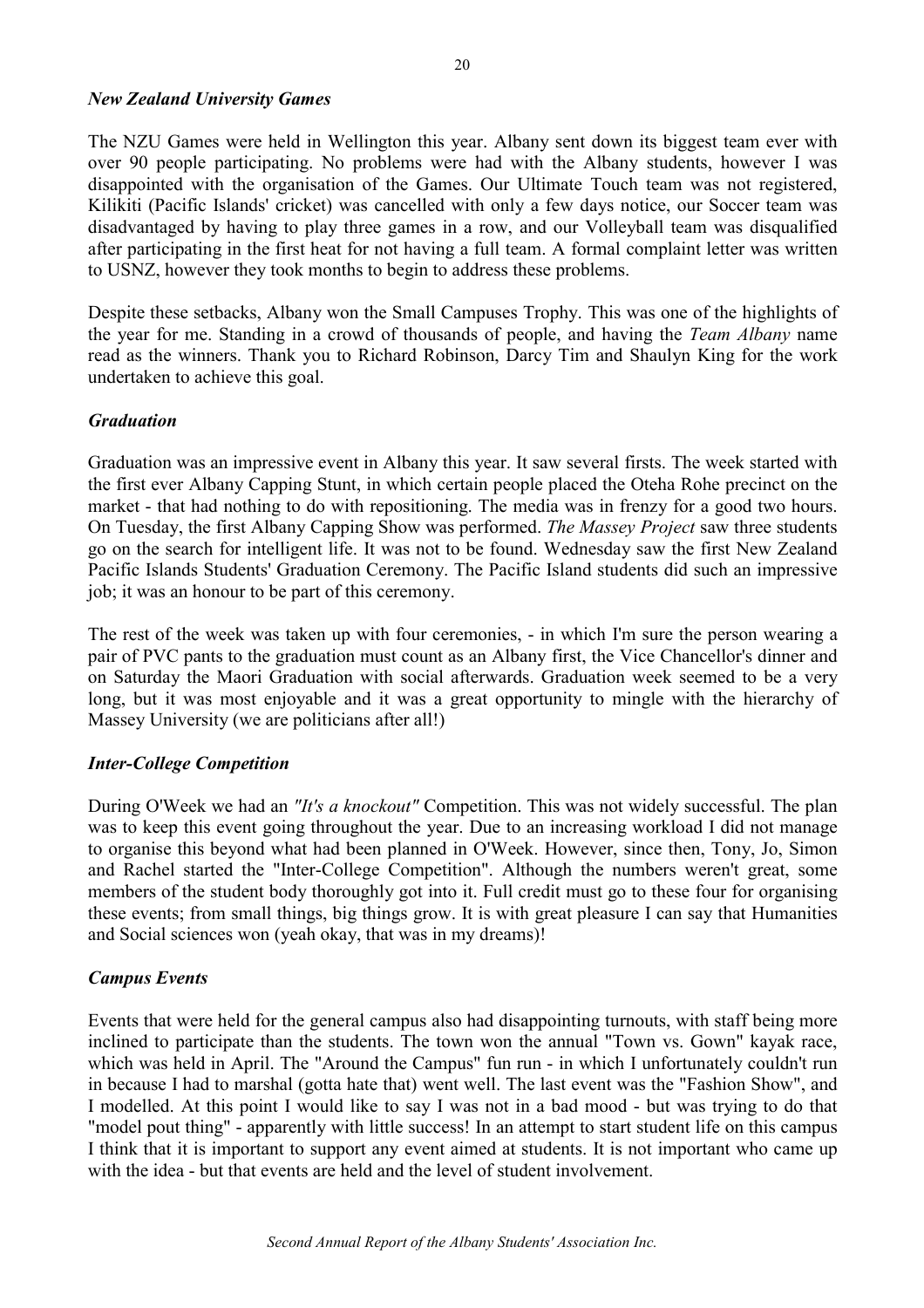#### *New Zealand University Games*

The NZU Games were held in Wellington this year. Albany sent down its biggest team ever with over 90 people participating. No problems were had with the Albany students, however I was disappointed with the organisation of the Games. Our Ultimate Touch team was not registered, Kilikiti (Pacific Islands' cricket) was cancelled with only a few days notice, our Soccer team was disadvantaged by having to play three games in a row, and our Volleyball team was disqualified after participating in the first heat for not having a full team. A formal complaint letter was written to USNZ, however they took months to begin to address these problems.

Despite these setbacks, Albany won the Small Campuses Trophy. This was one of the highlights of the year for me. Standing in a crowd of thousands of people, and having the *Team Albany* name read as the winners. Thank you to Richard Robinson, Darcy Tim and Shaulyn King for the work undertaken to achieve this goal.

#### *Graduation*

Graduation was an impressive event in Albany this year. It saw several firsts. The week started with the first ever Albany Capping Stunt, in which certain people placed the Oteha Rohe precinct on the market - that had nothing to do with repositioning. The media was in frenzy for a good two hours. On Tuesday, the first Albany Capping Show was performed. *The Massey Project* saw three students go on the search for intelligent life. It was not to be found. Wednesday saw the first New Zealand Pacific Islands Students' Graduation Ceremony. The Pacific Island students did such an impressive job; it was an honour to be part of this ceremony.

The rest of the week was taken up with four ceremonies, - in which I'm sure the person wearing a pair of PVC pants to the graduation must count as an Albany first, the Vice Chancellor's dinner and on Saturday the Maori Graduation with social afterwards. Graduation week seemed to be a very long, but it was most enjoyable and it was a great opportunity to mingle with the hierarchy of Massey University (we are politicians after all!)

#### *Inter-College Competition*

During O'Week we had an *"It's a knockout"* Competition. This was not widely successful. The plan was to keep this event going throughout the year. Due to an increasing workload I did not manage to organise this beyond what had been planned in O'Week. However, since then, Tony, Jo, Simon and Rachel started the "Inter-College Competition". Although the numbers weren't great, some members of the student body thoroughly got into it. Full credit must go to these four for organising these events; from small things, big things grow. It is with great pleasure I can say that Humanities and Social sciences won (yeah okay, that was in my dreams)!

#### *Campus Events*

Events that were held for the general campus also had disappointing turnouts, with staff being more inclined to participate than the students. The town won the annual "Town vs. Gown" kayak race, which was held in April. The "Around the Campus" fun run - in which I unfortunately couldn't run in because I had to marshal (gotta hate that) went well. The last event was the "Fashion Show", and I modelled. At this point I would like to say I was not in a bad mood - but was trying to do that "model pout thing" - apparently with little success! In an attempt to start student life on this campus I think that it is important to support any event aimed at students. It is not important who came up with the idea - but that events are held and the level of student involvement.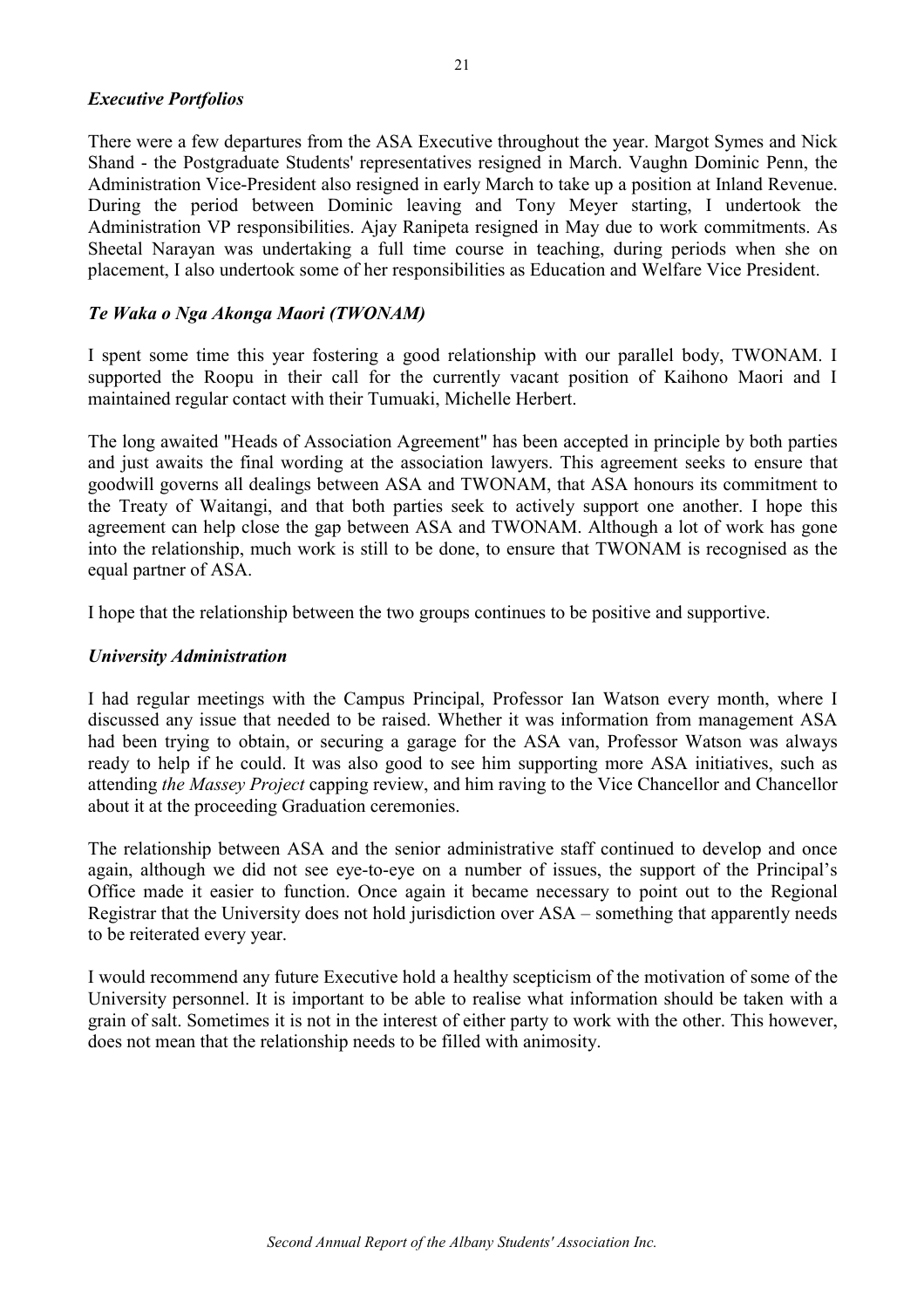#### *Executive Portfolios*

There were a few departures from the ASA Executive throughout the year. Margot Symes and Nick Shand - the Postgraduate Students' representatives resigned in March. Vaughn Dominic Penn, the Administration Vice-President also resigned in early March to take up a position at Inland Revenue. During the period between Dominic leaving and Tony Meyer starting, I undertook the Administration VP responsibilities. Ajay Ranipeta resigned in May due to work commitments. As Sheetal Narayan was undertaking a full time course in teaching, during periods when she on placement, I also undertook some of her responsibilities as Education and Welfare Vice President.

#### *Te Waka o Nga Akonga Maori (TWONAM)*

I spent some time this year fostering a good relationship with our parallel body, TWONAM. I supported the Roopu in their call for the currently vacant position of Kaihono Maori and I maintained regular contact with their Tumuaki, Michelle Herbert.

The long awaited "Heads of Association Agreement" has been accepted in principle by both parties and just awaits the final wording at the association lawyers. This agreement seeks to ensure that goodwill governs all dealings between ASA and TWONAM, that ASA honours its commitment to the Treaty of Waitangi, and that both parties seek to actively support one another. I hope this agreement can help close the gap between ASA and TWONAM. Although a lot of work has gone into the relationship, much work is still to be done, to ensure that TWONAM is recognised as the equal partner of ASA.

I hope that the relationship between the two groups continues to be positive and supportive.

#### *University Administration*

I had regular meetings with the Campus Principal, Professor Ian Watson every month, where I discussed any issue that needed to be raised. Whether it was information from management ASA had been trying to obtain, or securing a garage for the ASA van, Professor Watson was always ready to help if he could. It was also good to see him supporting more ASA initiatives, such as attending *the Massey Project* capping review, and him raving to the Vice Chancellor and Chancellor about it at the proceeding Graduation ceremonies.

The relationship between ASA and the senior administrative staff continued to develop and once again, although we did not see eye-to-eye on a number of issues, the support of the Principal's Office made it easier to function. Once again it became necessary to point out to the Regional Registrar that the University does not hold jurisdiction over ASA – something that apparently needs to be reiterated every year.

I would recommend any future Executive hold a healthy scepticism of the motivation of some of the University personnel. It is important to be able to realise what information should be taken with a grain of salt. Sometimes it is not in the interest of either party to work with the other. This however, does not mean that the relationship needs to be filled with animosity.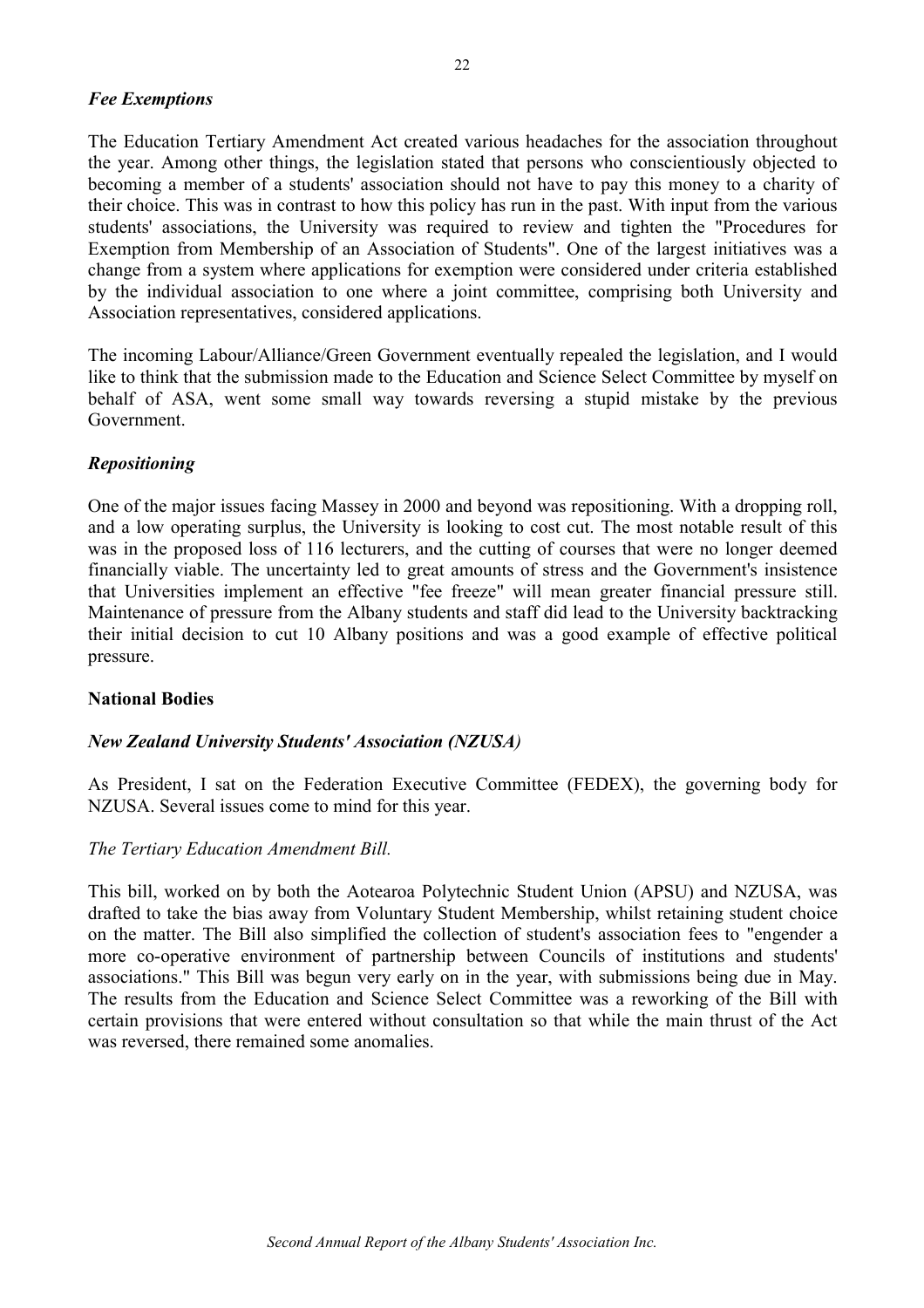#### *Fee Exemptions*

The Education Tertiary Amendment Act created various headaches for the association throughout the year. Among other things, the legislation stated that persons who conscientiously objected to becoming a member of a students' association should not have to pay this money to a charity of their choice. This was in contrast to how this policy has run in the past. With input from the various students' associations, the University was required to review and tighten the "Procedures for Exemption from Membership of an Association of Students". One of the largest initiatives was a change from a system where applications for exemption were considered under criteria established by the individual association to one where a joint committee, comprising both University and Association representatives, considered applications.

The incoming Labour/Alliance/Green Government eventually repealed the legislation, and I would like to think that the submission made to the Education and Science Select Committee by myself on behalf of ASA, went some small way towards reversing a stupid mistake by the previous Government.

#### *Repositioning*

One of the major issues facing Massey in 2000 and beyond was repositioning. With a dropping roll, and a low operating surplus, the University is looking to cost cut. The most notable result of this was in the proposed loss of 116 lecturers, and the cutting of courses that were no longer deemed financially viable. The uncertainty led to great amounts of stress and the Government's insistence that Universities implement an effective "fee freeze" will mean greater financial pressure still. Maintenance of pressure from the Albany students and staff did lead to the University backtracking their initial decision to cut 10 Albany positions and was a good example of effective political pressure.

#### **National Bodies**

#### *New Zealand University Students' Association (NZUSA)*

As President, I sat on the Federation Executive Committee (FEDEX), the governing body for NZUSA. Several issues come to mind for this year.

#### *The Tertiary Education Amendment Bill.*

This bill, worked on by both the Aotearoa Polytechnic Student Union (APSU) and NZUSA, was drafted to take the bias away from Voluntary Student Membership, whilst retaining student choice on the matter. The Bill also simplified the collection of student's association fees to "engender a more co-operative environment of partnership between Councils of institutions and students' associations." This Bill was begun very early on in the year, with submissions being due in May. The results from the Education and Science Select Committee was a reworking of the Bill with certain provisions that were entered without consultation so that while the main thrust of the Act was reversed, there remained some anomalies.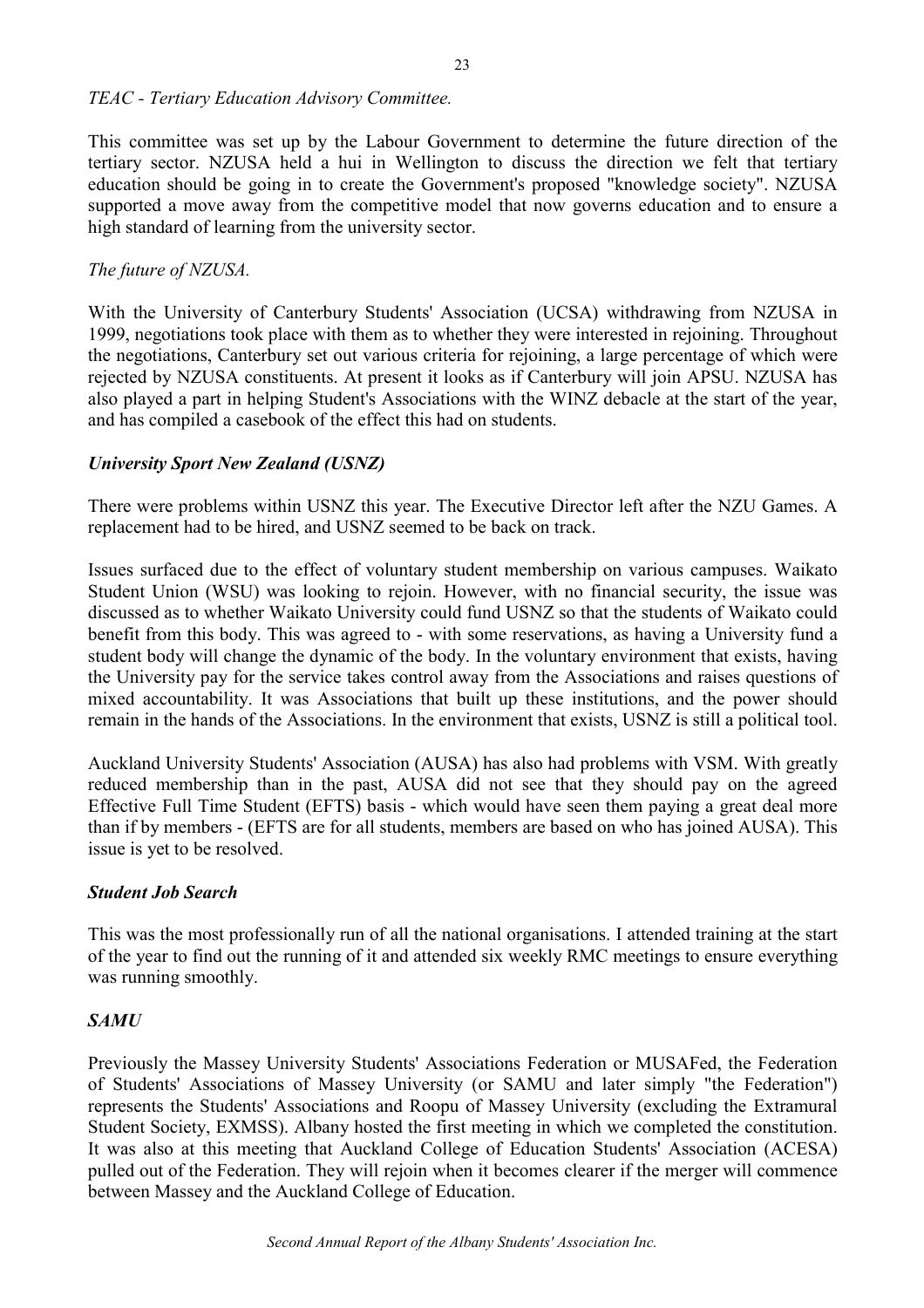#### *TEAC - Tertiary Education Advisory Committee.*

This committee was set up by the Labour Government to determine the future direction of the tertiary sector. NZUSA held a hui in Wellington to discuss the direction we felt that tertiary education should be going in to create the Government's proposed "knowledge society". NZUSA supported a move away from the competitive model that now governs education and to ensure a high standard of learning from the university sector.

#### *The future of NZUSA.*

With the University of Canterbury Students' Association (UCSA) withdrawing from NZUSA in 1999, negotiations took place with them as to whether they were interested in rejoining. Throughout the negotiations, Canterbury set out various criteria for rejoining, a large percentage of which were rejected by NZUSA constituents. At present it looks as if Canterbury will join APSU. NZUSA has also played a part in helping Student's Associations with the WINZ debacle at the start of the year, and has compiled a casebook of the effect this had on students.

#### *University Sport New Zealand (USNZ)*

There were problems within USNZ this year. The Executive Director left after the NZU Games. A replacement had to be hired, and USNZ seemed to be back on track.

Issues surfaced due to the effect of voluntary student membership on various campuses. Waikato Student Union (WSU) was looking to rejoin. However, with no financial security, the issue was discussed as to whether Waikato University could fund USNZ so that the students of Waikato could benefit from this body. This was agreed to - with some reservations, as having a University fund a student body will change the dynamic of the body. In the voluntary environment that exists, having the University pay for the service takes control away from the Associations and raises questions of mixed accountability. It was Associations that built up these institutions, and the power should remain in the hands of the Associations. In the environment that exists, USNZ is still a political tool.

Auckland University Students' Association (AUSA) has also had problems with VSM. With greatly reduced membership than in the past, AUSA did not see that they should pay on the agreed Effective Full Time Student (EFTS) basis - which would have seen them paying a great deal more than if by members - (EFTS are for all students, members are based on who has joined AUSA). This issue is yet to be resolved.

#### *Student Job Search*

This was the most professionally run of all the national organisations. I attended training at the start of the year to find out the running of it and attended six weekly RMC meetings to ensure everything was running smoothly.

#### *SAMU*

Previously the Massey University Students' Associations Federation or MUSAFed, the Federation of Students' Associations of Massey University (or SAMU and later simply "the Federation") represents the Students' Associations and Roopu of Massey University (excluding the Extramural Student Society, EXMSS). Albany hosted the first meeting in which we completed the constitution. It was also at this meeting that Auckland College of Education Students' Association (ACESA) pulled out of the Federation. They will rejoin when it becomes clearer if the merger will commence between Massey and the Auckland College of Education.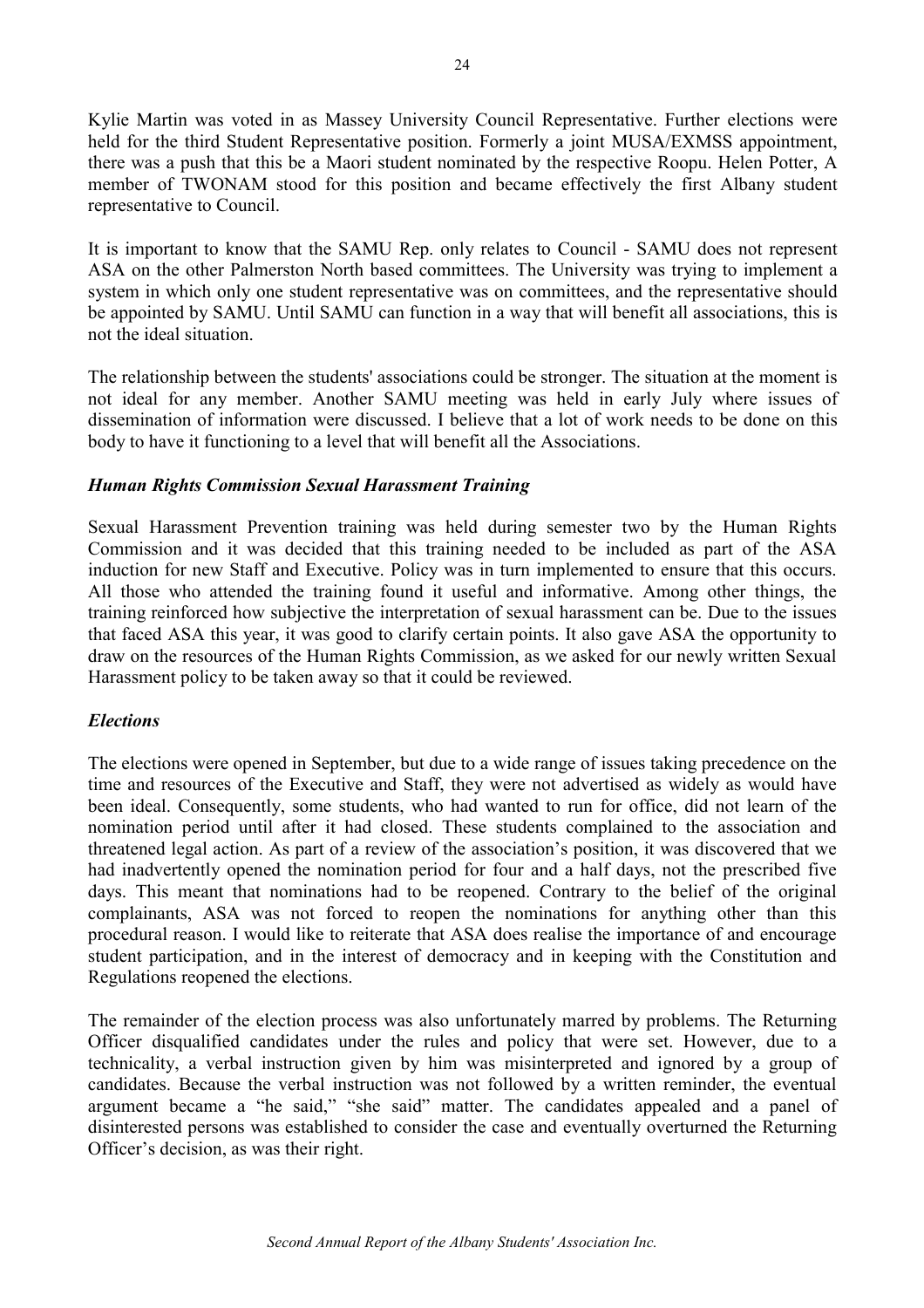Kylie Martin was voted in as Massey University Council Representative. Further elections were held for the third Student Representative position. Formerly a joint MUSA/EXMSS appointment, there was a push that this be a Maori student nominated by the respective Roopu. Helen Potter, A member of TWONAM stood for this position and became effectively the first Albany student representative to Council.

It is important to know that the SAMU Rep. only relates to Council - SAMU does not represent ASA on the other Palmerston North based committees. The University was trying to implement a system in which only one student representative was on committees, and the representative should be appointed by SAMU. Until SAMU can function in a way that will benefit all associations, this is not the ideal situation.

The relationship between the students' associations could be stronger. The situation at the moment is not ideal for any member. Another SAMU meeting was held in early July where issues of dissemination of information were discussed. I believe that a lot of work needs to be done on this body to have it functioning to a level that will benefit all the Associations.

#### *Human Rights Commission Sexual Harassment Training*

Sexual Harassment Prevention training was held during semester two by the Human Rights Commission and it was decided that this training needed to be included as part of the ASA induction for new Staff and Executive. Policy was in turn implemented to ensure that this occurs. All those who attended the training found it useful and informative. Among other things, the training reinforced how subjective the interpretation of sexual harassment can be. Due to the issues that faced ASA this year, it was good to clarify certain points. It also gave ASA the opportunity to draw on the resources of the Human Rights Commission, as we asked for our newly written Sexual Harassment policy to be taken away so that it could be reviewed.

#### *Elections*

The elections were opened in September, but due to a wide range of issues taking precedence on the time and resources of the Executive and Staff, they were not advertised as widely as would have been ideal. Consequently, some students, who had wanted to run for office, did not learn of the nomination period until after it had closed. These students complained to the association and threatened legal action. As part of a review of the association's position, it was discovered that we had inadvertently opened the nomination period for four and a half days, not the prescribed five days. This meant that nominations had to be reopened. Contrary to the belief of the original complainants, ASA was not forced to reopen the nominations for anything other than this procedural reason. I would like to reiterate that ASA does realise the importance of and encourage student participation, and in the interest of democracy and in keeping with the Constitution and Regulations reopened the elections.

The remainder of the election process was also unfortunately marred by problems. The Returning Officer disqualified candidates under the rules and policy that were set. However, due to a technicality, a verbal instruction given by him was misinterpreted and ignored by a group of candidates. Because the verbal instruction was not followed by a written reminder, the eventual argument became a "he said," "she said" matter. The candidates appealed and a panel of disinterested persons was established to consider the case and eventually overturned the Returning Officer's decision, as was their right.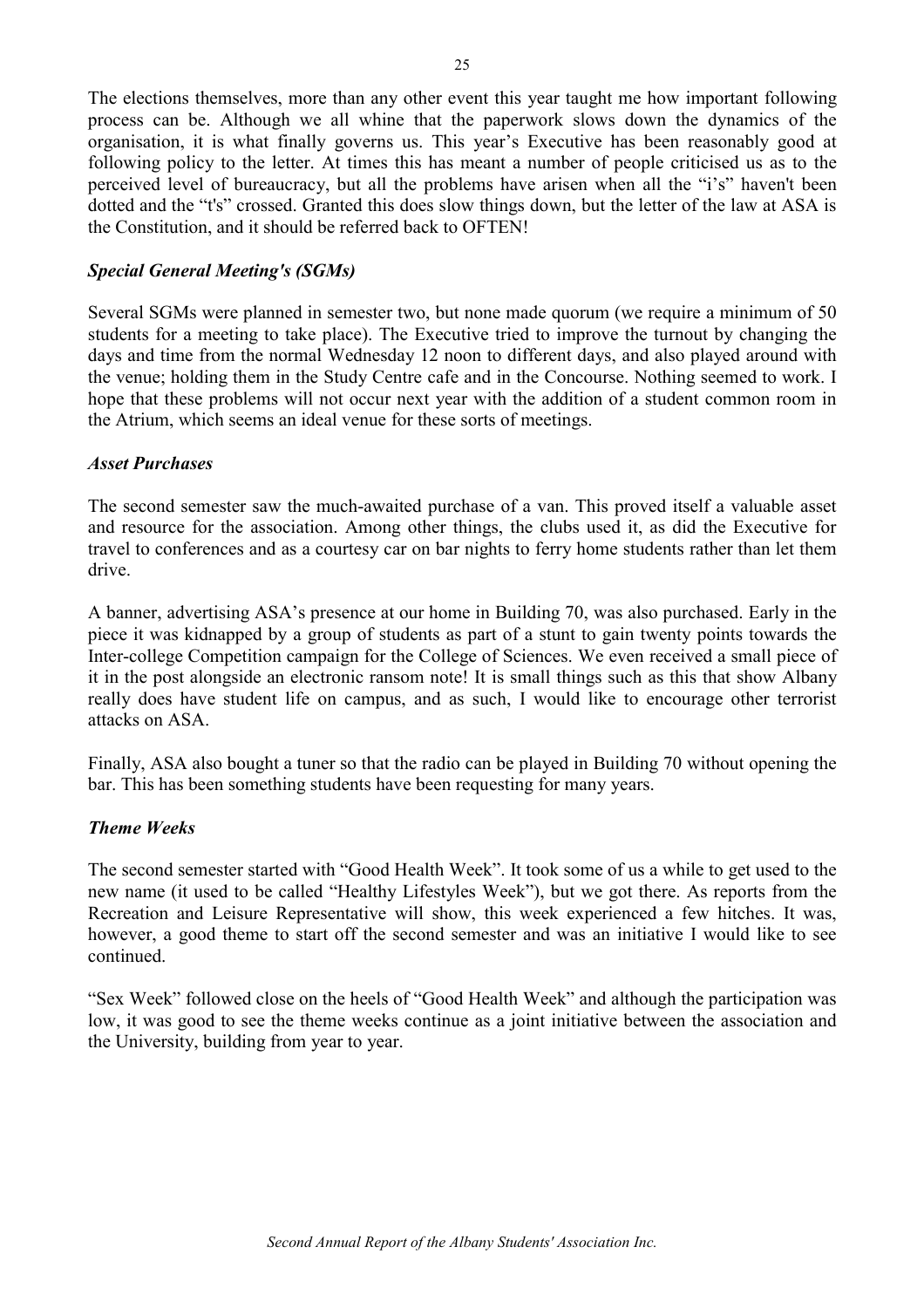The elections themselves, more than any other event this year taught me how important following process can be. Although we all whine that the paperwork slows down the dynamics of the organisation, it is what finally governs us. This year's Executive has been reasonably good at following policy to the letter. At times this has meant a number of people criticised us as to the perceived level of bureaucracy, but all the problems have arisen when all the "i's" haven't been dotted and the "t's" crossed. Granted this does slow things down, but the letter of the law at ASA is the Constitution, and it should be referred back to OFTEN!

#### *Special General Meeting's (SGMs)*

Several SGMs were planned in semester two, but none made quorum (we require a minimum of 50 students for a meeting to take place). The Executive tried to improve the turnout by changing the days and time from the normal Wednesday 12 noon to different days, and also played around with the venue; holding them in the Study Centre cafe and in the Concourse. Nothing seemed to work. I hope that these problems will not occur next year with the addition of a student common room in the Atrium, which seems an ideal venue for these sorts of meetings.

#### *Asset Purchases*

The second semester saw the much-awaited purchase of a van. This proved itself a valuable asset and resource for the association. Among other things, the clubs used it, as did the Executive for travel to conferences and as a courtesy car on bar nights to ferry home students rather than let them drive.

A banner, advertising ASA's presence at our home in Building 70, was also purchased. Early in the piece it was kidnapped by a group of students as part of a stunt to gain twenty points towards the Inter-college Competition campaign for the College of Sciences. We even received a small piece of it in the post alongside an electronic ransom note! It is small things such as this that show Albany really does have student life on campus, and as such, I would like to encourage other terrorist attacks on ASA.

Finally, ASA also bought a tuner so that the radio can be played in Building 70 without opening the bar. This has been something students have been requesting for many years.

#### *Theme Weeks*

The second semester started with "Good Health Week". It took some of us a while to get used to the new name (it used to be called "Healthy Lifestyles Week"), but we got there. As reports from the Recreation and Leisure Representative will show, this week experienced a few hitches. It was, however, a good theme to start off the second semester and was an initiative I would like to see continued.

"Sex Week" followed close on the heels of "Good Health Week" and although the participation was low, it was good to see the theme weeks continue as a joint initiative between the association and the University, building from year to year.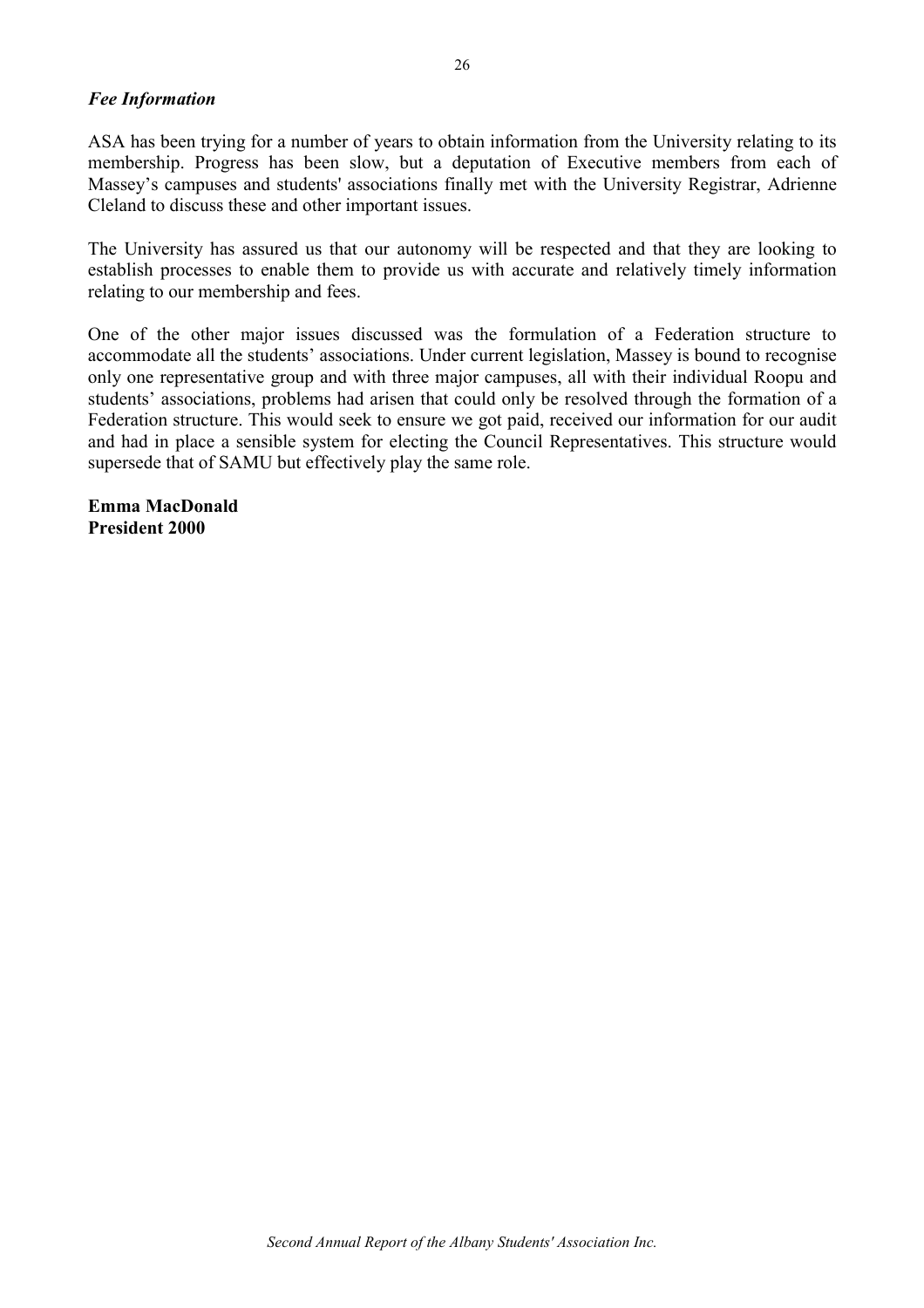#### *Fee Information*

ASA has been trying for a number of years to obtain information from the University relating to its membership. Progress has been slow, but a deputation of Executive members from each of Massey's campuses and students' associations finally met with the University Registrar, Adrienne Cleland to discuss these and other important issues.

The University has assured us that our autonomy will be respected and that they are looking to establish processes to enable them to provide us with accurate and relatively timely information relating to our membership and fees.

One of the other major issues discussed was the formulation of a Federation structure to accommodate all the students' associations. Under current legislation, Massey is bound to recognise only one representative group and with three major campuses, all with their individual Roopu and students' associations, problems had arisen that could only be resolved through the formation of a Federation structure. This would seek to ensure we got paid, received our information for our audit and had in place a sensible system for electing the Council Representatives. This structure would supersede that of SAMU but effectively play the same role.

**Emma MacDonald President 2000**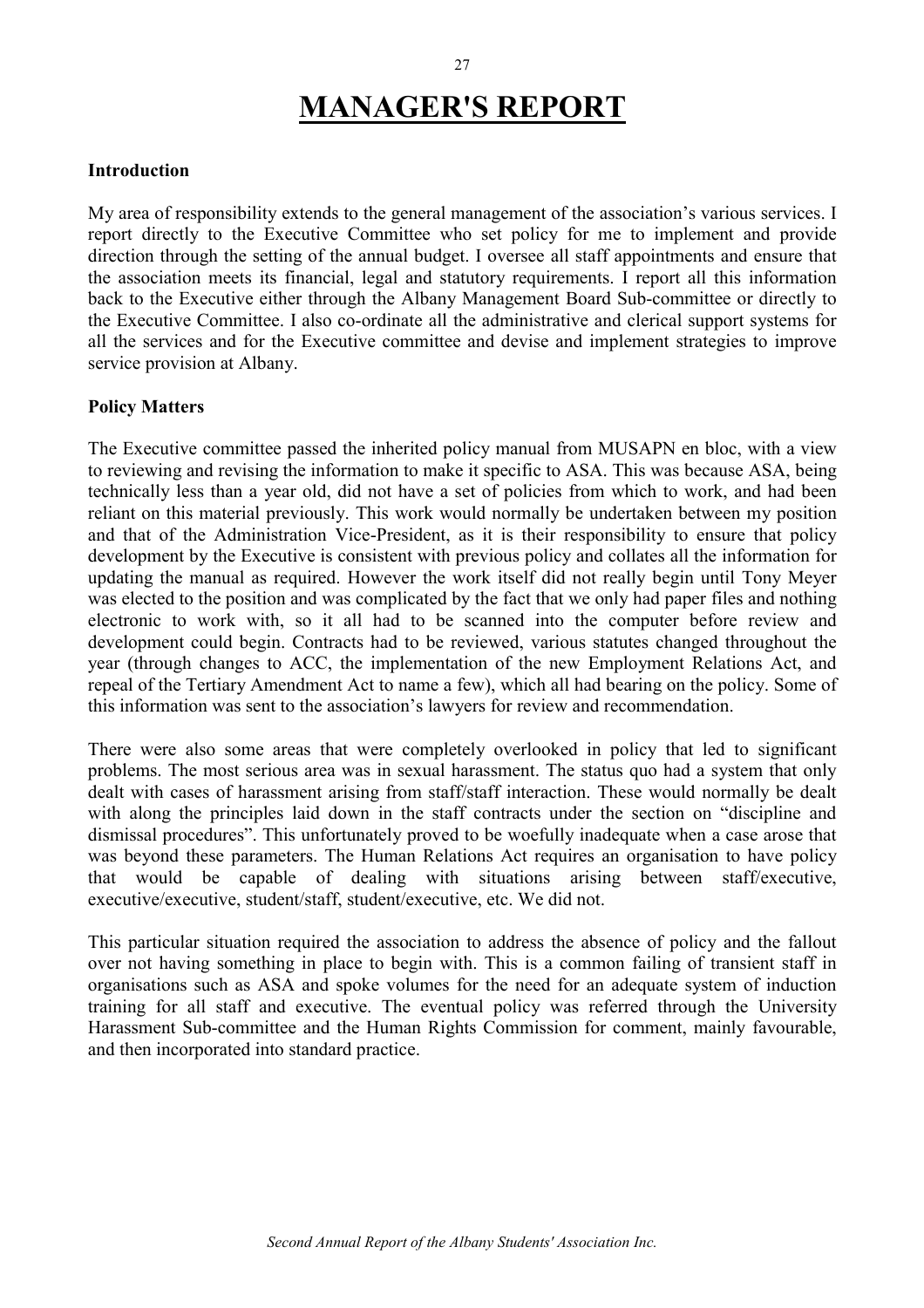## **MANAGER'S REPORT**

#### **Introduction**

My area of responsibility extends to the general management of the association's various services. I report directly to the Executive Committee who set policy for me to implement and provide direction through the setting of the annual budget. I oversee all staff appointments and ensure that the association meets its financial, legal and statutory requirements. I report all this information back to the Executive either through the Albany Management Board Sub-committee or directly to the Executive Committee. I also co-ordinate all the administrative and clerical support systems for all the services and for the Executive committee and devise and implement strategies to improve service provision at Albany.

#### **Policy Matters**

The Executive committee passed the inherited policy manual from MUSAPN en bloc, with a view to reviewing and revising the information to make it specific to ASA. This was because ASA, being technically less than a year old, did not have a set of policies from which to work, and had been reliant on this material previously. This work would normally be undertaken between my position and that of the Administration Vice-President, as it is their responsibility to ensure that policy development by the Executive is consistent with previous policy and collates all the information for updating the manual as required. However the work itself did not really begin until Tony Meyer was elected to the position and was complicated by the fact that we only had paper files and nothing electronic to work with, so it all had to be scanned into the computer before review and development could begin. Contracts had to be reviewed, various statutes changed throughout the year (through changes to ACC, the implementation of the new Employment Relations Act, and repeal of the Tertiary Amendment Act to name a few), which all had bearing on the policy. Some of this information was sent to the association's lawyers for review and recommendation.

There were also some areas that were completely overlooked in policy that led to significant problems. The most serious area was in sexual harassment. The status quo had a system that only dealt with cases of harassment arising from staff/staff interaction. These would normally be dealt with along the principles laid down in the staff contracts under the section on "discipline and dismissal procedures". This unfortunately proved to be woefully inadequate when a case arose that was beyond these parameters. The Human Relations Act requires an organisation to have policy that would be capable of dealing with situations arising between staff/executive, executive/executive, student/staff, student/executive, etc. We did not.

This particular situation required the association to address the absence of policy and the fallout over not having something in place to begin with. This is a common failing of transient staff in organisations such as ASA and spoke volumes for the need for an adequate system of induction training for all staff and executive. The eventual policy was referred through the University Harassment Sub-committee and the Human Rights Commission for comment, mainly favourable, and then incorporated into standard practice.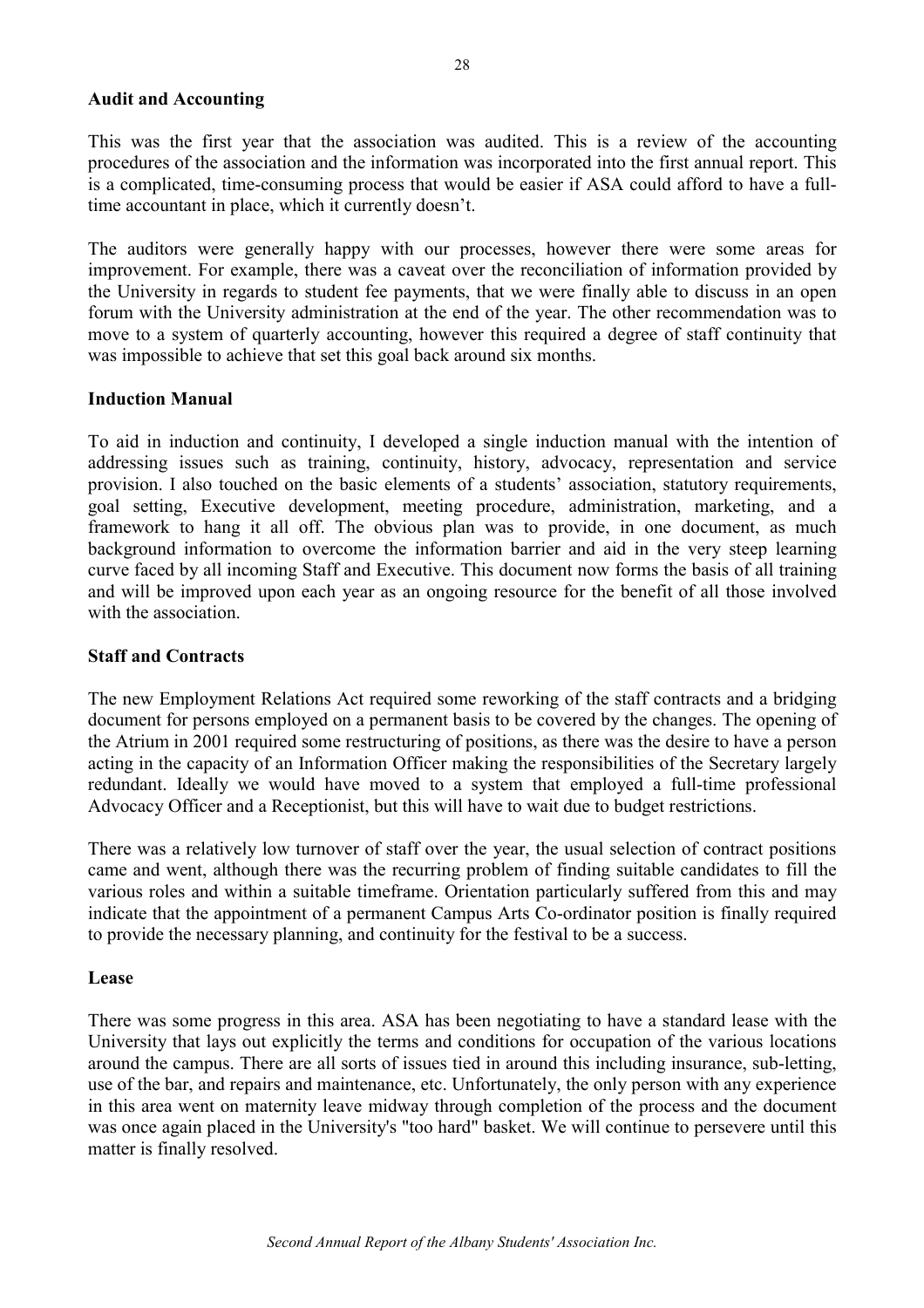#### **Audit and Accounting**

This was the first year that the association was audited. This is a review of the accounting procedures of the association and the information was incorporated into the first annual report. This is a complicated, time-consuming process that would be easier if ASA could afford to have a fulltime accountant in place, which it currently doesn't.

The auditors were generally happy with our processes, however there were some areas for improvement. For example, there was a caveat over the reconciliation of information provided by the University in regards to student fee payments, that we were finally able to discuss in an open forum with the University administration at the end of the year. The other recommendation was to move to a system of quarterly accounting, however this required a degree of staff continuity that was impossible to achieve that set this goal back around six months.

#### **Induction Manual**

To aid in induction and continuity, I developed a single induction manual with the intention of addressing issues such as training, continuity, history, advocacy, representation and service provision. I also touched on the basic elements of a students' association, statutory requirements, goal setting, Executive development, meeting procedure, administration, marketing, and a framework to hang it all off. The obvious plan was to provide, in one document, as much background information to overcome the information barrier and aid in the very steep learning curve faced by all incoming Staff and Executive. This document now forms the basis of all training and will be improved upon each year as an ongoing resource for the benefit of all those involved with the association.

#### **Staff and Contracts**

The new Employment Relations Act required some reworking of the staff contracts and a bridging document for persons employed on a permanent basis to be covered by the changes. The opening of the Atrium in 2001 required some restructuring of positions, as there was the desire to have a person acting in the capacity of an Information Officer making the responsibilities of the Secretary largely redundant. Ideally we would have moved to a system that employed a full-time professional Advocacy Officer and a Receptionist, but this will have to wait due to budget restrictions.

There was a relatively low turnover of staff over the year, the usual selection of contract positions came and went, although there was the recurring problem of finding suitable candidates to fill the various roles and within a suitable timeframe. Orientation particularly suffered from this and may indicate that the appointment of a permanent Campus Arts Co-ordinator position is finally required to provide the necessary planning, and continuity for the festival to be a success.

#### **Lease**

There was some progress in this area. ASA has been negotiating to have a standard lease with the University that lays out explicitly the terms and conditions for occupation of the various locations around the campus. There are all sorts of issues tied in around this including insurance, sub-letting, use of the bar, and repairs and maintenance, etc. Unfortunately, the only person with any experience in this area went on maternity leave midway through completion of the process and the document was once again placed in the University's "too hard" basket. We will continue to persevere until this matter is finally resolved.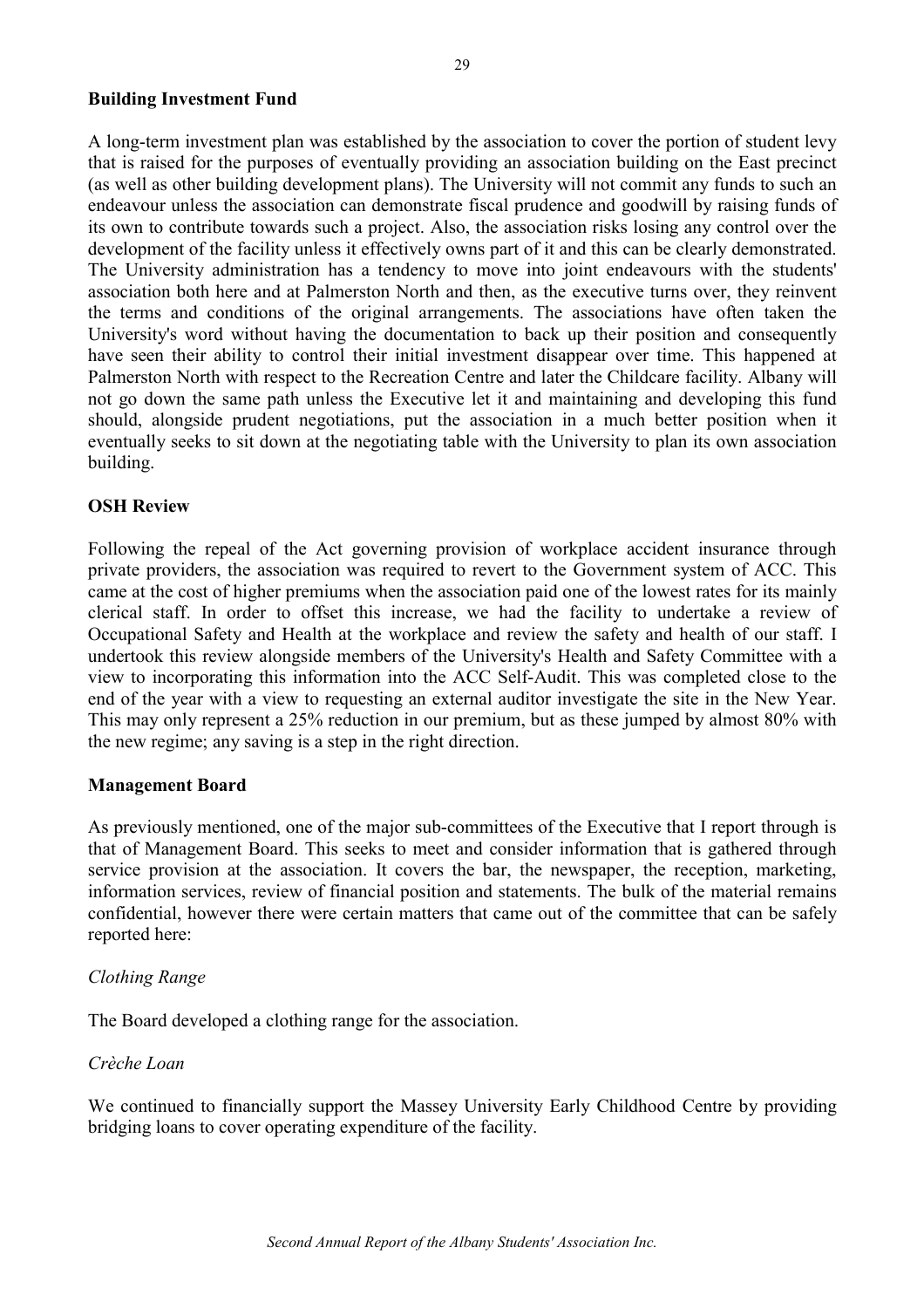#### **Building Investment Fund**

A long-term investment plan was established by the association to cover the portion of student levy that is raised for the purposes of eventually providing an association building on the East precinct (as well as other building development plans). The University will not commit any funds to such an endeavour unless the association can demonstrate fiscal prudence and goodwill by raising funds of its own to contribute towards such a project. Also, the association risks losing any control over the development of the facility unless it effectively owns part of it and this can be clearly demonstrated. The University administration has a tendency to move into joint endeavours with the students' association both here and at Palmerston North and then, as the executive turns over, they reinvent the terms and conditions of the original arrangements. The associations have often taken the University's word without having the documentation to back up their position and consequently have seen their ability to control their initial investment disappear over time. This happened at Palmerston North with respect to the Recreation Centre and later the Childcare facility. Albany will not go down the same path unless the Executive let it and maintaining and developing this fund should, alongside prudent negotiations, put the association in a much better position when it eventually seeks to sit down at the negotiating table with the University to plan its own association building.

#### **OSH Review**

Following the repeal of the Act governing provision of workplace accident insurance through private providers, the association was required to revert to the Government system of ACC. This came at the cost of higher premiums when the association paid one of the lowest rates for its mainly clerical staff. In order to offset this increase, we had the facility to undertake a review of Occupational Safety and Health at the workplace and review the safety and health of our staff. I undertook this review alongside members of the University's Health and Safety Committee with a view to incorporating this information into the ACC Self-Audit. This was completed close to the end of the year with a view to requesting an external auditor investigate the site in the New Year. This may only represent a 25% reduction in our premium, but as these jumped by almost 80% with the new regime; any saving is a step in the right direction.

#### **Management Board**

As previously mentioned, one of the major sub-committees of the Executive that I report through is that of Management Board. This seeks to meet and consider information that is gathered through service provision at the association. It covers the bar, the newspaper, the reception, marketing, information services, review of financial position and statements. The bulk of the material remains confidential, however there were certain matters that came out of the committee that can be safely reported here:

#### *Clothing Range*

The Board developed a clothing range for the association.

#### *Crèche Loan*

We continued to financially support the Massey University Early Childhood Centre by providing bridging loans to cover operating expenditure of the facility.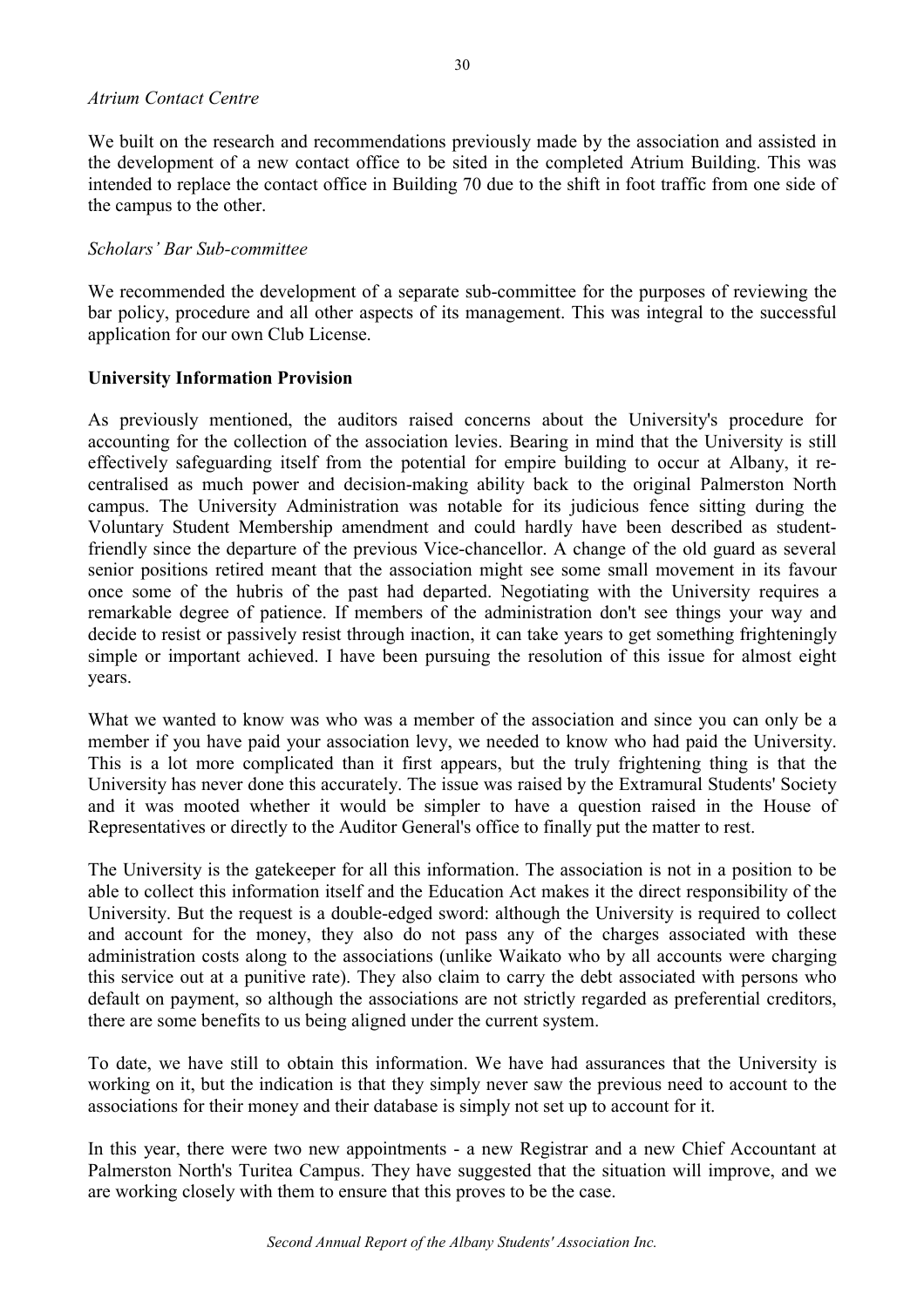#### *Atrium Contact Centre*

We built on the research and recommendations previously made by the association and assisted in the development of a new contact office to be sited in the completed Atrium Building. This was intended to replace the contact office in Building 70 due to the shift in foot traffic from one side of the campus to the other.

#### *Scholars' Bar Sub-committee*

We recommended the development of a separate sub-committee for the purposes of reviewing the bar policy, procedure and all other aspects of its management. This was integral to the successful application for our own Club License.

#### **University Information Provision**

As previously mentioned, the auditors raised concerns about the University's procedure for accounting for the collection of the association levies. Bearing in mind that the University is still effectively safeguarding itself from the potential for empire building to occur at Albany, it recentralised as much power and decision-making ability back to the original Palmerston North campus. The University Administration was notable for its judicious fence sitting during the Voluntary Student Membership amendment and could hardly have been described as studentfriendly since the departure of the previous Vice-chancellor. A change of the old guard as several senior positions retired meant that the association might see some small movement in its favour once some of the hubris of the past had departed. Negotiating with the University requires a remarkable degree of patience. If members of the administration don't see things your way and decide to resist or passively resist through inaction, it can take years to get something frighteningly simple or important achieved. I have been pursuing the resolution of this issue for almost eight years.

What we wanted to know was who was a member of the association and since you can only be a member if you have paid your association levy, we needed to know who had paid the University. This is a lot more complicated than it first appears, but the truly frightening thing is that the University has never done this accurately. The issue was raised by the Extramural Students' Society and it was mooted whether it would be simpler to have a question raised in the House of Representatives or directly to the Auditor General's office to finally put the matter to rest.

The University is the gatekeeper for all this information. The association is not in a position to be able to collect this information itself and the Education Act makes it the direct responsibility of the University. But the request is a double-edged sword: although the University is required to collect and account for the money, they also do not pass any of the charges associated with these administration costs along to the associations (unlike Waikato who by all accounts were charging this service out at a punitive rate). They also claim to carry the debt associated with persons who default on payment, so although the associations are not strictly regarded as preferential creditors, there are some benefits to us being aligned under the current system.

To date, we have still to obtain this information. We have had assurances that the University is working on it, but the indication is that they simply never saw the previous need to account to the associations for their money and their database is simply not set up to account for it.

In this year, there were two new appointments - a new Registrar and a new Chief Accountant at Palmerston North's Turitea Campus. They have suggested that the situation will improve, and we are working closely with them to ensure that this proves to be the case.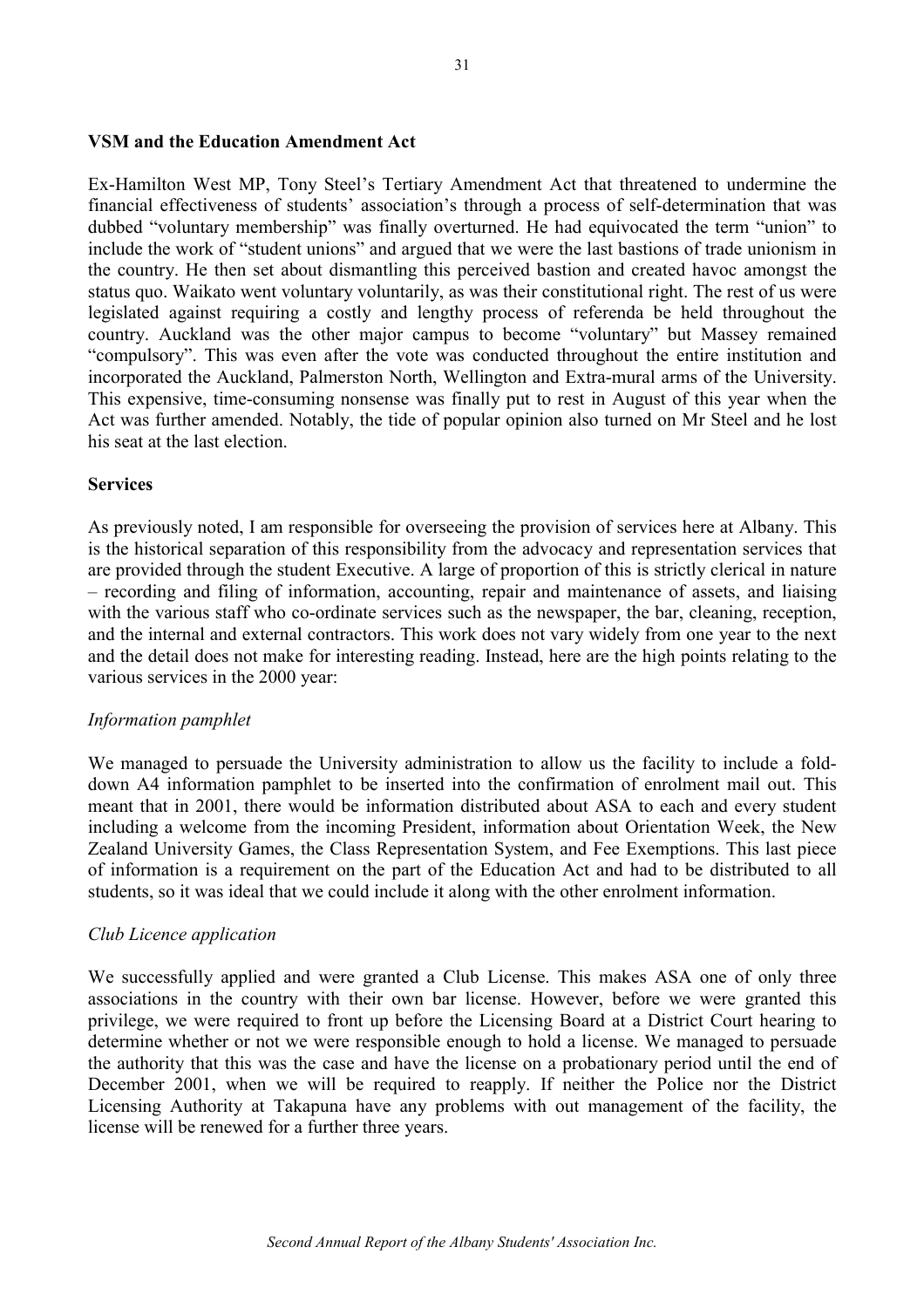#### **VSM and the Education Amendment Act**

Ex-Hamilton West MP, Tony Steel's Tertiary Amendment Act that threatened to undermine the financial effectiveness of students' association's through a process of self-determination that was dubbed "voluntary membership" was finally overturned. He had equivocated the term "union" to include the work of "student unions" and argued that we were the last bastions of trade unionism in the country. He then set about dismantling this perceived bastion and created havoc amongst the status quo. Waikato went voluntary voluntarily, as was their constitutional right. The rest of us were legislated against requiring a costly and lengthy process of referenda be held throughout the country. Auckland was the other major campus to become "voluntary" but Massey remained "compulsory". This was even after the vote was conducted throughout the entire institution and incorporated the Auckland, Palmerston North, Wellington and Extra-mural arms of the University. This expensive, time-consuming nonsense was finally put to rest in August of this year when the Act was further amended. Notably, the tide of popular opinion also turned on Mr Steel and he lost his seat at the last election.

#### **Services**

As previously noted, I am responsible for overseeing the provision of services here at Albany. This is the historical separation of this responsibility from the advocacy and representation services that are provided through the student Executive. A large of proportion of this is strictly clerical in nature – recording and filing of information, accounting, repair and maintenance of assets, and liaising with the various staff who co-ordinate services such as the newspaper, the bar, cleaning, reception, and the internal and external contractors. This work does not vary widely from one year to the next and the detail does not make for interesting reading. Instead, here are the high points relating to the various services in the 2000 year:

#### *Information pamphlet*

We managed to persuade the University administration to allow us the facility to include a folddown A4 information pamphlet to be inserted into the confirmation of enrolment mail out. This meant that in 2001, there would be information distributed about ASA to each and every student including a welcome from the incoming President, information about Orientation Week, the New Zealand University Games, the Class Representation System, and Fee Exemptions. This last piece of information is a requirement on the part of the Education Act and had to be distributed to all students, so it was ideal that we could include it along with the other enrolment information.

#### *Club Licence application*

We successfully applied and were granted a Club License. This makes ASA one of only three associations in the country with their own bar license. However, before we were granted this privilege, we were required to front up before the Licensing Board at a District Court hearing to determine whether or not we were responsible enough to hold a license. We managed to persuade the authority that this was the case and have the license on a probationary period until the end of December 2001, when we will be required to reapply. If neither the Police nor the District Licensing Authority at Takapuna have any problems with out management of the facility, the license will be renewed for a further three years.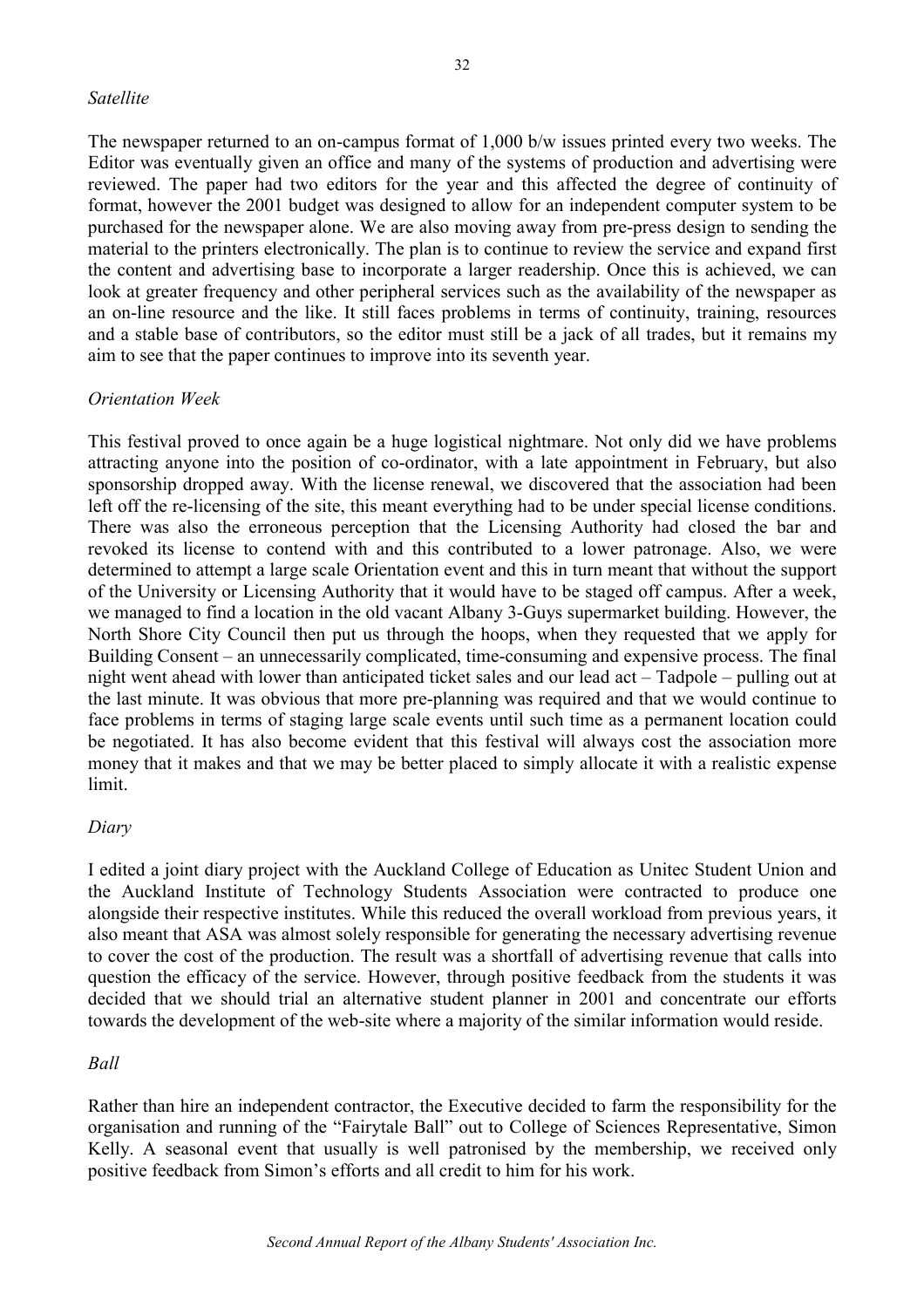#### *Satellite*

The newspaper returned to an on-campus format of 1,000 b/w issues printed every two weeks. The Editor was eventually given an office and many of the systems of production and advertising were reviewed. The paper had two editors for the year and this affected the degree of continuity of format, however the 2001 budget was designed to allow for an independent computer system to be purchased for the newspaper alone. We are also moving away from pre-press design to sending the material to the printers electronically. The plan is to continue to review the service and expand first the content and advertising base to incorporate a larger readership. Once this is achieved, we can look at greater frequency and other peripheral services such as the availability of the newspaper as an on-line resource and the like. It still faces problems in terms of continuity, training, resources and a stable base of contributors, so the editor must still be a jack of all trades, but it remains my aim to see that the paper continues to improve into its seventh year.

#### *Orientation Week*

This festival proved to once again be a huge logistical nightmare. Not only did we have problems attracting anyone into the position of co-ordinator, with a late appointment in February, but also sponsorship dropped away. With the license renewal, we discovered that the association had been left off the re-licensing of the site, this meant everything had to be under special license conditions. There was also the erroneous perception that the Licensing Authority had closed the bar and revoked its license to contend with and this contributed to a lower patronage. Also, we were determined to attempt a large scale Orientation event and this in turn meant that without the support of the University or Licensing Authority that it would have to be staged off campus. After a week, we managed to find a location in the old vacant Albany 3-Guys supermarket building. However, the North Shore City Council then put us through the hoops, when they requested that we apply for Building Consent – an unnecessarily complicated, time-consuming and expensive process. The final night went ahead with lower than anticipated ticket sales and our lead act – Tadpole – pulling out at the last minute. It was obvious that more pre-planning was required and that we would continue to face problems in terms of staging large scale events until such time as a permanent location could be negotiated. It has also become evident that this festival will always cost the association more money that it makes and that we may be better placed to simply allocate it with a realistic expense limit.

#### *Diary*

I edited a joint diary project with the Auckland College of Education as Unitec Student Union and the Auckland Institute of Technology Students Association were contracted to produce one alongside their respective institutes. While this reduced the overall workload from previous years, it also meant that ASA was almost solely responsible for generating the necessary advertising revenue to cover the cost of the production. The result was a shortfall of advertising revenue that calls into question the efficacy of the service. However, through positive feedback from the students it was decided that we should trial an alternative student planner in 2001 and concentrate our efforts towards the development of the web-site where a majority of the similar information would reside.

#### *Ball*

Rather than hire an independent contractor, the Executive decided to farm the responsibility for the organisation and running of the "Fairytale Ball" out to College of Sciences Representative, Simon Kelly. A seasonal event that usually is well patronised by the membership, we received only positive feedback from Simon's efforts and all credit to him for his work.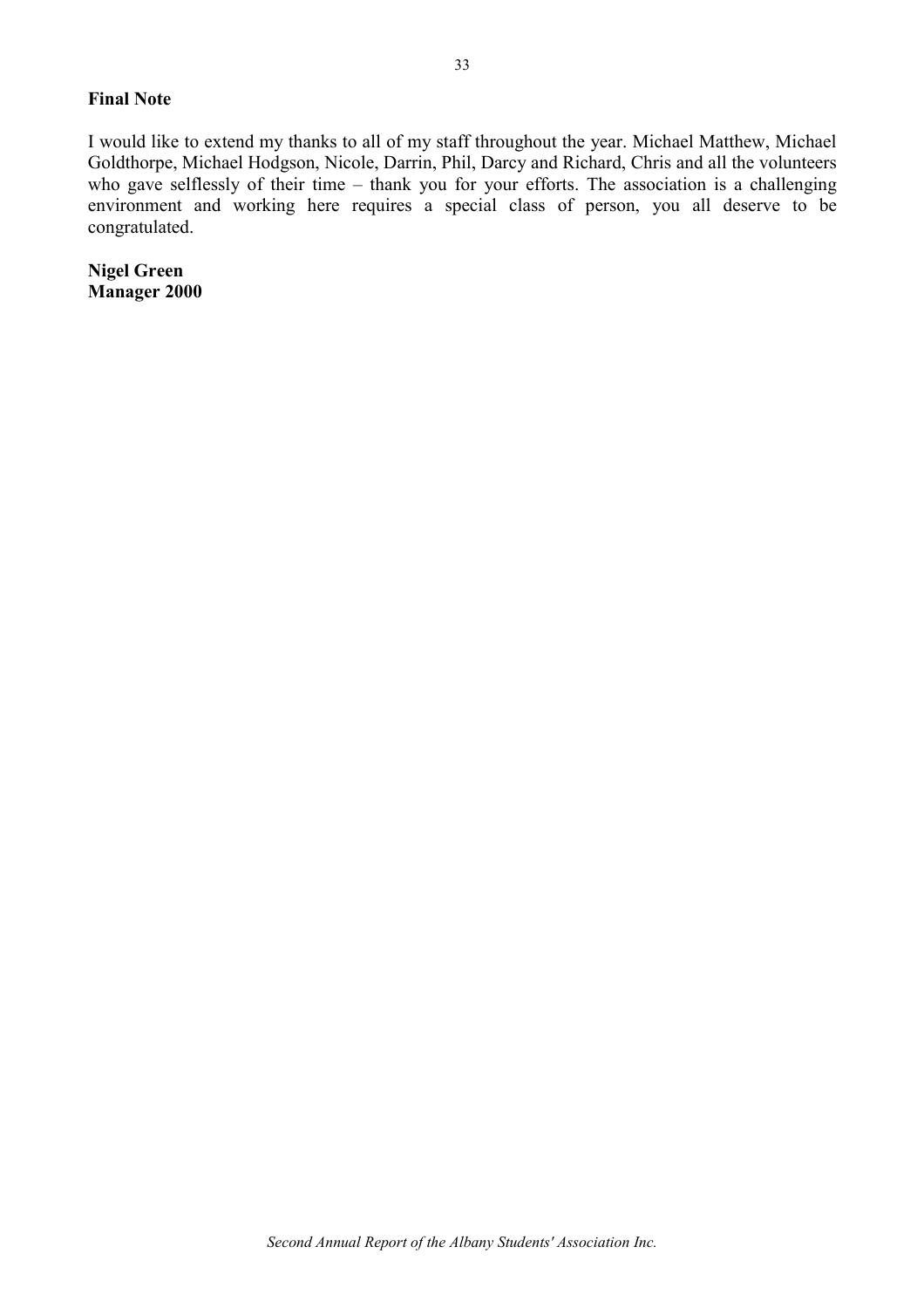#### **Final Note**

I would like to extend my thanks to all of my staff throughout the year. Michael Matthew, Michael Goldthorpe, Michael Hodgson, Nicole, Darrin, Phil, Darcy and Richard, Chris and all the volunteers who gave selflessly of their time – thank you for your efforts. The association is a challenging environment and working here requires a special class of person, you all deserve to be congratulated.

**Nigel Green Manager 2000**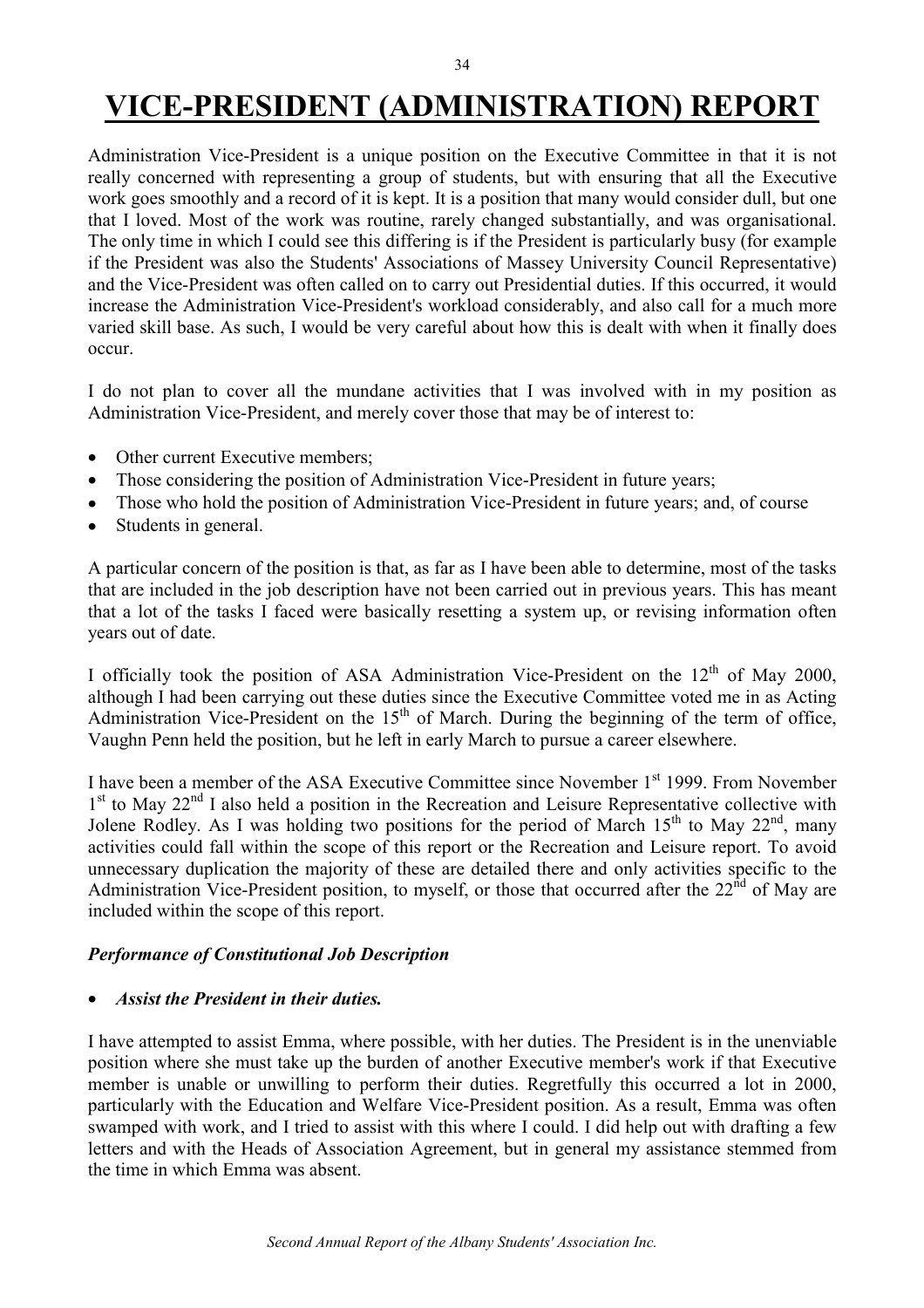# **VICE-PRESIDENT (ADMINISTRATION) REPORT**

Administration Vice-President is a unique position on the Executive Committee in that it is not really concerned with representing a group of students, but with ensuring that all the Executive work goes smoothly and a record of it is kept. It is a position that many would consider dull, but one that I loved. Most of the work was routine, rarely changed substantially, and was organisational. The only time in which I could see this differing is if the President is particularly busy (for example if the President was also the Students' Associations of Massey University Council Representative) and the Vice-President was often called on to carry out Presidential duties. If this occurred, it would increase the Administration Vice-President's workload considerably, and also call for a much more varied skill base. As such, I would be very careful about how this is dealt with when it finally does occur.

I do not plan to cover all the mundane activities that I was involved with in my position as Administration Vice-President, and merely cover those that may be of interest to:

- Other current Executive members:
- Those considering the position of Administration Vice-President in future years;
- Those who hold the position of Administration Vice-President in future years; and, of course
- Students in general.

A particular concern of the position is that, as far as I have been able to determine, most of the tasks that are included in the job description have not been carried out in previous years. This has meant that a lot of the tasks I faced were basically resetting a system up, or revising information often years out of date.

I officially took the position of ASA Administration Vice-President on the 12<sup>th</sup> of May 2000, although I had been carrying out these duties since the Executive Committee voted me in as Acting Administration Vice-President on the  $15<sup>th</sup>$  of March. During the beginning of the term of office, Vaughn Penn held the position, but he left in early March to pursue a career elsewhere.

I have been a member of the ASA Executive Committee since November 1st 1999. From November  $1<sup>st</sup>$  to May 22<sup>nd</sup> I also held a position in the Recreation and Leisure Representative collective with Jolene Rodley. As I was holding two positions for the period of March  $15<sup>th</sup>$  to May  $22<sup>nd</sup>$ , many activities could fall within the scope of this report or the Recreation and Leisure report. To avoid unnecessary duplication the majority of these are detailed there and only activities specific to the Administration Vice-President position, to myself, or those that occurred after the  $22<sup>nd</sup>$  of May are included within the scope of this report.

#### *Performance of Constitutional Job Description*

#### • *Assist the President in their duties.*

I have attempted to assist Emma, where possible, with her duties. The President is in the unenviable position where she must take up the burden of another Executive member's work if that Executive member is unable or unwilling to perform their duties. Regretfully this occurred a lot in 2000, particularly with the Education and Welfare Vice-President position. As a result, Emma was often swamped with work, and I tried to assist with this where I could. I did help out with drafting a few letters and with the Heads of Association Agreement, but in general my assistance stemmed from the time in which Emma was absent.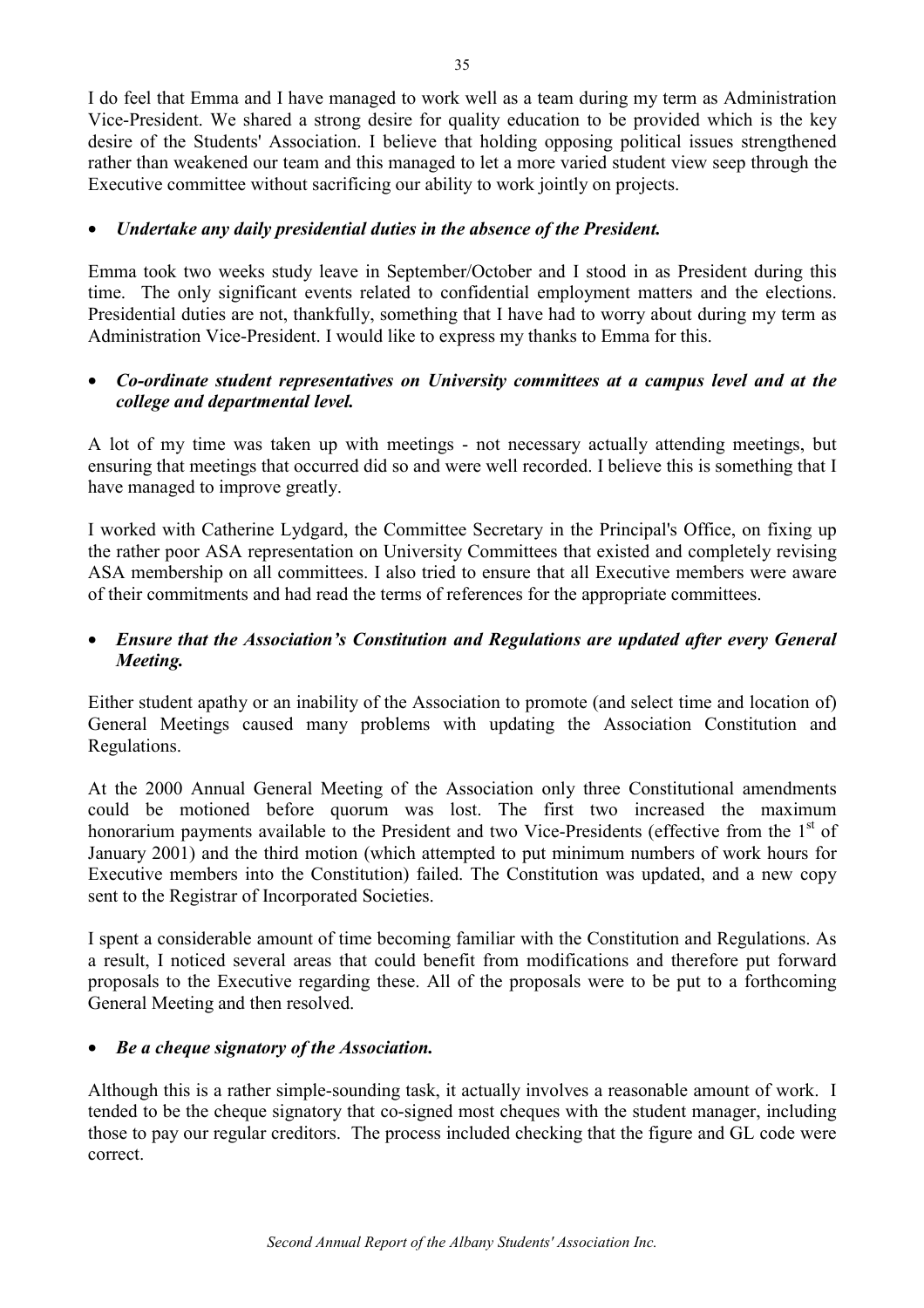I do feel that Emma and I have managed to work well as a team during my term as Administration Vice-President. We shared a strong desire for quality education to be provided which is the key desire of the Students' Association. I believe that holding opposing political issues strengthened rather than weakened our team and this managed to let a more varied student view seep through the Executive committee without sacrificing our ability to work jointly on projects.

#### • *Undertake any daily presidential duties in the absence of the President.*

Emma took two weeks study leave in September/October and I stood in as President during this time. The only significant events related to confidential employment matters and the elections. Presidential duties are not, thankfully, something that I have had to worry about during my term as Administration Vice-President. I would like to express my thanks to Emma for this.

#### • *Co-ordinate student representatives on University committees at a campus level and at the college and departmental level.*

A lot of my time was taken up with meetings - not necessary actually attending meetings, but ensuring that meetings that occurred did so and were well recorded. I believe this is something that I have managed to improve greatly.

I worked with Catherine Lydgard, the Committee Secretary in the Principal's Office, on fixing up the rather poor ASA representation on University Committees that existed and completely revising ASA membership on all committees. I also tried to ensure that all Executive members were aware of their commitments and had read the terms of references for the appropriate committees.

#### • *Ensure that the Association's Constitution and Regulations are updated after every General Meeting.*

Either student apathy or an inability of the Association to promote (and select time and location of) General Meetings caused many problems with updating the Association Constitution and Regulations.

At the 2000 Annual General Meeting of the Association only three Constitutional amendments could be motioned before quorum was lost. The first two increased the maximum honorarium payments available to the President and two Vice-Presidents (effective from the 1<sup>st</sup> of January 2001) and the third motion (which attempted to put minimum numbers of work hours for Executive members into the Constitution) failed. The Constitution was updated, and a new copy sent to the Registrar of Incorporated Societies.

I spent a considerable amount of time becoming familiar with the Constitution and Regulations. As a result, I noticed several areas that could benefit from modifications and therefore put forward proposals to the Executive regarding these. All of the proposals were to be put to a forthcoming General Meeting and then resolved.

#### • *Be a cheque signatory of the Association.*

Although this is a rather simple-sounding task, it actually involves a reasonable amount of work. I tended to be the cheque signatory that co-signed most cheques with the student manager, including those to pay our regular creditors. The process included checking that the figure and GL code were correct.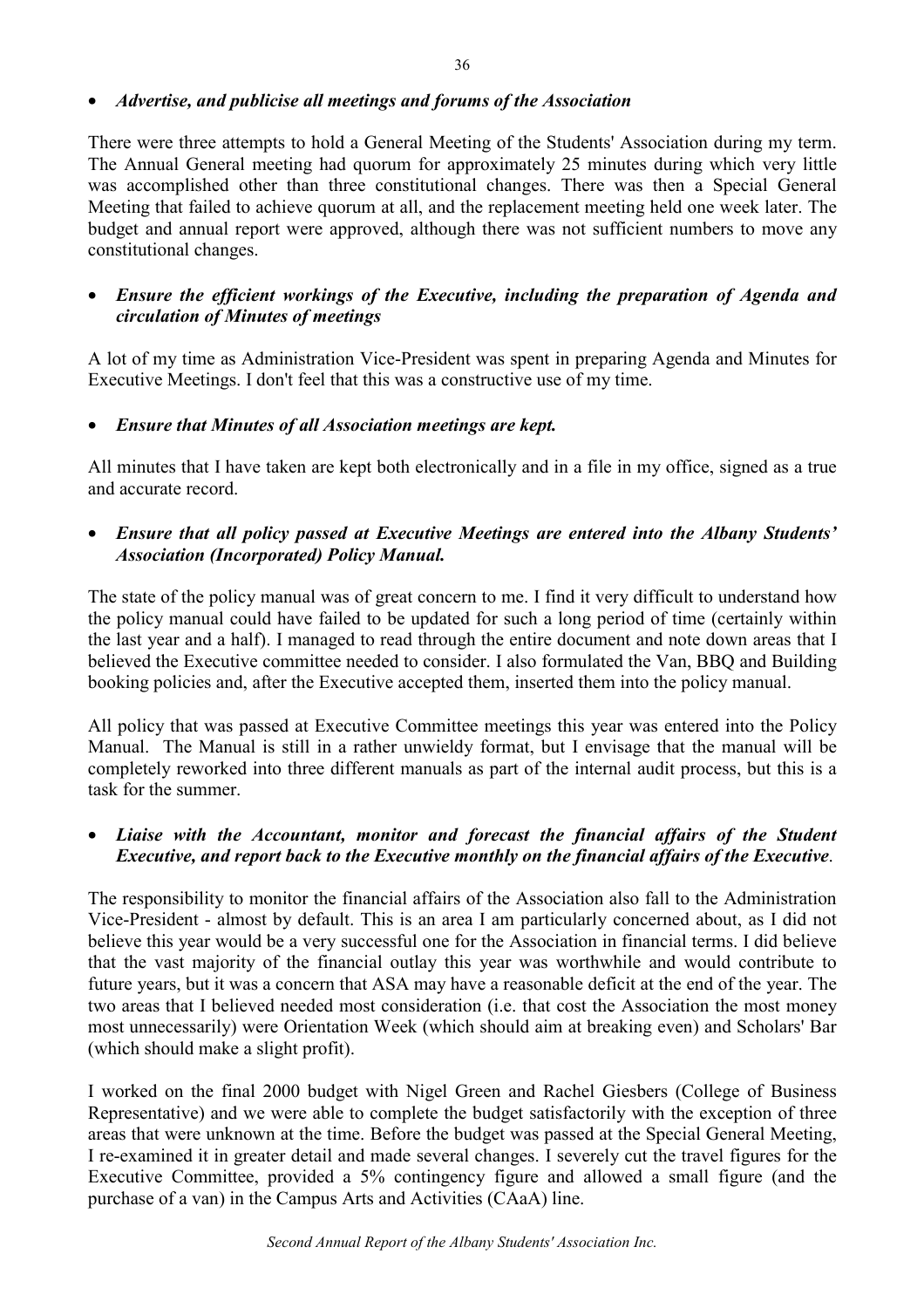#### • *Advertise, and publicise all meetings and forums of the Association*

There were three attempts to hold a General Meeting of the Students' Association during my term. The Annual General meeting had quorum for approximately 25 minutes during which very little was accomplished other than three constitutional changes. There was then a Special General Meeting that failed to achieve quorum at all, and the replacement meeting held one week later. The budget and annual report were approved, although there was not sufficient numbers to move any constitutional changes.

#### • *Ensure the efficient workings of the Executive, including the preparation of Agenda and circulation of Minutes of meetings*

A lot of my time as Administration Vice-President was spent in preparing Agenda and Minutes for Executive Meetings. I don't feel that this was a constructive use of my time.

#### • *Ensure that Minutes of all Association meetings are kept.*

All minutes that I have taken are kept both electronically and in a file in my office, signed as a true and accurate record.

#### • *Ensure that all policy passed at Executive Meetings are entered into the Albany Students' Association (Incorporated) Policy Manual.*

The state of the policy manual was of great concern to me. I find it very difficult to understand how the policy manual could have failed to be updated for such a long period of time (certainly within the last year and a half). I managed to read through the entire document and note down areas that I believed the Executive committee needed to consider. I also formulated the Van, BBQ and Building booking policies and, after the Executive accepted them, inserted them into the policy manual.

All policy that was passed at Executive Committee meetings this year was entered into the Policy Manual. The Manual is still in a rather unwieldy format, but I envisage that the manual will be completely reworked into three different manuals as part of the internal audit process, but this is a task for the summer.

#### • *Liaise with the Accountant, monitor and forecast the financial affairs of the Student Executive, and report back to the Executive monthly on the financial affairs of the Executive*.

The responsibility to monitor the financial affairs of the Association also fall to the Administration Vice-President - almost by default. This is an area I am particularly concerned about, as I did not believe this year would be a very successful one for the Association in financial terms. I did believe that the vast majority of the financial outlay this year was worthwhile and would contribute to future years, but it was a concern that ASA may have a reasonable deficit at the end of the year. The two areas that I believed needed most consideration (i.e. that cost the Association the most money most unnecessarily) were Orientation Week (which should aim at breaking even) and Scholars' Bar (which should make a slight profit).

I worked on the final 2000 budget with Nigel Green and Rachel Giesbers (College of Business Representative) and we were able to complete the budget satisfactorily with the exception of three areas that were unknown at the time. Before the budget was passed at the Special General Meeting, I re-examined it in greater detail and made several changes. I severely cut the travel figures for the Executive Committee, provided a 5% contingency figure and allowed a small figure (and the purchase of a van) in the Campus Arts and Activities (CAaA) line.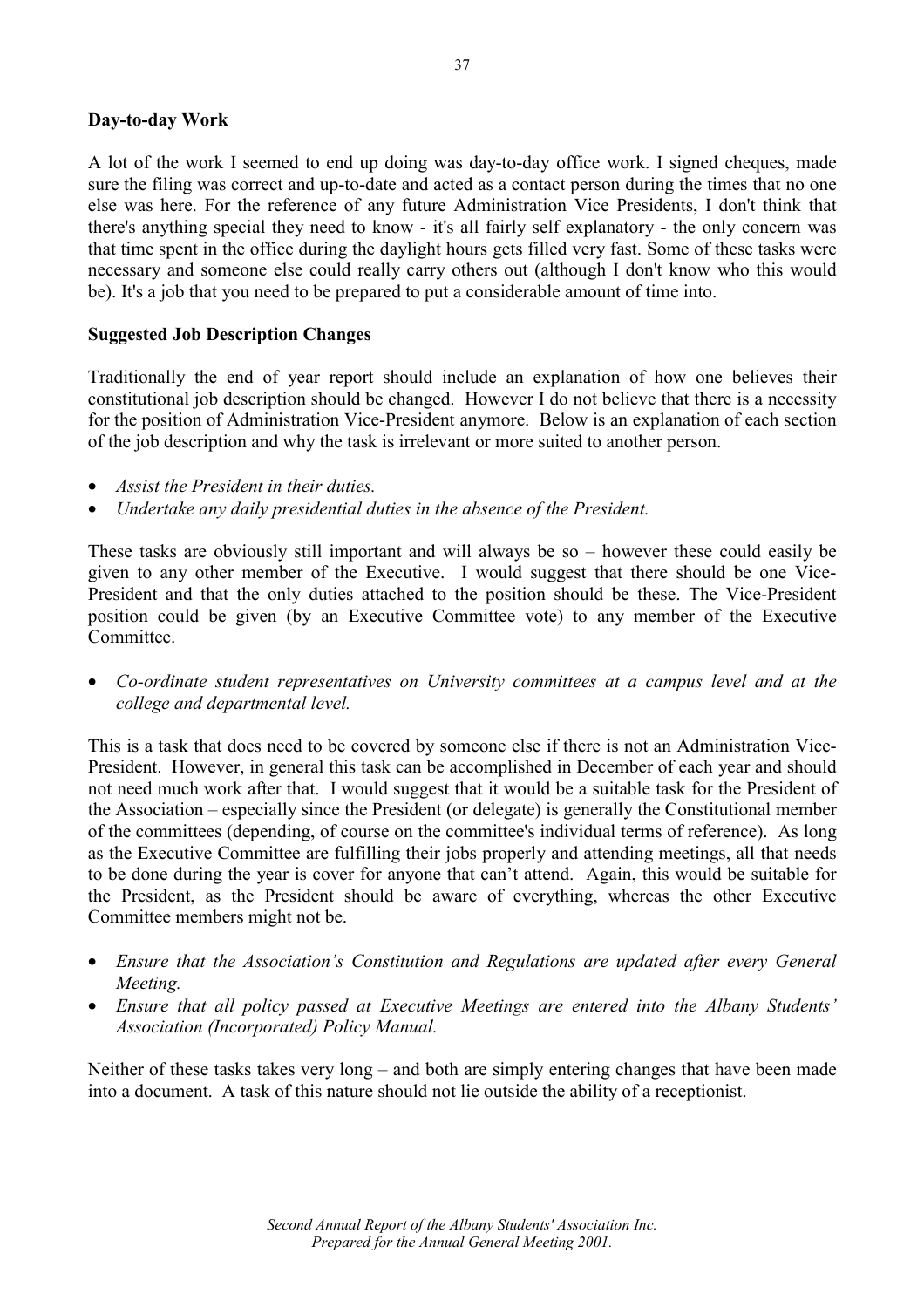#### **Day-to-day Work**

A lot of the work I seemed to end up doing was day-to-day office work. I signed cheques, made sure the filing was correct and up-to-date and acted as a contact person during the times that no one else was here. For the reference of any future Administration Vice Presidents, I don't think that there's anything special they need to know - it's all fairly self explanatory - the only concern was that time spent in the office during the daylight hours gets filled very fast. Some of these tasks were necessary and someone else could really carry others out (although I don't know who this would be). It's a job that you need to be prepared to put a considerable amount of time into.

#### **Suggested Job Description Changes**

Traditionally the end of year report should include an explanation of how one believes their constitutional job description should be changed. However I do not believe that there is a necessity for the position of Administration Vice-President anymore. Below is an explanation of each section of the job description and why the task is irrelevant or more suited to another person.

- *Assist the President in their duties.*
- *Undertake any daily presidential duties in the absence of the President.*

These tasks are obviously still important and will always be so – however these could easily be given to any other member of the Executive. I would suggest that there should be one Vice-President and that the only duties attached to the position should be these. The Vice-President position could be given (by an Executive Committee vote) to any member of the Executive **Committee** 

• *Co-ordinate student representatives on University committees at a campus level and at the college and departmental level.*

This is a task that does need to be covered by someone else if there is not an Administration Vice-President. However, in general this task can be accomplished in December of each year and should not need much work after that. I would suggest that it would be a suitable task for the President of the Association – especially since the President (or delegate) is generally the Constitutional member of the committees (depending, of course on the committee's individual terms of reference). As long as the Executive Committee are fulfilling their jobs properly and attending meetings, all that needs to be done during the year is cover for anyone that can't attend. Again, this would be suitable for the President, as the President should be aware of everything, whereas the other Executive Committee members might not be.

- *Ensure that the Association's Constitution and Regulations are updated after every General Meeting.*
- *Ensure that all policy passed at Executive Meetings are entered into the Albany Students' Association (Incorporated) Policy Manual.*

Neither of these tasks takes very long – and both are simply entering changes that have been made into a document. A task of this nature should not lie outside the ability of a receptionist.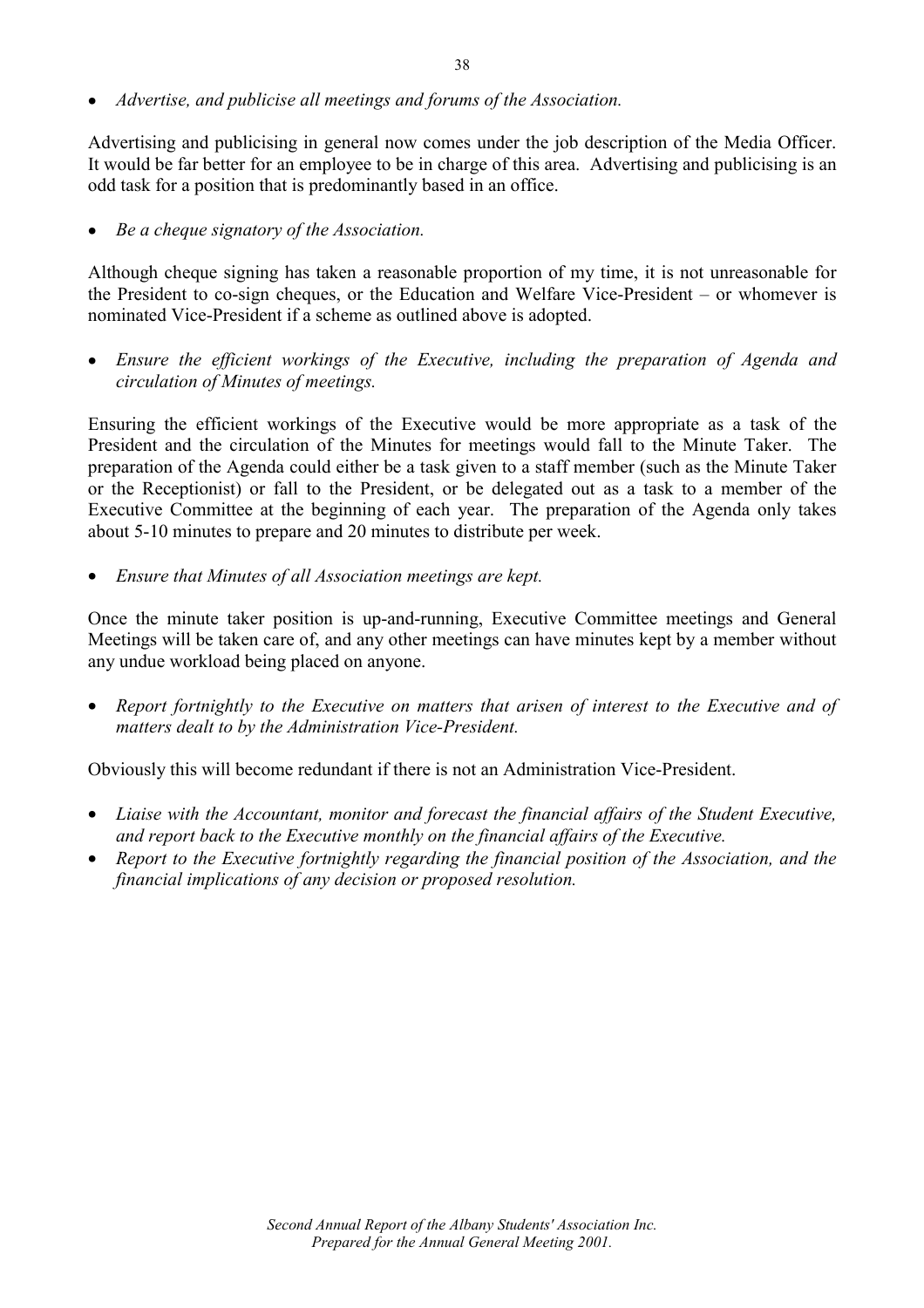• *Advertise, and publicise all meetings and forums of the Association.*

Advertising and publicising in general now comes under the job description of the Media Officer. It would be far better for an employee to be in charge of this area. Advertising and publicising is an odd task for a position that is predominantly based in an office.

• *Be a cheque signatory of the Association.*

Although cheque signing has taken a reasonable proportion of my time, it is not unreasonable for the President to co-sign cheques, or the Education and Welfare Vice-President – or whomever is nominated Vice-President if a scheme as outlined above is adopted.

• *Ensure the efficient workings of the Executive, including the preparation of Agenda and circulation of Minutes of meetings.*

Ensuring the efficient workings of the Executive would be more appropriate as a task of the President and the circulation of the Minutes for meetings would fall to the Minute Taker. The preparation of the Agenda could either be a task given to a staff member (such as the Minute Taker or the Receptionist) or fall to the President, or be delegated out as a task to a member of the Executive Committee at the beginning of each year. The preparation of the Agenda only takes about 5-10 minutes to prepare and 20 minutes to distribute per week.

• *Ensure that Minutes of all Association meetings are kept.*

Once the minute taker position is up-and-running, Executive Committee meetings and General Meetings will be taken care of, and any other meetings can have minutes kept by a member without any undue workload being placed on anyone.

• *Report fortnightly to the Executive on matters that arisen of interest to the Executive and of matters dealt to by the Administration Vice-President.*

Obviously this will become redundant if there is not an Administration Vice-President.

- *Liaise with the Accountant, monitor and forecast the financial affairs of the Student Executive, and report back to the Executive monthly on the financial affairs of the Executive.*
- *Report to the Executive fortnightly regarding the financial position of the Association, and the financial implications of any decision or proposed resolution.*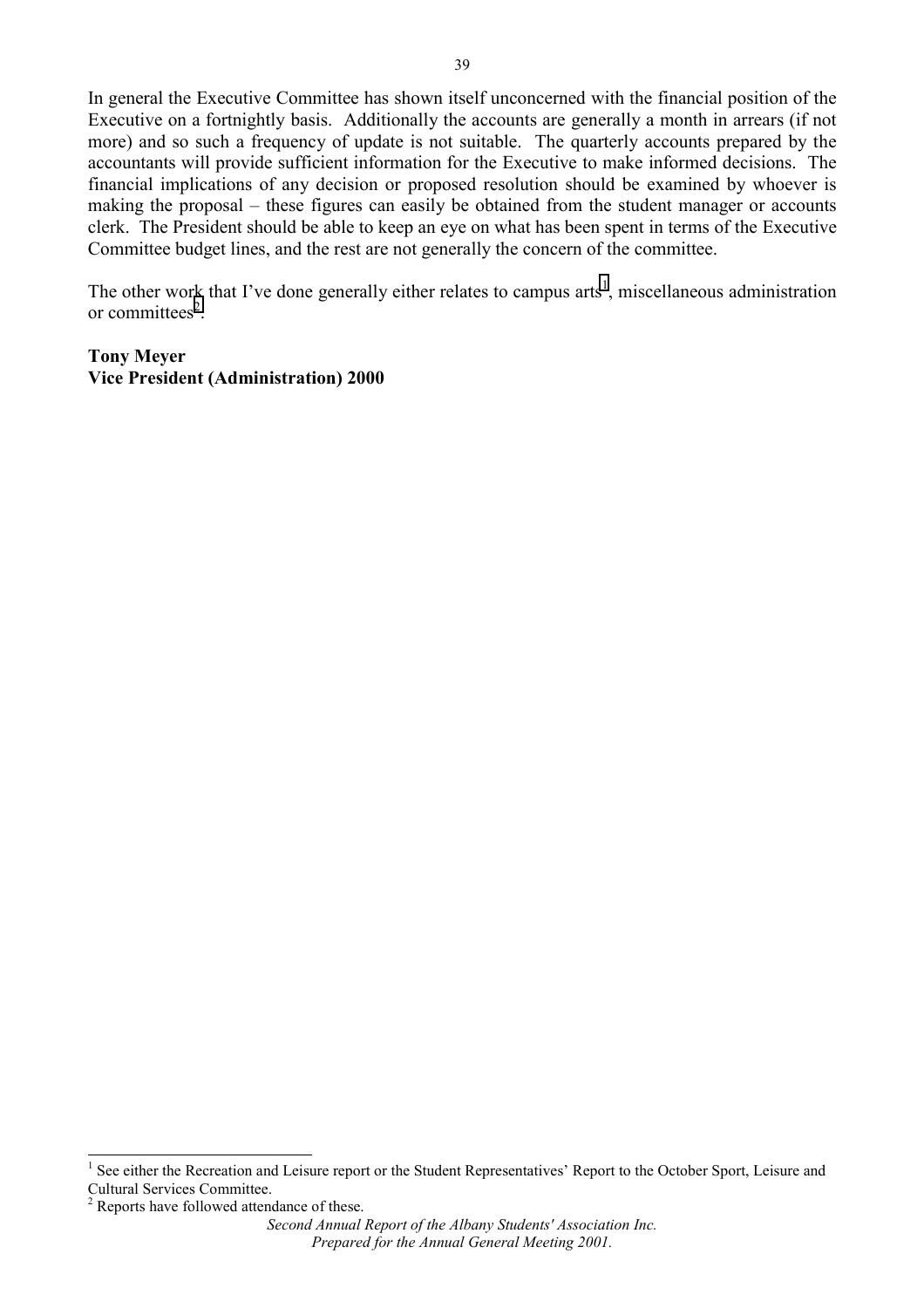In general the Executive Committee has shown itself unconcerned with the financial position of the Executive on a fortnightly basis. Additionally the accounts are generally a month in arrears (if not more) and so such a frequency of update is not suitable. The quarterly accounts prepared by the accountants will provide sufficient information for the Executive to make informed decisions. The financial implications of any decision or proposed resolution should be examined by whoever is making the proposal – these figures can easily be obtained from the student manager or accounts clerk. The President should be able to keep an eye on what has been spent in terms of the Executive Committee budget lines, and the rest are not generally the concern of the committee.

The other work that I've done generally either relates to campus  $arts<sup>1</sup>$ , miscellaneous administration or committees<sup>2</sup>.

#### **Tony Meyer Vice President (Administration) 2000**

 $\overline{a}$ 

<sup>&</sup>lt;sup>1</sup> See either the Recreation and Leisure report or the Student Representatives' Report to the October Sport, Leisure and Cultural Services Committee.

<sup>&</sup>lt;sup>2</sup> Reports have followed attendance of these.

*Second Annual Report of the Albany Students' Association Inc. Prepared for the Annual General Meeting 2001.*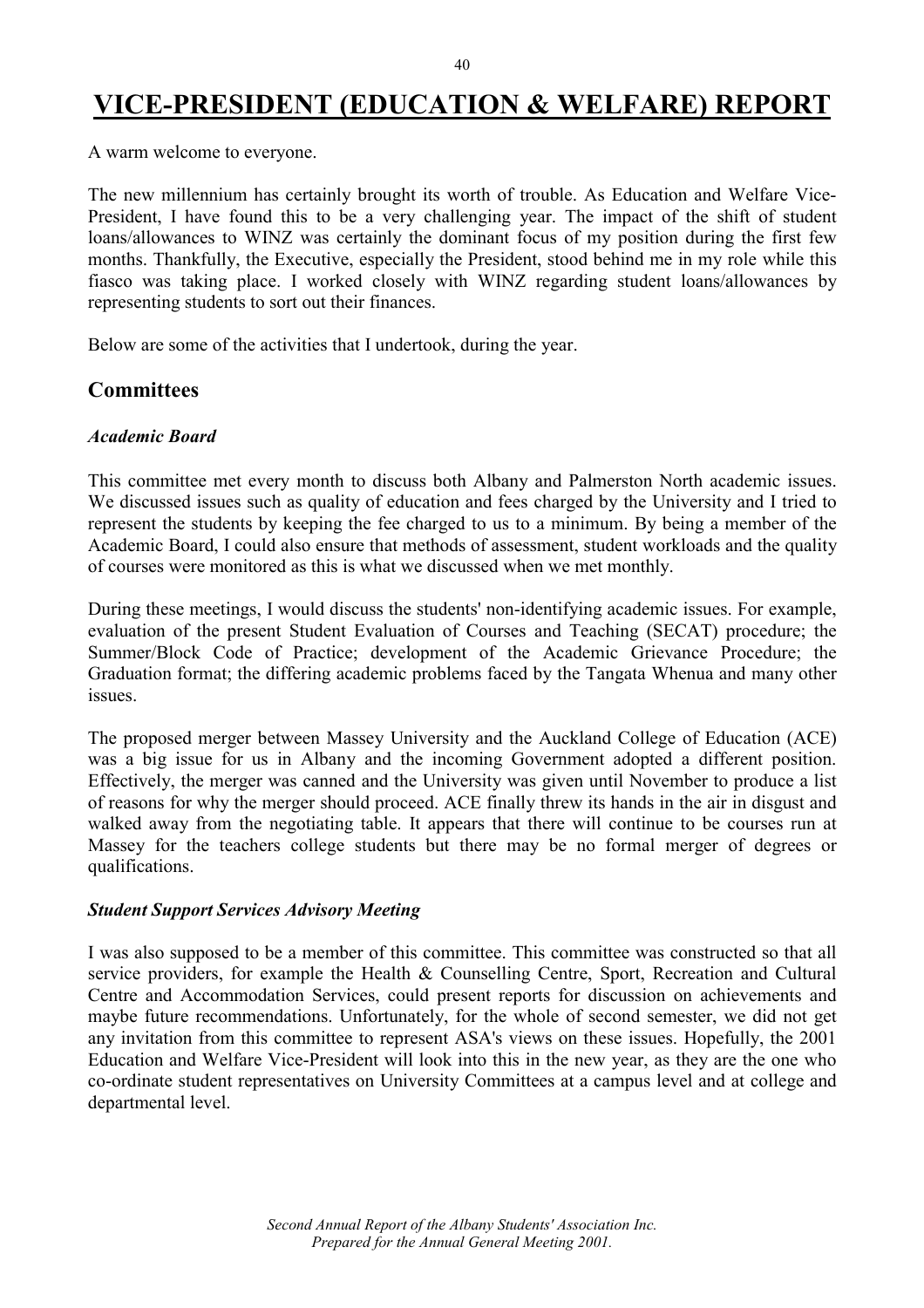## **VICE-PRESIDENT (EDUCATION & WELFARE) REPORT**

A warm welcome to everyone.

The new millennium has certainly brought its worth of trouble. As Education and Welfare Vice-President, I have found this to be a very challenging year. The impact of the shift of student loans/allowances to WINZ was certainly the dominant focus of my position during the first few months. Thankfully, the Executive, especially the President, stood behind me in my role while this fiasco was taking place. I worked closely with WINZ regarding student loans/allowances by representing students to sort out their finances.

Below are some of the activities that I undertook, during the year.

#### **Committees**

#### *Academic Board*

This committee met every month to discuss both Albany and Palmerston North academic issues. We discussed issues such as quality of education and fees charged by the University and I tried to represent the students by keeping the fee charged to us to a minimum. By being a member of the Academic Board, I could also ensure that methods of assessment, student workloads and the quality of courses were monitored as this is what we discussed when we met monthly.

During these meetings, I would discuss the students' non-identifying academic issues. For example, evaluation of the present Student Evaluation of Courses and Teaching (SECAT) procedure; the Summer/Block Code of Practice; development of the Academic Grievance Procedure; the Graduation format; the differing academic problems faced by the Tangata Whenua and many other issues.

The proposed merger between Massey University and the Auckland College of Education (ACE) was a big issue for us in Albany and the incoming Government adopted a different position. Effectively, the merger was canned and the University was given until November to produce a list of reasons for why the merger should proceed. ACE finally threw its hands in the air in disgust and walked away from the negotiating table. It appears that there will continue to be courses run at Massey for the teachers college students but there may be no formal merger of degrees or qualifications.

#### *Student Support Services Advisory Meeting*

I was also supposed to be a member of this committee. This committee was constructed so that all service providers, for example the Health & Counselling Centre, Sport, Recreation and Cultural Centre and Accommodation Services, could present reports for discussion on achievements and maybe future recommendations. Unfortunately, for the whole of second semester, we did not get any invitation from this committee to represent ASA's views on these issues. Hopefully, the 2001 Education and Welfare Vice-President will look into this in the new year, as they are the one who co-ordinate student representatives on University Committees at a campus level and at college and departmental level.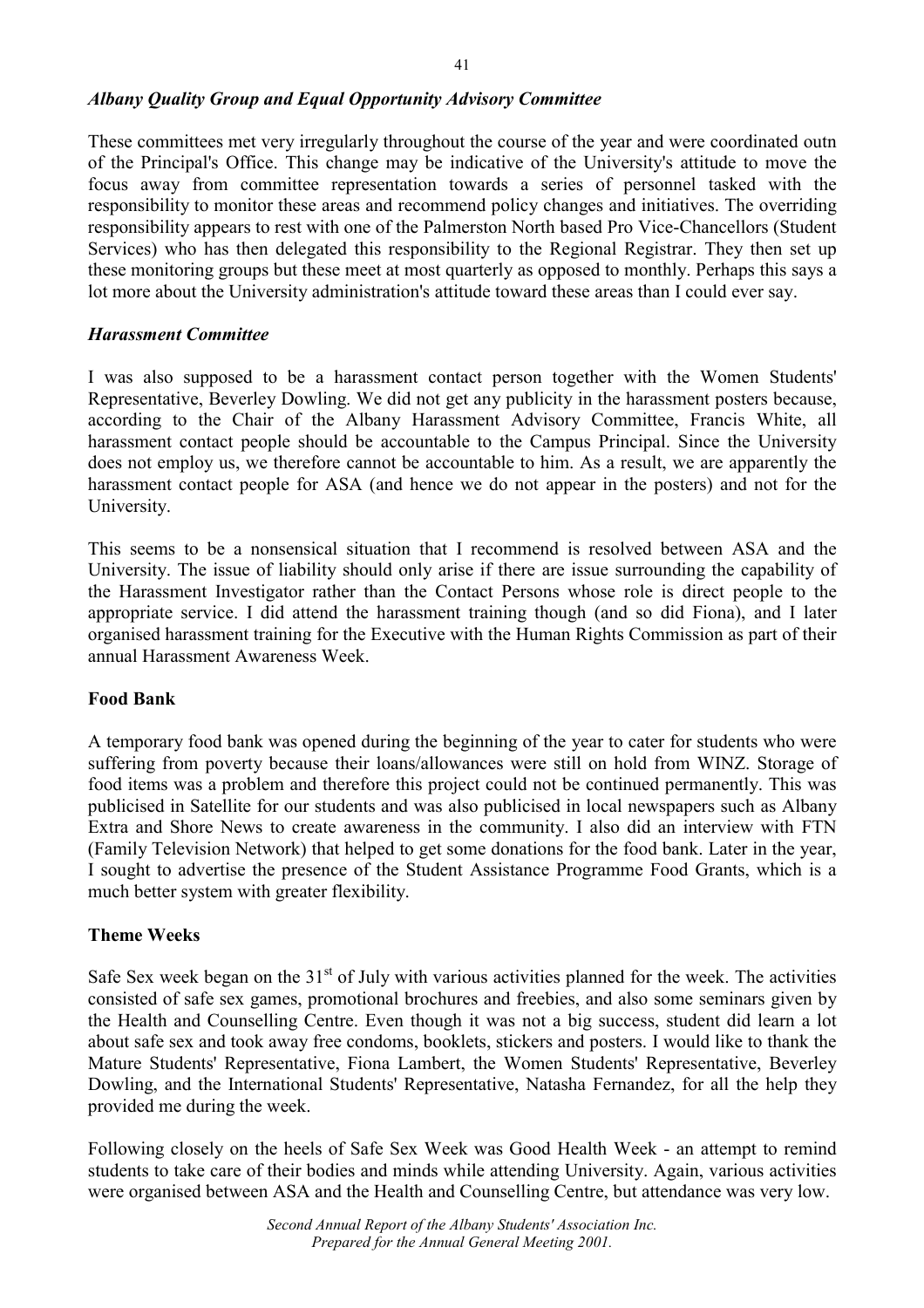#### *Albany Quality Group and Equal Opportunity Advisory Committee*

These committees met very irregularly throughout the course of the year and were coordinated outn of the Principal's Office. This change may be indicative of the University's attitude to move the focus away from committee representation towards a series of personnel tasked with the responsibility to monitor these areas and recommend policy changes and initiatives. The overriding responsibility appears to rest with one of the Palmerston North based Pro Vice-Chancellors (Student Services) who has then delegated this responsibility to the Regional Registrar. They then set up these monitoring groups but these meet at most quarterly as opposed to monthly. Perhaps this says a lot more about the University administration's attitude toward these areas than I could ever say.

#### *Harassment Committee*

I was also supposed to be a harassment contact person together with the Women Students' Representative, Beverley Dowling. We did not get any publicity in the harassment posters because, according to the Chair of the Albany Harassment Advisory Committee, Francis White, all harassment contact people should be accountable to the Campus Principal. Since the University does not employ us, we therefore cannot be accountable to him. As a result, we are apparently the harassment contact people for ASA (and hence we do not appear in the posters) and not for the University.

This seems to be a nonsensical situation that I recommend is resolved between ASA and the University. The issue of liability should only arise if there are issue surrounding the capability of the Harassment Investigator rather than the Contact Persons whose role is direct people to the appropriate service. I did attend the harassment training though (and so did Fiona), and I later organised harassment training for the Executive with the Human Rights Commission as part of their annual Harassment Awareness Week.

#### **Food Bank**

A temporary food bank was opened during the beginning of the year to cater for students who were suffering from poverty because their loans/allowances were still on hold from WINZ. Storage of food items was a problem and therefore this project could not be continued permanently. This was publicised in Satellite for our students and was also publicised in local newspapers such as Albany Extra and Shore News to create awareness in the community. I also did an interview with FTN (Family Television Network) that helped to get some donations for the food bank. Later in the year, I sought to advertise the presence of the Student Assistance Programme Food Grants, which is a much better system with greater flexibility.

#### **Theme Weeks**

Safe Sex week began on the  $31<sup>st</sup>$  of July with various activities planned for the week. The activities consisted of safe sex games, promotional brochures and freebies, and also some seminars given by the Health and Counselling Centre. Even though it was not a big success, student did learn a lot about safe sex and took away free condoms, booklets, stickers and posters. I would like to thank the Mature Students' Representative, Fiona Lambert, the Women Students' Representative, Beverley Dowling, and the International Students' Representative, Natasha Fernandez, for all the help they provided me during the week.

Following closely on the heels of Safe Sex Week was Good Health Week - an attempt to remind students to take care of their bodies and minds while attending University. Again, various activities were organised between ASA and the Health and Counselling Centre, but attendance was very low.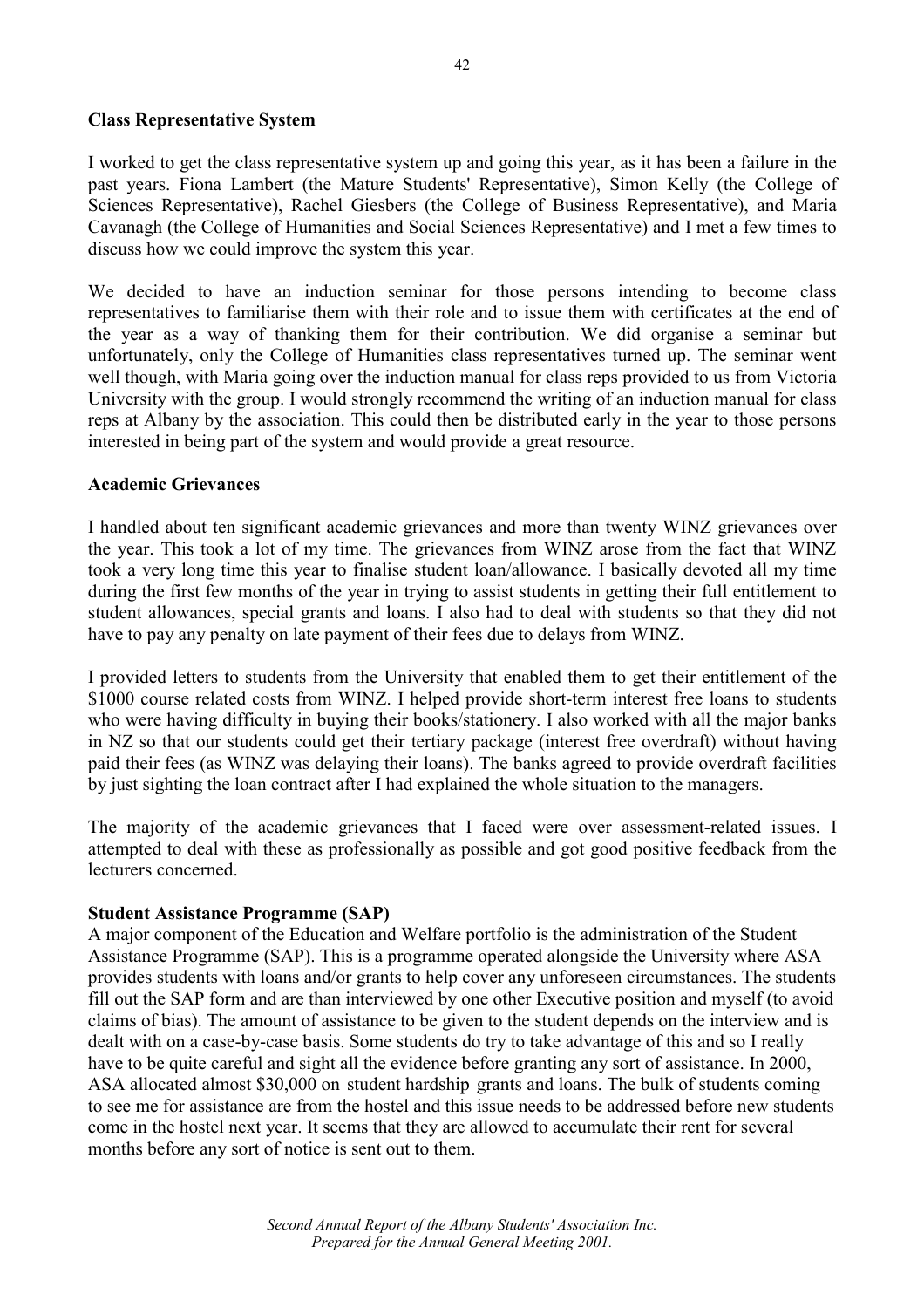#### **Class Representative System**

I worked to get the class representative system up and going this year, as it has been a failure in the past years. Fiona Lambert (the Mature Students' Representative), Simon Kelly (the College of Sciences Representative), Rachel Giesbers (the College of Business Representative), and Maria Cavanagh (the College of Humanities and Social Sciences Representative) and I met a few times to discuss how we could improve the system this year.

We decided to have an induction seminar for those persons intending to become class representatives to familiarise them with their role and to issue them with certificates at the end of the year as a way of thanking them for their contribution. We did organise a seminar but unfortunately, only the College of Humanities class representatives turned up. The seminar went well though, with Maria going over the induction manual for class reps provided to us from Victoria University with the group. I would strongly recommend the writing of an induction manual for class reps at Albany by the association. This could then be distributed early in the year to those persons interested in being part of the system and would provide a great resource.

#### **Academic Grievances**

I handled about ten significant academic grievances and more than twenty WINZ grievances over the year. This took a lot of my time. The grievances from WINZ arose from the fact that WINZ took a very long time this year to finalise student loan/allowance. I basically devoted all my time during the first few months of the year in trying to assist students in getting their full entitlement to student allowances, special grants and loans. I also had to deal with students so that they did not have to pay any penalty on late payment of their fees due to delays from WINZ.

I provided letters to students from the University that enabled them to get their entitlement of the \$1000 course related costs from WINZ. I helped provide short-term interest free loans to students who were having difficulty in buying their books/stationery. I also worked with all the major banks in NZ so that our students could get their tertiary package (interest free overdraft) without having paid their fees (as WINZ was delaying their loans). The banks agreed to provide overdraft facilities by just sighting the loan contract after I had explained the whole situation to the managers.

The majority of the academic grievances that I faced were over assessment-related issues. I attempted to deal with these as professionally as possible and got good positive feedback from the lecturers concerned.

#### **Student Assistance Programme (SAP)**

A major component of the Education and Welfare portfolio is the administration of the Student Assistance Programme (SAP). This is a programme operated alongside the University where ASA provides students with loans and/or grants to help cover any unforeseen circumstances. The students fill out the SAP form and are than interviewed by one other Executive position and myself (to avoid claims of bias). The amount of assistance to be given to the student depends on the interview and is dealt with on a case-by-case basis. Some students do try to take advantage of this and so I really have to be quite careful and sight all the evidence before granting any sort of assistance. In 2000, ASA allocated almost \$30,000 on student hardship grants and loans. The bulk of students coming to see me for assistance are from the hostel and this issue needs to be addressed before new students come in the hostel next year. It seems that they are allowed to accumulate their rent for several months before any sort of notice is sent out to them.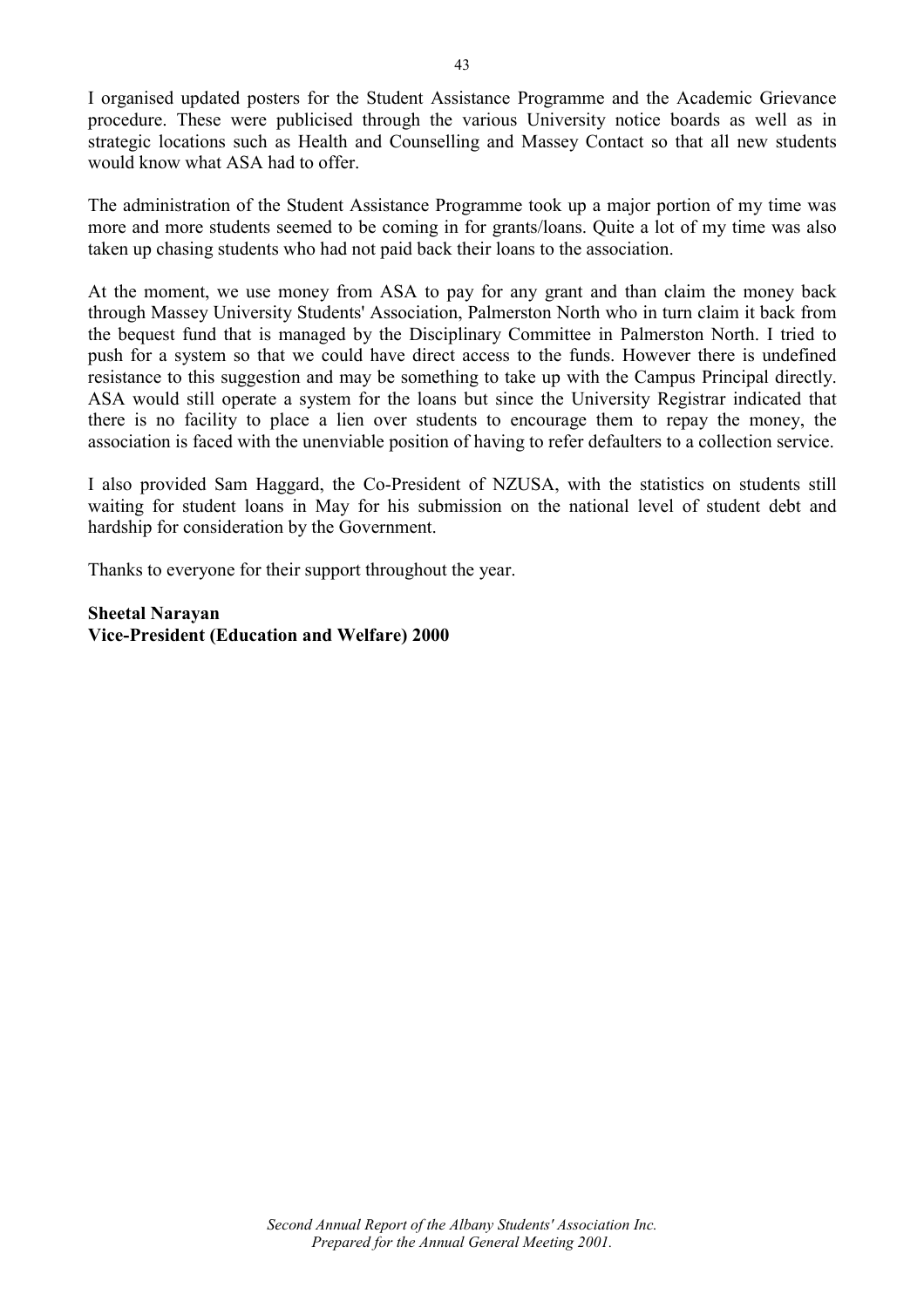I organised updated posters for the Student Assistance Programme and the Academic Grievance procedure. These were publicised through the various University notice boards as well as in strategic locations such as Health and Counselling and Massey Contact so that all new students would know what ASA had to offer.

The administration of the Student Assistance Programme took up a major portion of my time was more and more students seemed to be coming in for grants/loans. Quite a lot of my time was also taken up chasing students who had not paid back their loans to the association.

At the moment, we use money from ASA to pay for any grant and than claim the money back through Massey University Students' Association, Palmerston North who in turn claim it back from the bequest fund that is managed by the Disciplinary Committee in Palmerston North. I tried to push for a system so that we could have direct access to the funds. However there is undefined resistance to this suggestion and may be something to take up with the Campus Principal directly. ASA would still operate a system for the loans but since the University Registrar indicated that there is no facility to place a lien over students to encourage them to repay the money, the association is faced with the unenviable position of having to refer defaulters to a collection service.

I also provided Sam Haggard, the Co-President of NZUSA, with the statistics on students still waiting for student loans in May for his submission on the national level of student debt and hardship for consideration by the Government.

Thanks to everyone for their support throughout the year.

#### **Sheetal Narayan Vice-President (Education and Welfare) 2000**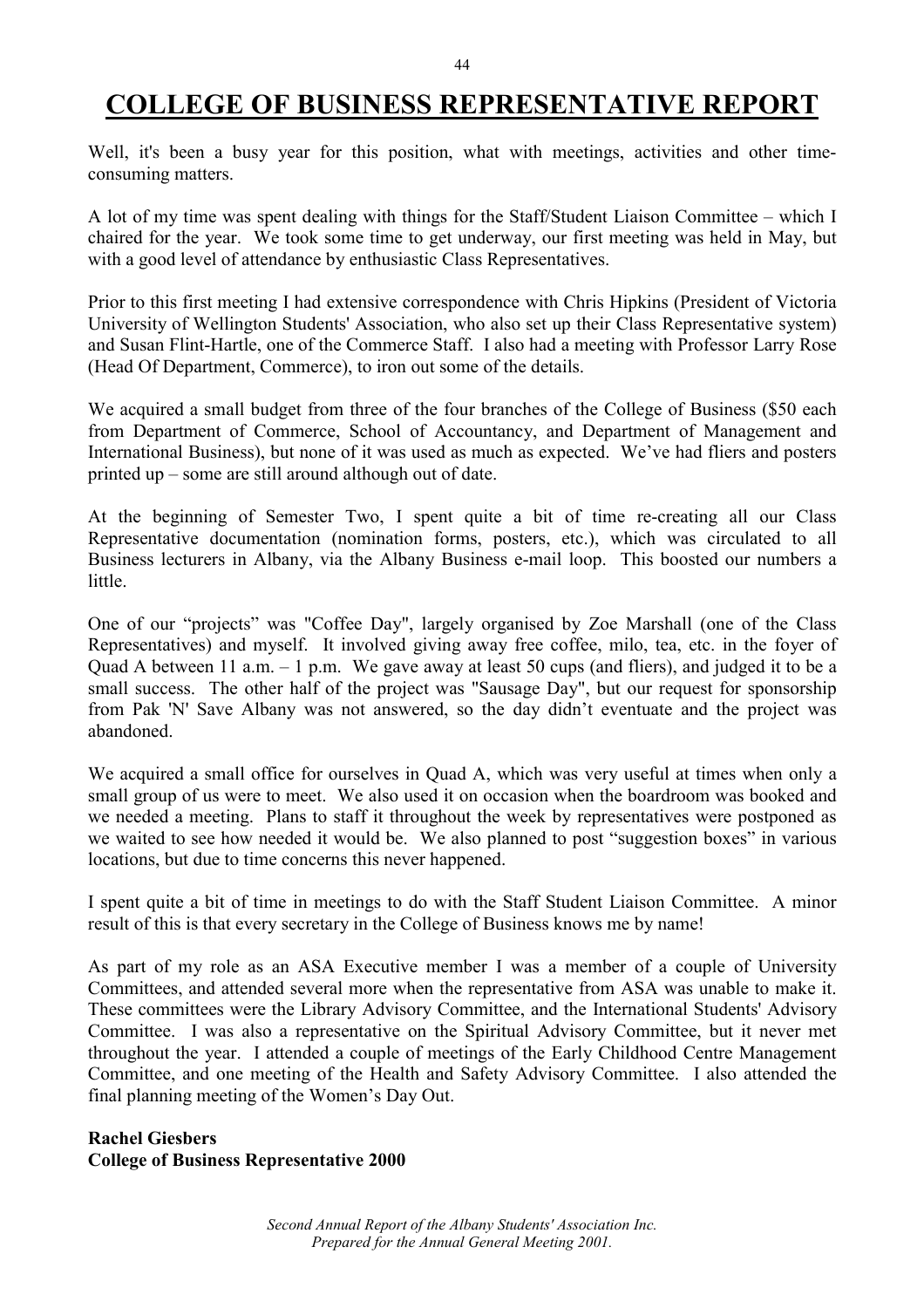## **COLLEGE OF BUSINESS REPRESENTATIVE REPORT**

Well, it's been a busy year for this position, what with meetings, activities and other timeconsuming matters.

A lot of my time was spent dealing with things for the Staff/Student Liaison Committee – which I chaired for the year. We took some time to get underway, our first meeting was held in May, but with a good level of attendance by enthusiastic Class Representatives.

Prior to this first meeting I had extensive correspondence with Chris Hipkins (President of Victoria University of Wellington Students' Association, who also set up their Class Representative system) and Susan Flint-Hartle, one of the Commerce Staff. I also had a meeting with Professor Larry Rose (Head Of Department, Commerce), to iron out some of the details.

We acquired a small budget from three of the four branches of the College of Business (\$50 each from Department of Commerce, School of Accountancy, and Department of Management and International Business), but none of it was used as much as expected. We've had fliers and posters printed up – some are still around although out of date.

At the beginning of Semester Two, I spent quite a bit of time re-creating all our Class Representative documentation (nomination forms, posters, etc.), which was circulated to all Business lecturers in Albany, via the Albany Business e-mail loop. This boosted our numbers a little.

One of our "projects" was "Coffee Day", largely organised by Zoe Marshall (one of the Class Representatives) and myself. It involved giving away free coffee, milo, tea, etc. in the foyer of Quad A between 11 a.m. – 1 p.m. We gave away at least 50 cups (and fliers), and judged it to be a small success. The other half of the project was "Sausage Day", but our request for sponsorship from Pak 'N' Save Albany was not answered, so the day didn't eventuate and the project was abandoned.

We acquired a small office for ourselves in Quad A, which was very useful at times when only a small group of us were to meet. We also used it on occasion when the boardroom was booked and we needed a meeting. Plans to staff it throughout the week by representatives were postponed as we waited to see how needed it would be. We also planned to post "suggestion boxes" in various locations, but due to time concerns this never happened.

I spent quite a bit of time in meetings to do with the Staff Student Liaison Committee. A minor result of this is that every secretary in the College of Business knows me by name!

As part of my role as an ASA Executive member I was a member of a couple of University Committees, and attended several more when the representative from ASA was unable to make it. These committees were the Library Advisory Committee, and the International Students' Advisory Committee. I was also a representative on the Spiritual Advisory Committee, but it never met throughout the year. I attended a couple of meetings of the Early Childhood Centre Management Committee, and one meeting of the Health and Safety Advisory Committee. I also attended the final planning meeting of the Women's Day Out.

**Rachel Giesbers College of Business Representative 2000**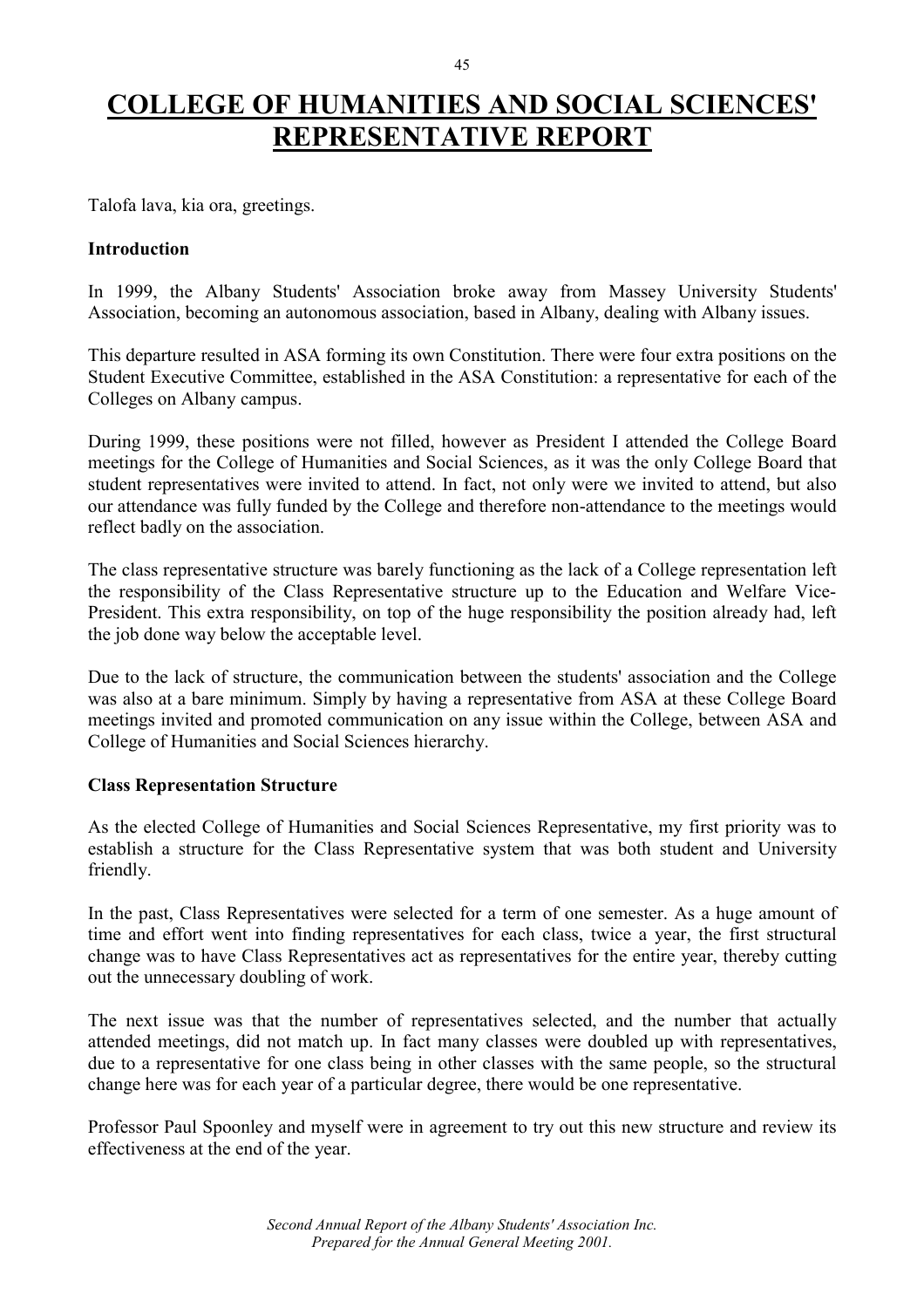## **COLLEGE OF HUMANITIES AND SOCIAL SCIENCES' REPRESENTATIVE REPORT**

Talofa lava, kia ora, greetings.

#### **Introduction**

In 1999, the Albany Students' Association broke away from Massey University Students' Association, becoming an autonomous association, based in Albany, dealing with Albany issues.

This departure resulted in ASA forming its own Constitution. There were four extra positions on the Student Executive Committee, established in the ASA Constitution: a representative for each of the Colleges on Albany campus.

During 1999, these positions were not filled, however as President I attended the College Board meetings for the College of Humanities and Social Sciences, as it was the only College Board that student representatives were invited to attend. In fact, not only were we invited to attend, but also our attendance was fully funded by the College and therefore non-attendance to the meetings would reflect badly on the association.

The class representative structure was barely functioning as the lack of a College representation left the responsibility of the Class Representative structure up to the Education and Welfare Vice-President. This extra responsibility, on top of the huge responsibility the position already had, left the job done way below the acceptable level.

Due to the lack of structure, the communication between the students' association and the College was also at a bare minimum. Simply by having a representative from ASA at these College Board meetings invited and promoted communication on any issue within the College, between ASA and College of Humanities and Social Sciences hierarchy.

#### **Class Representation Structure**

As the elected College of Humanities and Social Sciences Representative, my first priority was to establish a structure for the Class Representative system that was both student and University friendly.

In the past, Class Representatives were selected for a term of one semester. As a huge amount of time and effort went into finding representatives for each class, twice a year, the first structural change was to have Class Representatives act as representatives for the entire year, thereby cutting out the unnecessary doubling of work.

The next issue was that the number of representatives selected, and the number that actually attended meetings, did not match up. In fact many classes were doubled up with representatives, due to a representative for one class being in other classes with the same people, so the structural change here was for each year of a particular degree, there would be one representative.

Professor Paul Spoonley and myself were in agreement to try out this new structure and review its effectiveness at the end of the year.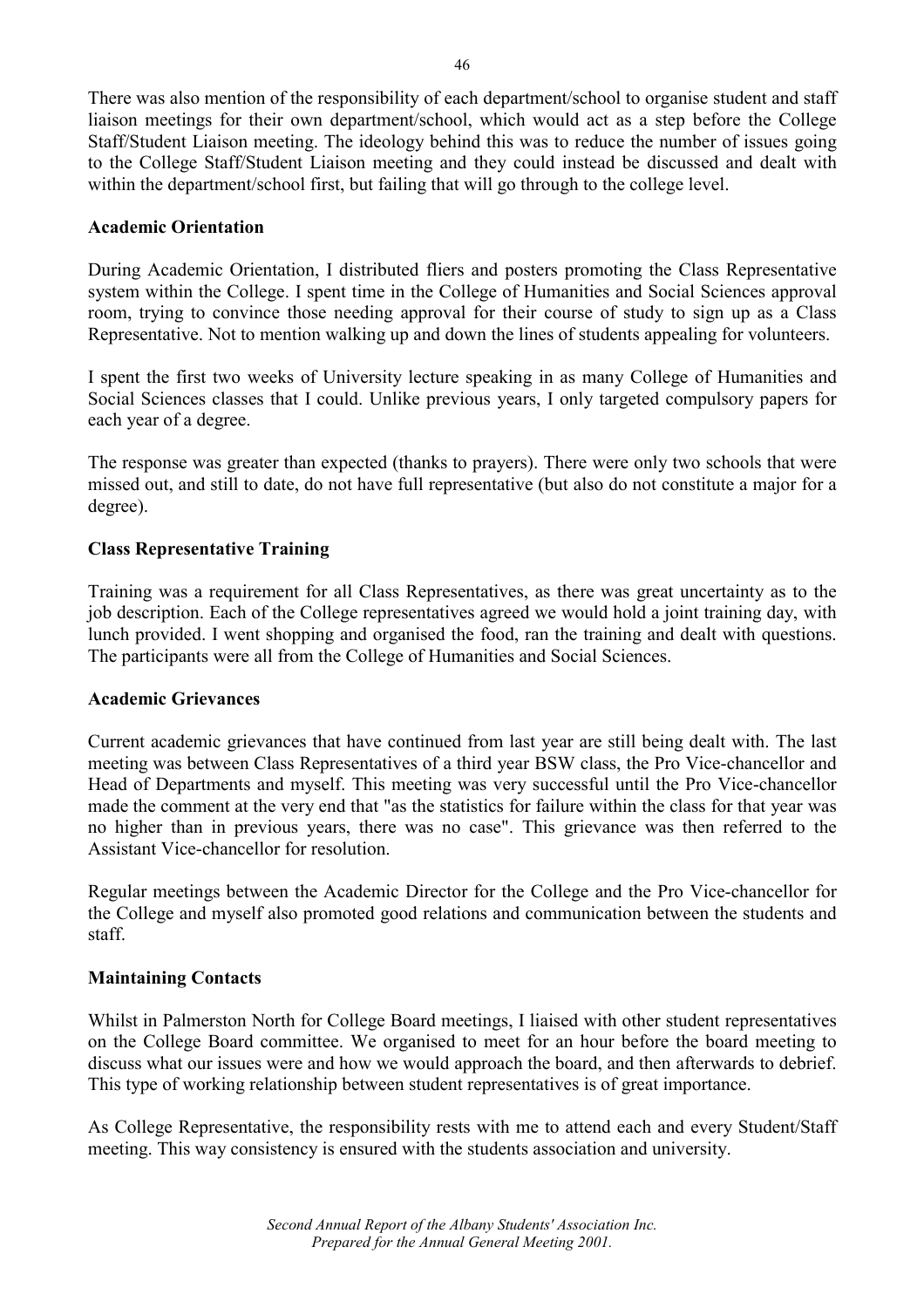There was also mention of the responsibility of each department/school to organise student and staff liaison meetings for their own department/school, which would act as a step before the College Staff/Student Liaison meeting. The ideology behind this was to reduce the number of issues going to the College Staff/Student Liaison meeting and they could instead be discussed and dealt with within the department/school first, but failing that will go through to the college level.

#### **Academic Orientation**

During Academic Orientation, I distributed fliers and posters promoting the Class Representative system within the College. I spent time in the College of Humanities and Social Sciences approval room, trying to convince those needing approval for their course of study to sign up as a Class Representative. Not to mention walking up and down the lines of students appealing for volunteers.

I spent the first two weeks of University lecture speaking in as many College of Humanities and Social Sciences classes that I could. Unlike previous years, I only targeted compulsory papers for each year of a degree.

The response was greater than expected (thanks to prayers). There were only two schools that were missed out, and still to date, do not have full representative (but also do not constitute a major for a degree).

#### **Class Representative Training**

Training was a requirement for all Class Representatives, as there was great uncertainty as to the job description. Each of the College representatives agreed we would hold a joint training day, with lunch provided. I went shopping and organised the food, ran the training and dealt with questions. The participants were all from the College of Humanities and Social Sciences.

#### **Academic Grievances**

Current academic grievances that have continued from last year are still being dealt with. The last meeting was between Class Representatives of a third year BSW class, the Pro Vice-chancellor and Head of Departments and myself. This meeting was very successful until the Pro Vice-chancellor made the comment at the very end that "as the statistics for failure within the class for that year was no higher than in previous years, there was no case". This grievance was then referred to the Assistant Vice-chancellor for resolution.

Regular meetings between the Academic Director for the College and the Pro Vice-chancellor for the College and myself also promoted good relations and communication between the students and staff.

#### **Maintaining Contacts**

Whilst in Palmerston North for College Board meetings, I liaised with other student representatives on the College Board committee. We organised to meet for an hour before the board meeting to discuss what our issues were and how we would approach the board, and then afterwards to debrief. This type of working relationship between student representatives is of great importance.

As College Representative, the responsibility rests with me to attend each and every Student/Staff meeting. This way consistency is ensured with the students association and university.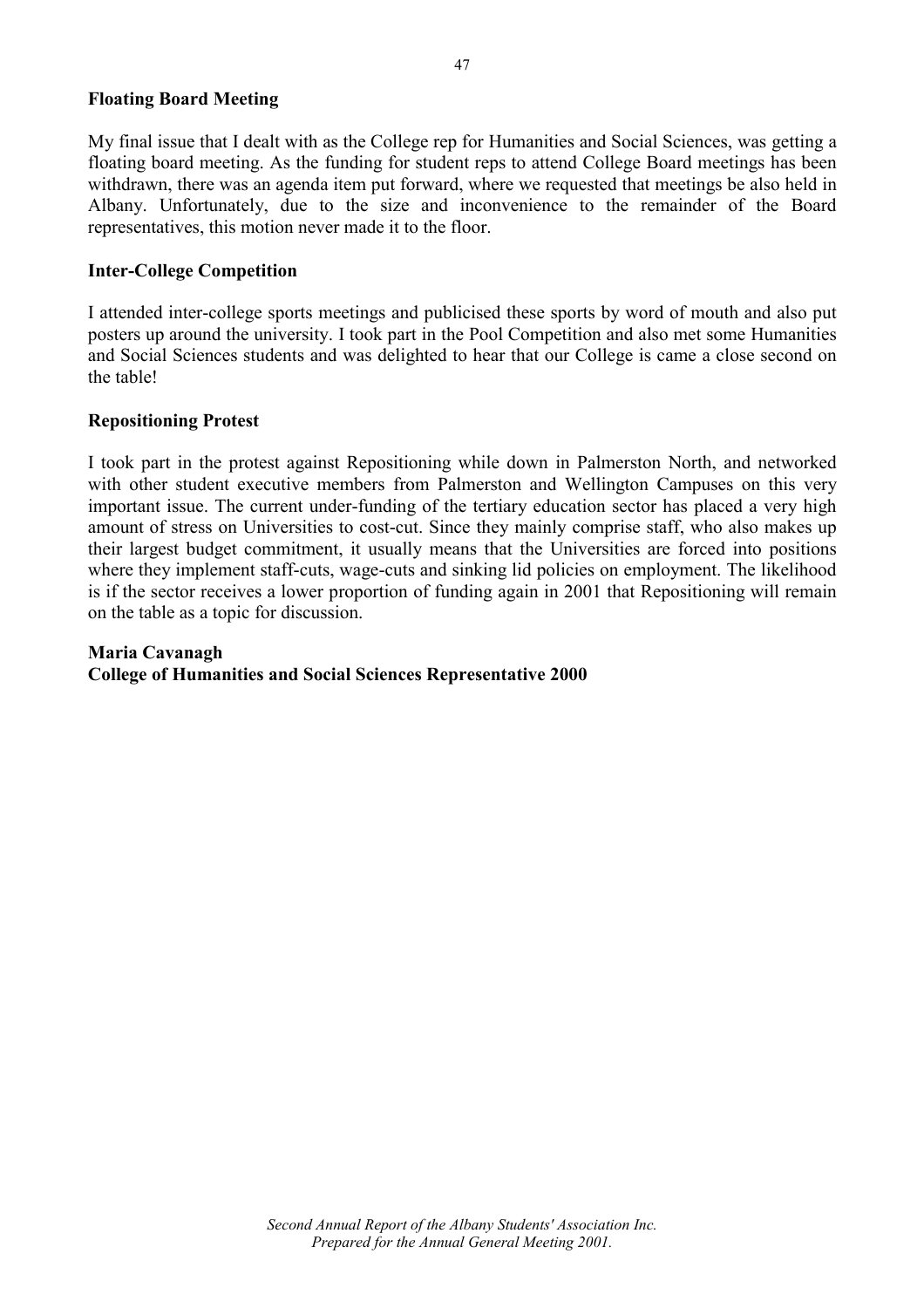#### **Floating Board Meeting**

My final issue that I dealt with as the College rep for Humanities and Social Sciences, was getting a floating board meeting. As the funding for student reps to attend College Board meetings has been withdrawn, there was an agenda item put forward, where we requested that meetings be also held in Albany. Unfortunately, due to the size and inconvenience to the remainder of the Board representatives, this motion never made it to the floor.

#### **Inter-College Competition**

I attended inter-college sports meetings and publicised these sports by word of mouth and also put posters up around the university. I took part in the Pool Competition and also met some Humanities and Social Sciences students and was delighted to hear that our College is came a close second on the table!

#### **Repositioning Protest**

I took part in the protest against Repositioning while down in Palmerston North, and networked with other student executive members from Palmerston and Wellington Campuses on this very important issue. The current under-funding of the tertiary education sector has placed a very high amount of stress on Universities to cost-cut. Since they mainly comprise staff, who also makes up their largest budget commitment, it usually means that the Universities are forced into positions where they implement staff-cuts, wage-cuts and sinking lid policies on employment. The likelihood is if the sector receives a lower proportion of funding again in 2001 that Repositioning will remain on the table as a topic for discussion.

#### **Maria Cavanagh College of Humanities and Social Sciences Representative 2000**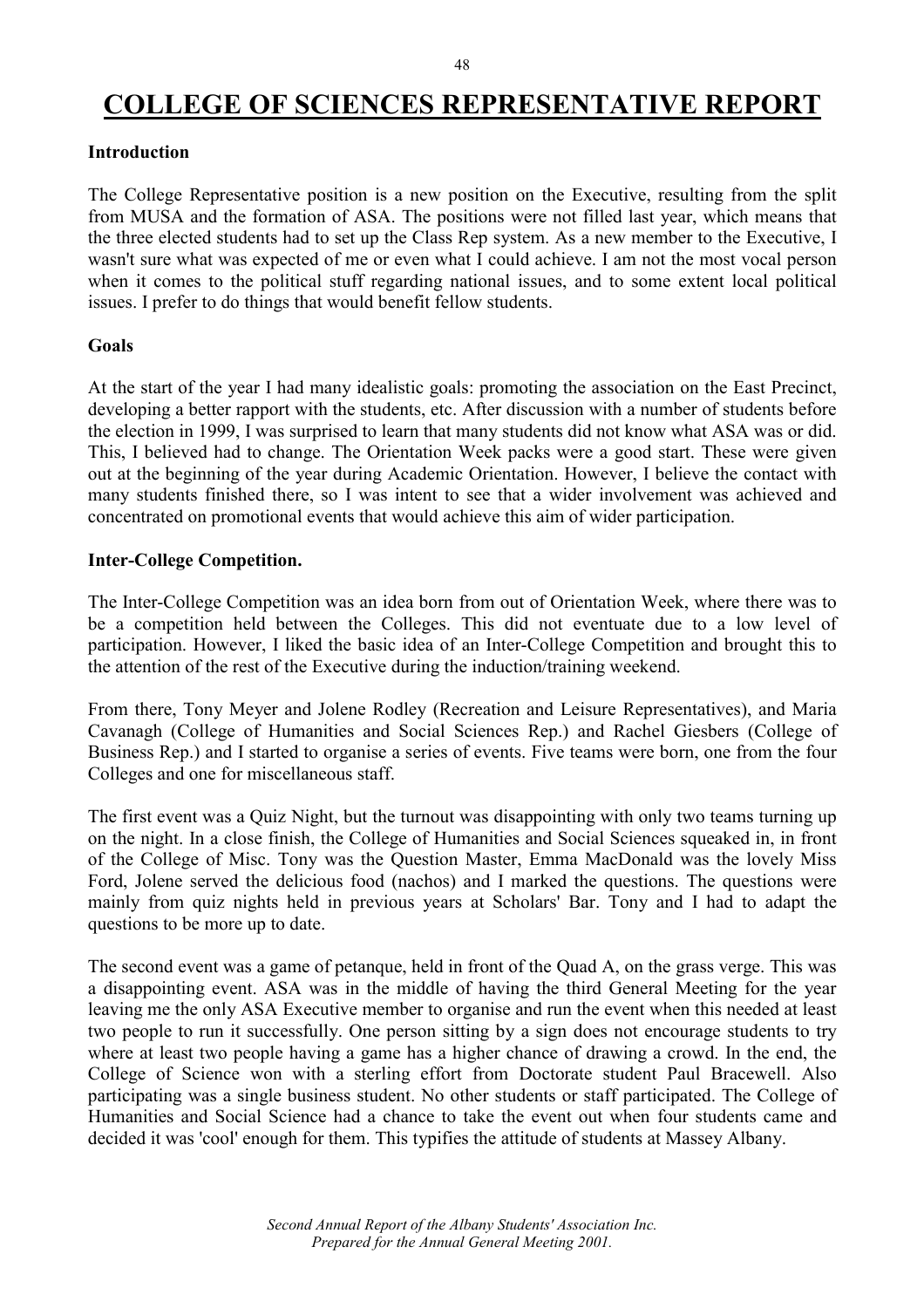## **COLLEGE OF SCIENCES REPRESENTATIVE REPORT**

#### **Introduction**

The College Representative position is a new position on the Executive, resulting from the split from MUSA and the formation of ASA. The positions were not filled last year, which means that the three elected students had to set up the Class Rep system. As a new member to the Executive, I wasn't sure what was expected of me or even what I could achieve. I am not the most vocal person when it comes to the political stuff regarding national issues, and to some extent local political issues. I prefer to do things that would benefit fellow students.

#### **Goals**

At the start of the year I had many idealistic goals: promoting the association on the East Precinct, developing a better rapport with the students, etc. After discussion with a number of students before the election in 1999, I was surprised to learn that many students did not know what ASA was or did. This, I believed had to change. The Orientation Week packs were a good start. These were given out at the beginning of the year during Academic Orientation. However, I believe the contact with many students finished there, so I was intent to see that a wider involvement was achieved and concentrated on promotional events that would achieve this aim of wider participation.

#### **Inter-College Competition.**

The Inter-College Competition was an idea born from out of Orientation Week, where there was to be a competition held between the Colleges. This did not eventuate due to a low level of participation. However, I liked the basic idea of an Inter-College Competition and brought this to the attention of the rest of the Executive during the induction/training weekend.

From there, Tony Meyer and Jolene Rodley (Recreation and Leisure Representatives), and Maria Cavanagh (College of Humanities and Social Sciences Rep.) and Rachel Giesbers (College of Business Rep.) and I started to organise a series of events. Five teams were born, one from the four Colleges and one for miscellaneous staff.

The first event was a Quiz Night, but the turnout was disappointing with only two teams turning up on the night. In a close finish, the College of Humanities and Social Sciences squeaked in, in front of the College of Misc. Tony was the Question Master, Emma MacDonald was the lovely Miss Ford, Jolene served the delicious food (nachos) and I marked the questions. The questions were mainly from quiz nights held in previous years at Scholars' Bar. Tony and I had to adapt the questions to be more up to date.

The second event was a game of petanque, held in front of the Quad A, on the grass verge. This was a disappointing event. ASA was in the middle of having the third General Meeting for the year leaving me the only ASA Executive member to organise and run the event when this needed at least two people to run it successfully. One person sitting by a sign does not encourage students to try where at least two people having a game has a higher chance of drawing a crowd. In the end, the College of Science won with a sterling effort from Doctorate student Paul Bracewell. Also participating was a single business student. No other students or staff participated. The College of Humanities and Social Science had a chance to take the event out when four students came and decided it was 'cool' enough for them. This typifies the attitude of students at Massey Albany.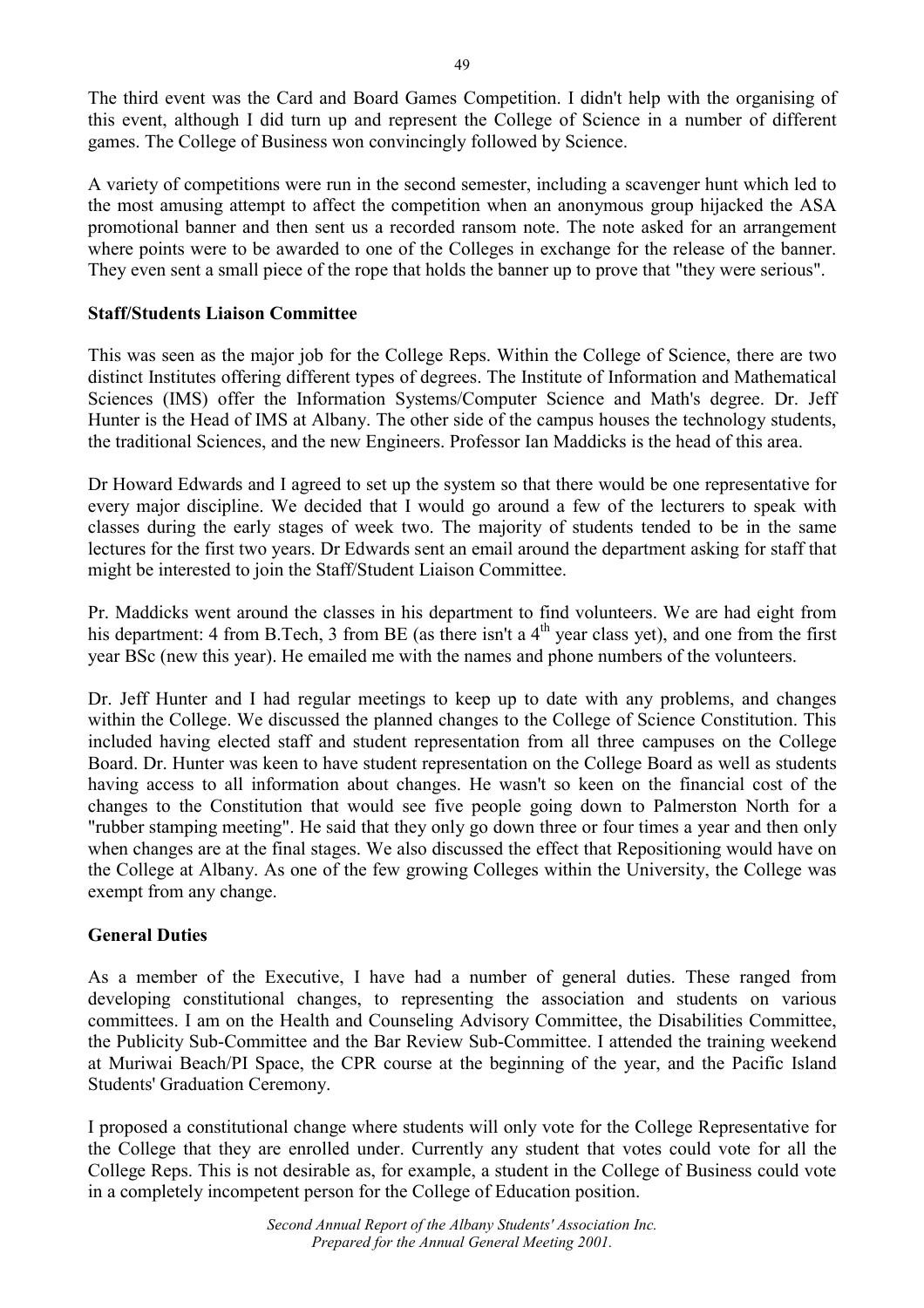The third event was the Card and Board Games Competition. I didn't help with the organising of this event, although I did turn up and represent the College of Science in a number of different games. The College of Business won convincingly followed by Science.

A variety of competitions were run in the second semester, including a scavenger hunt which led to the most amusing attempt to affect the competition when an anonymous group hijacked the ASA promotional banner and then sent us a recorded ransom note. The note asked for an arrangement where points were to be awarded to one of the Colleges in exchange for the release of the banner. They even sent a small piece of the rope that holds the banner up to prove that "they were serious".

#### **Staff/Students Liaison Committee**

This was seen as the major job for the College Reps. Within the College of Science, there are two distinct Institutes offering different types of degrees. The Institute of Information and Mathematical Sciences (IMS) offer the Information Systems/Computer Science and Math's degree. Dr. Jeff Hunter is the Head of IMS at Albany. The other side of the campus houses the technology students, the traditional Sciences, and the new Engineers. Professor Ian Maddicks is the head of this area.

Dr Howard Edwards and I agreed to set up the system so that there would be one representative for every major discipline. We decided that I would go around a few of the lecturers to speak with classes during the early stages of week two. The majority of students tended to be in the same lectures for the first two years. Dr Edwards sent an email around the department asking for staff that might be interested to join the Staff/Student Liaison Committee.

Pr. Maddicks went around the classes in his department to find volunteers. We are had eight from his department: 4 from B.Tech, 3 from BE (as there isn't a  $4<sup>th</sup>$  year class yet), and one from the first year BSc (new this year). He emailed me with the names and phone numbers of the volunteers.

Dr. Jeff Hunter and I had regular meetings to keep up to date with any problems, and changes within the College. We discussed the planned changes to the College of Science Constitution. This included having elected staff and student representation from all three campuses on the College Board. Dr. Hunter was keen to have student representation on the College Board as well as students having access to all information about changes. He wasn't so keen on the financial cost of the changes to the Constitution that would see five people going down to Palmerston North for a "rubber stamping meeting". He said that they only go down three or four times a year and then only when changes are at the final stages. We also discussed the effect that Repositioning would have on the College at Albany. As one of the few growing Colleges within the University, the College was exempt from any change.

#### **General Duties**

As a member of the Executive, I have had a number of general duties. These ranged from developing constitutional changes, to representing the association and students on various committees. I am on the Health and Counseling Advisory Committee, the Disabilities Committee, the Publicity Sub-Committee and the Bar Review Sub-Committee. I attended the training weekend at Muriwai Beach/PI Space, the CPR course at the beginning of the year, and the Pacific Island Students' Graduation Ceremony.

I proposed a constitutional change where students will only vote for the College Representative for the College that they are enrolled under. Currently any student that votes could vote for all the College Reps. This is not desirable as, for example, a student in the College of Business could vote in a completely incompetent person for the College of Education position.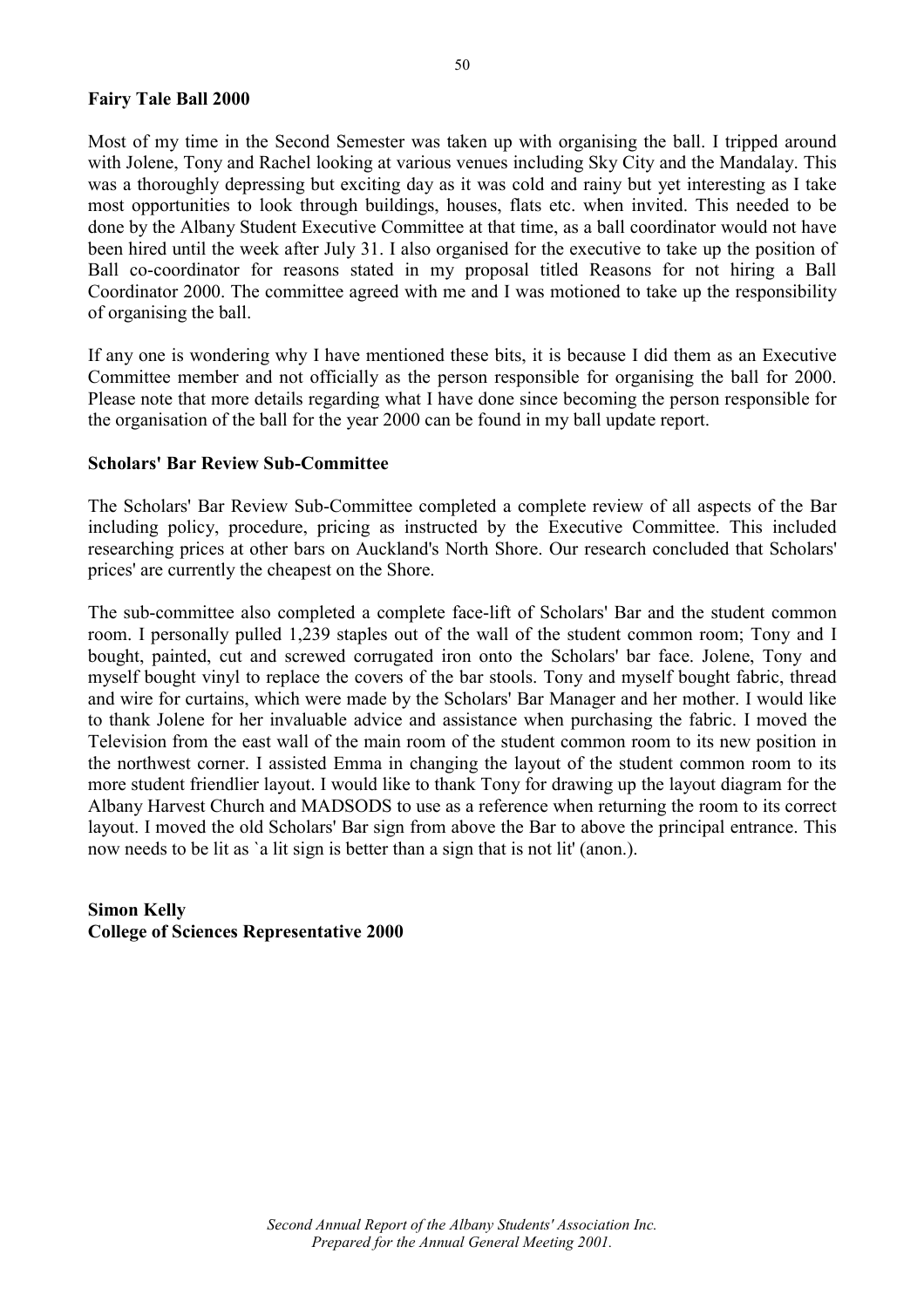#### **Fairy Tale Ball 2000**

Most of my time in the Second Semester was taken up with organising the ball. I tripped around with Jolene, Tony and Rachel looking at various venues including Sky City and the Mandalay. This was a thoroughly depressing but exciting day as it was cold and rainy but yet interesting as I take most opportunities to look through buildings, houses, flats etc. when invited. This needed to be done by the Albany Student Executive Committee at that time, as a ball coordinator would not have been hired until the week after July 31. I also organised for the executive to take up the position of Ball co-coordinator for reasons stated in my proposal titled Reasons for not hiring a Ball Coordinator 2000. The committee agreed with me and I was motioned to take up the responsibility of organising the ball.

If any one is wondering why I have mentioned these bits, it is because I did them as an Executive Committee member and not officially as the person responsible for organising the ball for 2000. Please note that more details regarding what I have done since becoming the person responsible for the organisation of the ball for the year 2000 can be found in my ball update report.

#### **Scholars' Bar Review Sub-Committee**

The Scholars' Bar Review Sub-Committee completed a complete review of all aspects of the Bar including policy, procedure, pricing as instructed by the Executive Committee. This included researching prices at other bars on Auckland's North Shore. Our research concluded that Scholars' prices' are currently the cheapest on the Shore.

The sub-committee also completed a complete face-lift of Scholars' Bar and the student common room. I personally pulled 1,239 staples out of the wall of the student common room; Tony and I bought, painted, cut and screwed corrugated iron onto the Scholars' bar face. Jolene, Tony and myself bought vinyl to replace the covers of the bar stools. Tony and myself bought fabric, thread and wire for curtains, which were made by the Scholars' Bar Manager and her mother. I would like to thank Jolene for her invaluable advice and assistance when purchasing the fabric. I moved the Television from the east wall of the main room of the student common room to its new position in the northwest corner. I assisted Emma in changing the layout of the student common room to its more student friendlier layout. I would like to thank Tony for drawing up the layout diagram for the Albany Harvest Church and MADSODS to use as a reference when returning the room to its correct layout. I moved the old Scholars' Bar sign from above the Bar to above the principal entrance. This now needs to be lit as 'a lit sign is better than a sign that is not lit' (anon.).

**Simon Kelly College of Sciences Representative 2000**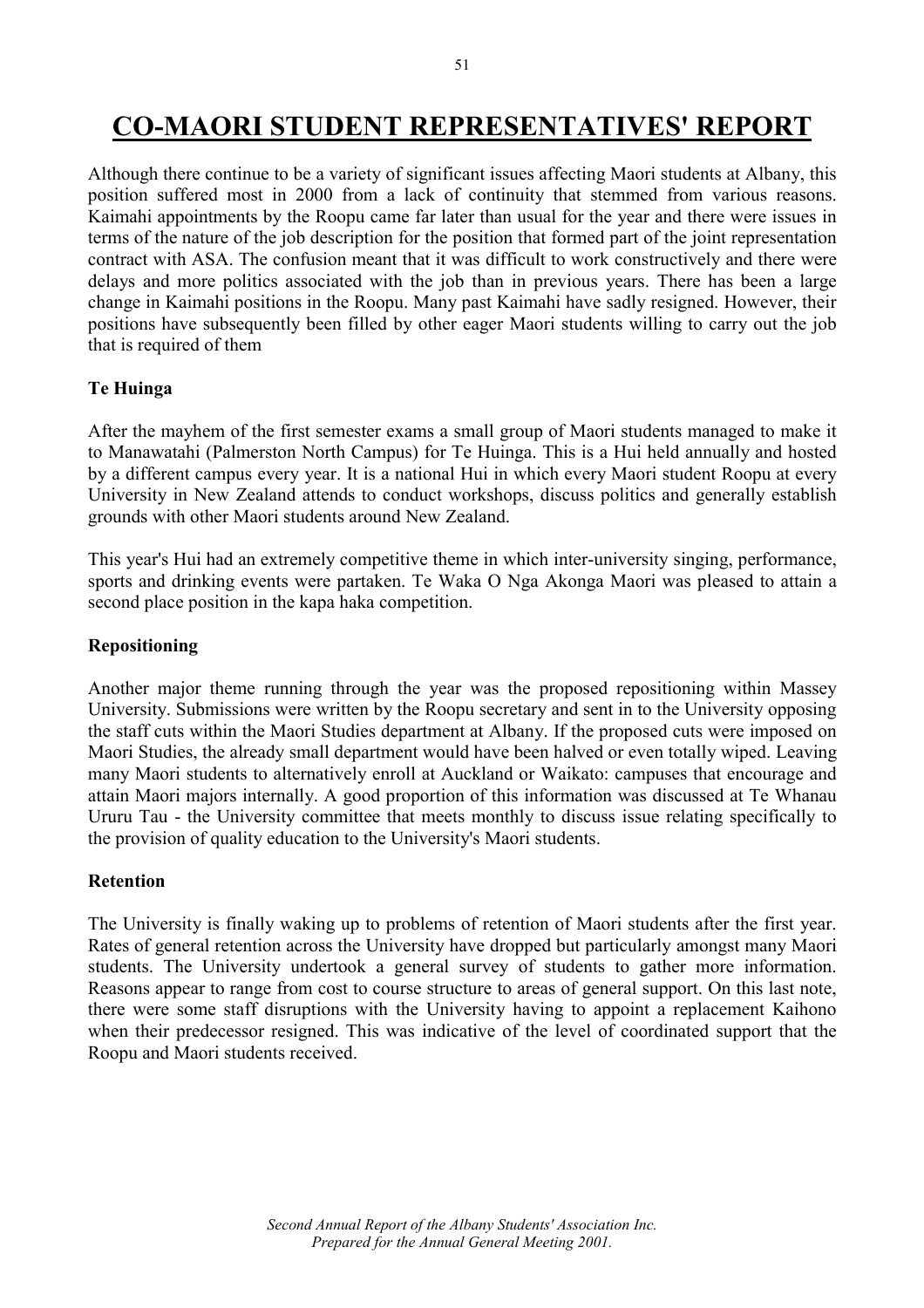## **CO-MAORI STUDENT REPRESENTATIVES' REPORT**

Although there continue to be a variety of significant issues affecting Maori students at Albany, this position suffered most in 2000 from a lack of continuity that stemmed from various reasons. Kaimahi appointments by the Roopu came far later than usual for the year and there were issues in terms of the nature of the job description for the position that formed part of the joint representation contract with ASA. The confusion meant that it was difficult to work constructively and there were delays and more politics associated with the job than in previous years. There has been a large change in Kaimahi positions in the Roopu. Many past Kaimahi have sadly resigned. However, their positions have subsequently been filled by other eager Maori students willing to carry out the job that is required of them

#### **Te Huinga**

After the mayhem of the first semester exams a small group of Maori students managed to make it to Manawatahi (Palmerston North Campus) for Te Huinga. This is a Hui held annually and hosted by a different campus every year. It is a national Hui in which every Maori student Roopu at every University in New Zealand attends to conduct workshops, discuss politics and generally establish grounds with other Maori students around New Zealand.

This year's Hui had an extremely competitive theme in which inter-university singing, performance, sports and drinking events were partaken. Te Waka O Nga Akonga Maori was pleased to attain a second place position in the kapa haka competition.

#### **Repositioning**

Another major theme running through the year was the proposed repositioning within Massey University. Submissions were written by the Roopu secretary and sent in to the University opposing the staff cuts within the Maori Studies department at Albany. If the proposed cuts were imposed on Maori Studies, the already small department would have been halved or even totally wiped. Leaving many Maori students to alternatively enroll at Auckland or Waikato: campuses that encourage and attain Maori majors internally. A good proportion of this information was discussed at Te Whanau Ururu Tau - the University committee that meets monthly to discuss issue relating specifically to the provision of quality education to the University's Maori students.

#### **Retention**

The University is finally waking up to problems of retention of Maori students after the first year. Rates of general retention across the University have dropped but particularly amongst many Maori students. The University undertook a general survey of students to gather more information. Reasons appear to range from cost to course structure to areas of general support. On this last note, there were some staff disruptions with the University having to appoint a replacement Kaihono when their predecessor resigned. This was indicative of the level of coordinated support that the Roopu and Maori students received.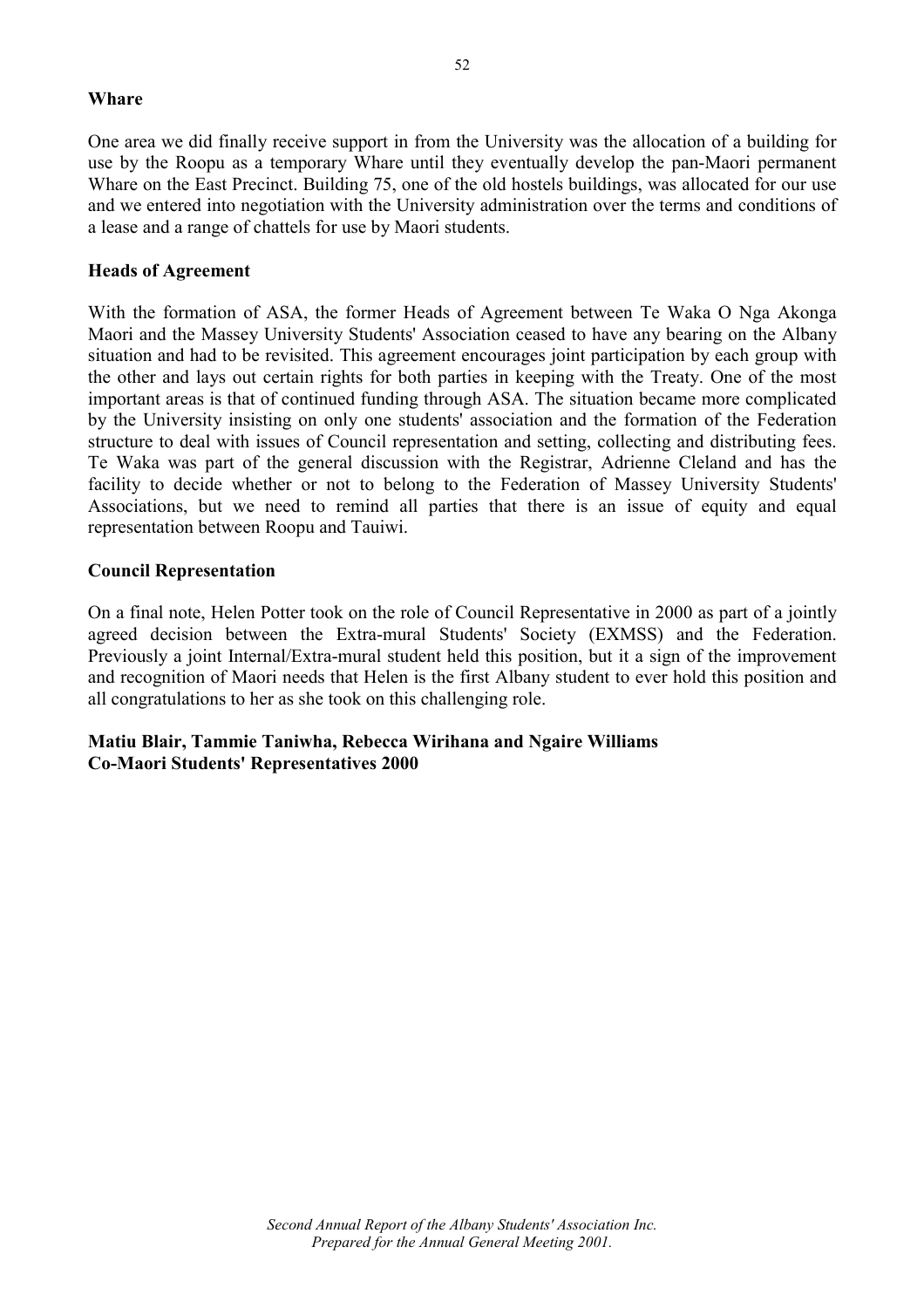#### **Whare**

One area we did finally receive support in from the University was the allocation of a building for use by the Roopu as a temporary Whare until they eventually develop the pan-Maori permanent Whare on the East Precinct. Building 75, one of the old hostels buildings, was allocated for our use and we entered into negotiation with the University administration over the terms and conditions of a lease and a range of chattels for use by Maori students.

#### **Heads of Agreement**

With the formation of ASA, the former Heads of Agreement between Te Waka O Nga Akonga Maori and the Massey University Students' Association ceased to have any bearing on the Albany situation and had to be revisited. This agreement encourages joint participation by each group with the other and lays out certain rights for both parties in keeping with the Treaty. One of the most important areas is that of continued funding through ASA. The situation became more complicated by the University insisting on only one students' association and the formation of the Federation structure to deal with issues of Council representation and setting, collecting and distributing fees. Te Waka was part of the general discussion with the Registrar, Adrienne Cleland and has the facility to decide whether or not to belong to the Federation of Massey University Students' Associations, but we need to remind all parties that there is an issue of equity and equal representation between Roopu and Tauiwi.

#### **Council Representation**

On a final note, Helen Potter took on the role of Council Representative in 2000 as part of a jointly agreed decision between the Extra-mural Students' Society (EXMSS) and the Federation. Previously a joint Internal/Extra-mural student held this position, but it a sign of the improvement and recognition of Maori needs that Helen is the first Albany student to ever hold this position and all congratulations to her as she took on this challenging role.

**Matiu Blair, Tammie Taniwha, Rebecca Wirihana and Ngaire Williams Co-Maori Students' Representatives 2000**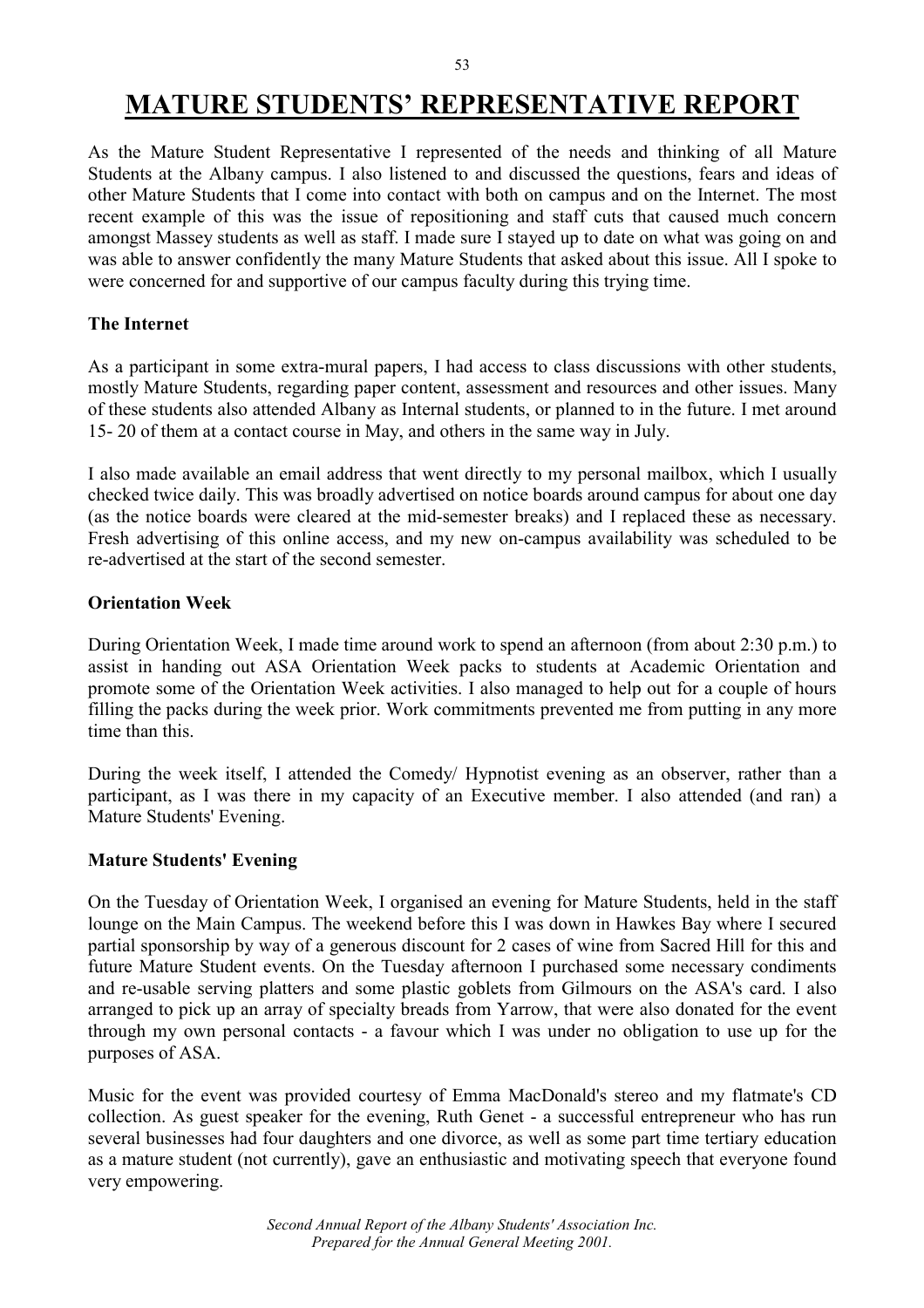## **MATURE STUDENTS' REPRESENTATIVE REPORT**

As the Mature Student Representative I represented of the needs and thinking of all Mature Students at the Albany campus. I also listened to and discussed the questions, fears and ideas of other Mature Students that I come into contact with both on campus and on the Internet. The most recent example of this was the issue of repositioning and staff cuts that caused much concern amongst Massey students as well as staff. I made sure I stayed up to date on what was going on and was able to answer confidently the many Mature Students that asked about this issue. All I spoke to were concerned for and supportive of our campus faculty during this trying time.

#### **The Internet**

As a participant in some extra-mural papers, I had access to class discussions with other students, mostly Mature Students, regarding paper content, assessment and resources and other issues. Many of these students also attended Albany as Internal students, or planned to in the future. I met around 15- 20 of them at a contact course in May, and others in the same way in July.

I also made available an email address that went directly to my personal mailbox, which I usually checked twice daily. This was broadly advertised on notice boards around campus for about one day (as the notice boards were cleared at the mid-semester breaks) and I replaced these as necessary. Fresh advertising of this online access, and my new on-campus availability was scheduled to be re-advertised at the start of the second semester.

#### **Orientation Week**

During Orientation Week, I made time around work to spend an afternoon (from about 2:30 p.m.) to assist in handing out ASA Orientation Week packs to students at Academic Orientation and promote some of the Orientation Week activities. I also managed to help out for a couple of hours filling the packs during the week prior. Work commitments prevented me from putting in any more time than this.

During the week itself, I attended the Comedy/ Hypnotist evening as an observer, rather than a participant, as I was there in my capacity of an Executive member. I also attended (and ran) a Mature Students' Evening.

#### **Mature Students' Evening**

On the Tuesday of Orientation Week, I organised an evening for Mature Students, held in the staff lounge on the Main Campus. The weekend before this I was down in Hawkes Bay where I secured partial sponsorship by way of a generous discount for 2 cases of wine from Sacred Hill for this and future Mature Student events. On the Tuesday afternoon I purchased some necessary condiments and re-usable serving platters and some plastic goblets from Gilmours on the ASA's card. I also arranged to pick up an array of specialty breads from Yarrow, that were also donated for the event through my own personal contacts - a favour which I was under no obligation to use up for the purposes of ASA.

Music for the event was provided courtesy of Emma MacDonald's stereo and my flatmate's CD collection. As guest speaker for the evening, Ruth Genet - a successful entrepreneur who has run several businesses had four daughters and one divorce, as well as some part time tertiary education as a mature student (not currently), gave an enthusiastic and motivating speech that everyone found very empowering.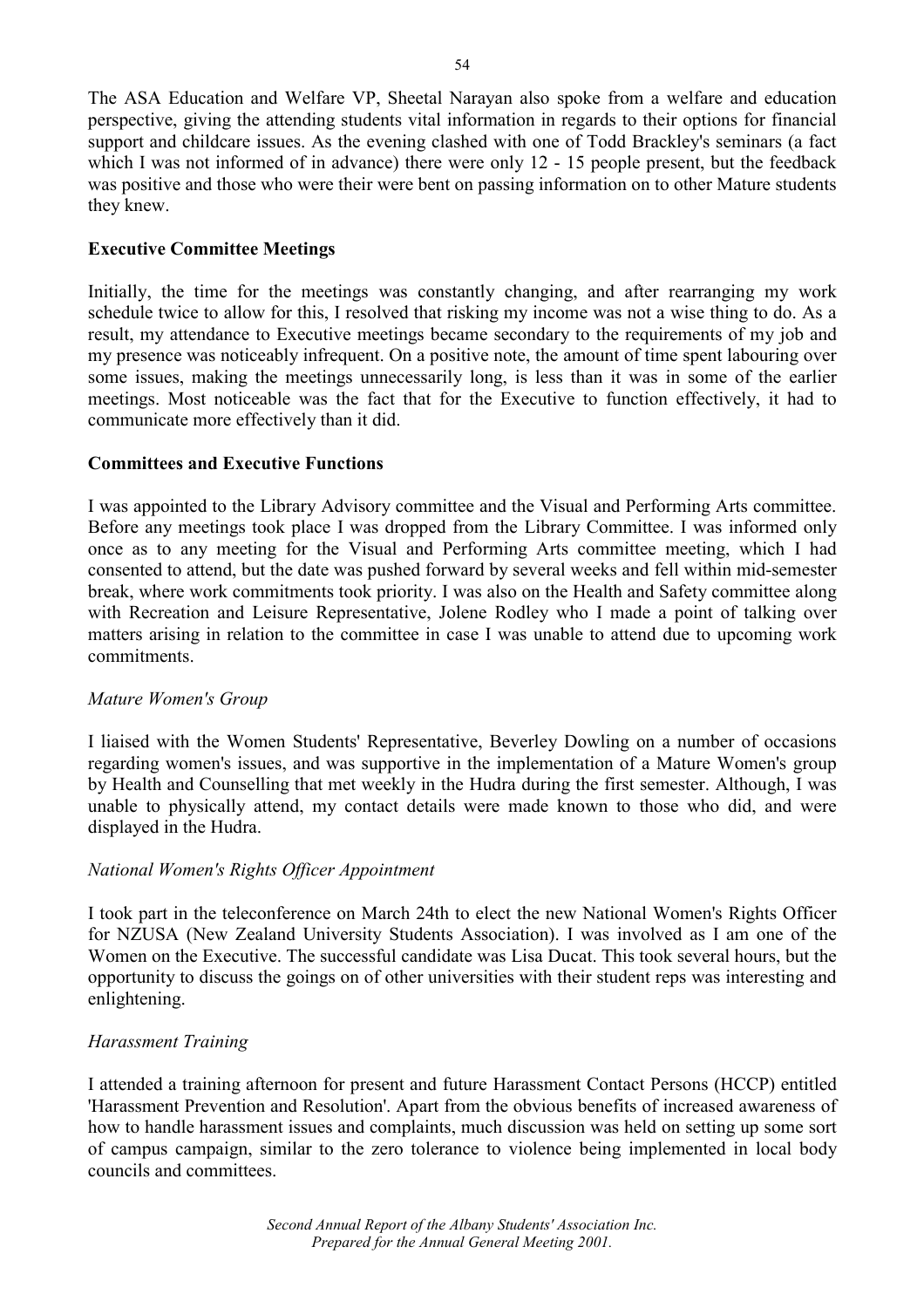The ASA Education and Welfare VP, Sheetal Narayan also spoke from a welfare and education perspective, giving the attending students vital information in regards to their options for financial support and childcare issues. As the evening clashed with one of Todd Brackley's seminars (a fact which I was not informed of in advance) there were only 12 - 15 people present, but the feedback was positive and those who were their were bent on passing information on to other Mature students they knew.

#### **Executive Committee Meetings**

Initially, the time for the meetings was constantly changing, and after rearranging my work schedule twice to allow for this, I resolved that risking my income was not a wise thing to do. As a result, my attendance to Executive meetings became secondary to the requirements of my job and my presence was noticeably infrequent. On a positive note, the amount of time spent labouring over some issues, making the meetings unnecessarily long, is less than it was in some of the earlier meetings. Most noticeable was the fact that for the Executive to function effectively, it had to communicate more effectively than it did.

#### **Committees and Executive Functions**

I was appointed to the Library Advisory committee and the Visual and Performing Arts committee. Before any meetings took place I was dropped from the Library Committee. I was informed only once as to any meeting for the Visual and Performing Arts committee meeting, which I had consented to attend, but the date was pushed forward by several weeks and fell within mid-semester break, where work commitments took priority. I was also on the Health and Safety committee along with Recreation and Leisure Representative, Jolene Rodley who I made a point of talking over matters arising in relation to the committee in case I was unable to attend due to upcoming work commitments.

#### *Mature Women's Group*

I liaised with the Women Students' Representative, Beverley Dowling on a number of occasions regarding women's issues, and was supportive in the implementation of a Mature Women's group by Health and Counselling that met weekly in the Hudra during the first semester. Although, I was unable to physically attend, my contact details were made known to those who did, and were displayed in the Hudra.

#### *National Women's Rights Officer Appointment*

I took part in the teleconference on March 24th to elect the new National Women's Rights Officer for NZUSA (New Zealand University Students Association). I was involved as I am one of the Women on the Executive. The successful candidate was Lisa Ducat. This took several hours, but the opportunity to discuss the goings on of other universities with their student reps was interesting and enlightening.

#### *Harassment Training*

I attended a training afternoon for present and future Harassment Contact Persons (HCCP) entitled 'Harassment Prevention and Resolution'. Apart from the obvious benefits of increased awareness of how to handle harassment issues and complaints, much discussion was held on setting up some sort of campus campaign, similar to the zero tolerance to violence being implemented in local body councils and committees.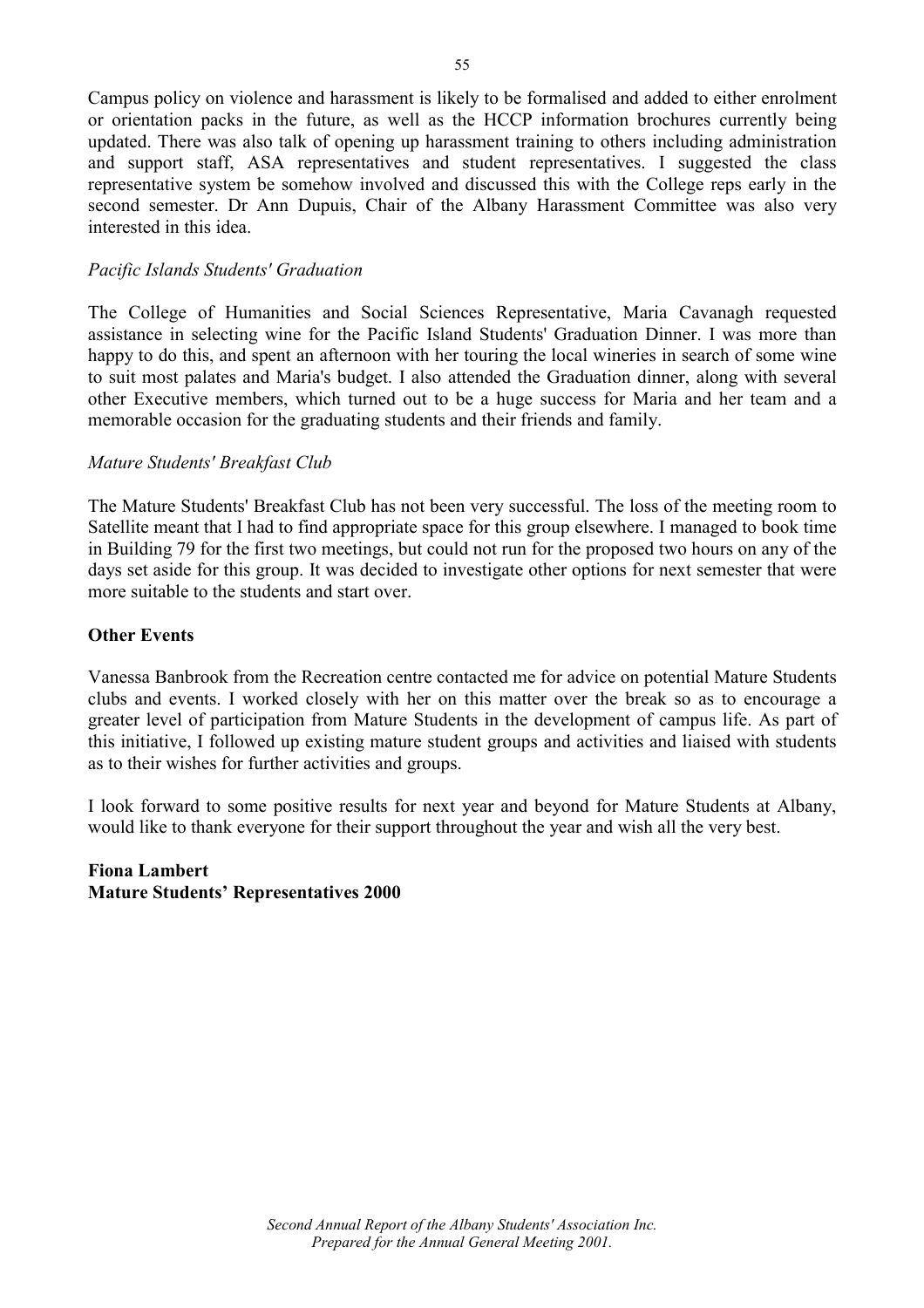Campus policy on violence and harassment is likely to be formalised and added to either enrolment or orientation packs in the future, as well as the HCCP information brochures currently being updated. There was also talk of opening up harassment training to others including administration and support staff, ASA representatives and student representatives. I suggested the class representative system be somehow involved and discussed this with the College reps early in the second semester. Dr Ann Dupuis, Chair of the Albany Harassment Committee was also very interested in this idea.

#### *Pacific Islands Students' Graduation*

The College of Humanities and Social Sciences Representative, Maria Cavanagh requested assistance in selecting wine for the Pacific Island Students' Graduation Dinner. I was more than happy to do this, and spent an afternoon with her touring the local wineries in search of some wine to suit most palates and Maria's budget. I also attended the Graduation dinner, along with several other Executive members, which turned out to be a huge success for Maria and her team and a memorable occasion for the graduating students and their friends and family.

#### *Mature Students' Breakfast Club*

The Mature Students' Breakfast Club has not been very successful. The loss of the meeting room to Satellite meant that I had to find appropriate space for this group elsewhere. I managed to book time in Building 79 for the first two meetings, but could not run for the proposed two hours on any of the days set aside for this group. It was decided to investigate other options for next semester that were more suitable to the students and start over.

#### **Other Events**

Vanessa Banbrook from the Recreation centre contacted me for advice on potential Mature Students clubs and events. I worked closely with her on this matter over the break so as to encourage a greater level of participation from Mature Students in the development of campus life. As part of this initiative, I followed up existing mature student groups and activities and liaised with students as to their wishes for further activities and groups.

I look forward to some positive results for next year and beyond for Mature Students at Albany, would like to thank everyone for their support throughout the year and wish all the very best.

#### **Fiona Lambert Mature Students' Representatives 2000**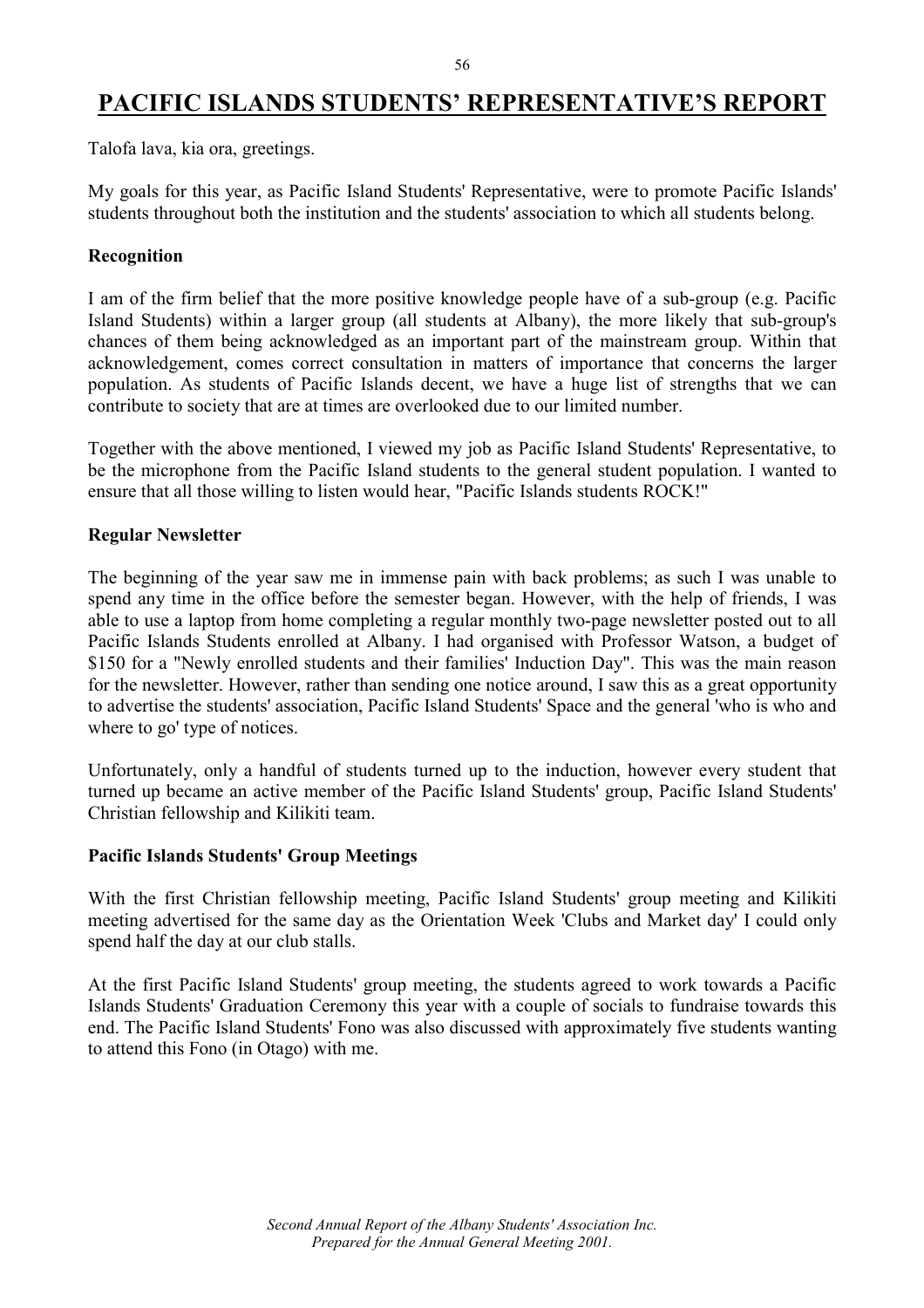## **PACIFIC ISLANDS STUDENTS' REPRESENTATIVE'S REPORT**

Talofa lava, kia ora, greetings.

My goals for this year, as Pacific Island Students' Representative, were to promote Pacific Islands' students throughout both the institution and the students' association to which all students belong.

#### **Recognition**

I am of the firm belief that the more positive knowledge people have of a sub-group (e.g. Pacific Island Students) within a larger group (all students at Albany), the more likely that sub-group's chances of them being acknowledged as an important part of the mainstream group. Within that acknowledgement, comes correct consultation in matters of importance that concerns the larger population. As students of Pacific Islands decent, we have a huge list of strengths that we can contribute to society that are at times are overlooked due to our limited number.

Together with the above mentioned, I viewed my job as Pacific Island Students' Representative, to be the microphone from the Pacific Island students to the general student population. I wanted to ensure that all those willing to listen would hear, "Pacific Islands students ROCK!"

#### **Regular Newsletter**

The beginning of the year saw me in immense pain with back problems; as such I was unable to spend any time in the office before the semester began. However, with the help of friends, I was able to use a laptop from home completing a regular monthly two-page newsletter posted out to all Pacific Islands Students enrolled at Albany. I had organised with Professor Watson, a budget of \$150 for a "Newly enrolled students and their families' Induction Day". This was the main reason for the newsletter. However, rather than sending one notice around, I saw this as a great opportunity to advertise the students' association, Pacific Island Students' Space and the general 'who is who and where to go' type of notices.

Unfortunately, only a handful of students turned up to the induction, however every student that turned up became an active member of the Pacific Island Students' group, Pacific Island Students' Christian fellowship and Kilikiti team.

#### **Pacific Islands Students' Group Meetings**

With the first Christian fellowship meeting, Pacific Island Students' group meeting and Kilikiti meeting advertised for the same day as the Orientation Week 'Clubs and Market day' I could only spend half the day at our club stalls.

At the first Pacific Island Students' group meeting, the students agreed to work towards a Pacific Islands Students' Graduation Ceremony this year with a couple of socials to fundraise towards this end. The Pacific Island Students' Fono was also discussed with approximately five students wanting to attend this Fono (in Otago) with me.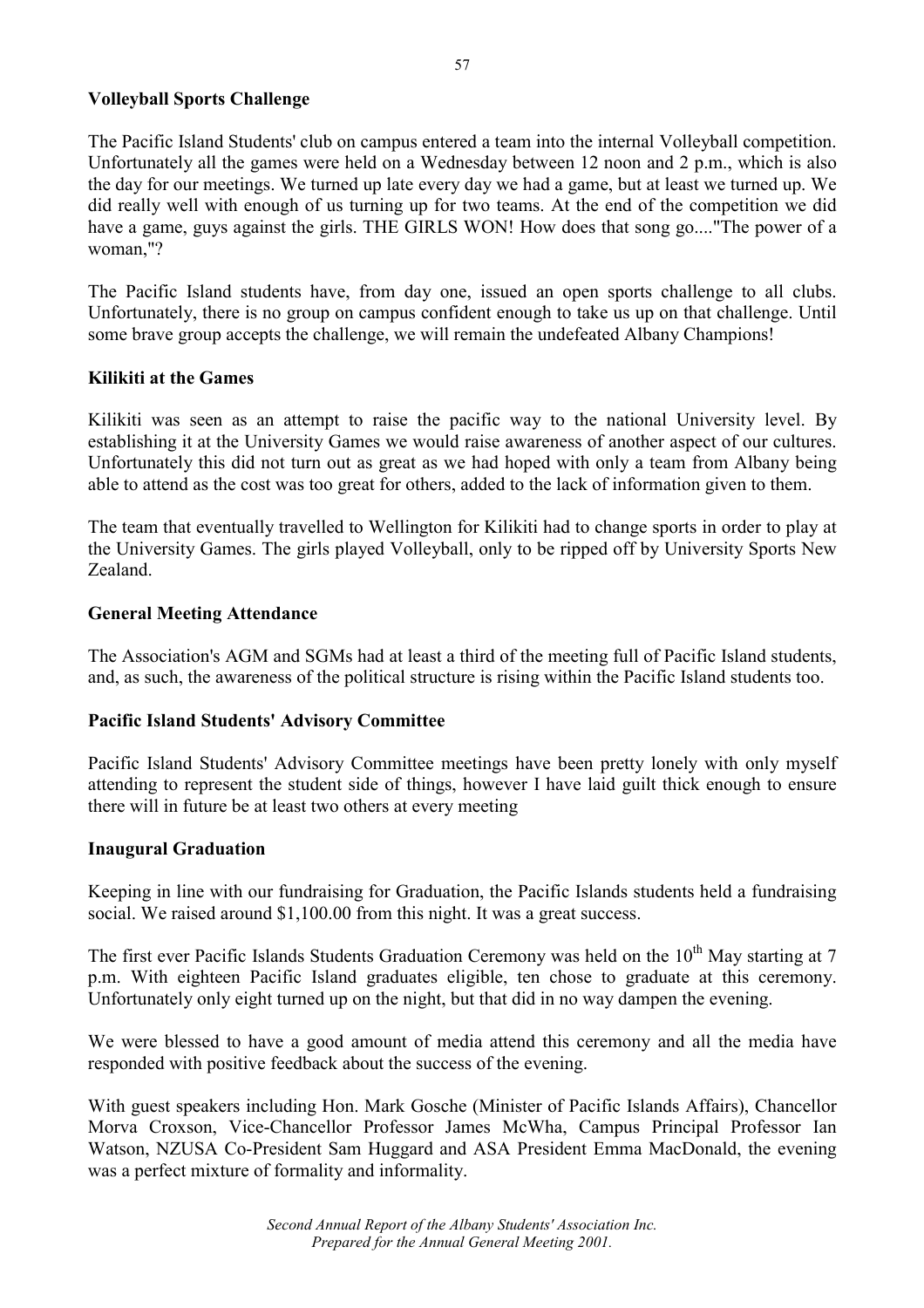#### **Volleyball Sports Challenge**

The Pacific Island Students' club on campus entered a team into the internal Volleyball competition. Unfortunately all the games were held on a Wednesday between 12 noon and 2 p.m., which is also the day for our meetings. We turned up late every day we had a game, but at least we turned up. We did really well with enough of us turning up for two teams. At the end of the competition we did have a game, guys against the girls. THE GIRLS WON! How does that song go...."The power of a woman,"?

The Pacific Island students have, from day one, issued an open sports challenge to all clubs. Unfortunately, there is no group on campus confident enough to take us up on that challenge. Until some brave group accepts the challenge, we will remain the undefeated Albany Champions!

#### **Kilikiti at the Games**

Kilikiti was seen as an attempt to raise the pacific way to the national University level. By establishing it at the University Games we would raise awareness of another aspect of our cultures. Unfortunately this did not turn out as great as we had hoped with only a team from Albany being able to attend as the cost was too great for others, added to the lack of information given to them.

The team that eventually travelled to Wellington for Kilikiti had to change sports in order to play at the University Games. The girls played Volleyball, only to be ripped off by University Sports New Zealand.

#### **General Meeting Attendance**

The Association's AGM and SGMs had at least a third of the meeting full of Pacific Island students, and, as such, the awareness of the political structure is rising within the Pacific Island students too.

#### **Pacific Island Students' Advisory Committee**

Pacific Island Students' Advisory Committee meetings have been pretty lonely with only myself attending to represent the student side of things, however I have laid guilt thick enough to ensure there will in future be at least two others at every meeting

#### **Inaugural Graduation**

Keeping in line with our fundraising for Graduation, the Pacific Islands students held a fundraising social. We raised around \$1,100.00 from this night. It was a great success.

The first ever Pacific Islands Students Graduation Ceremony was held on the  $10<sup>th</sup>$  May starting at 7 p.m. With eighteen Pacific Island graduates eligible, ten chose to graduate at this ceremony. Unfortunately only eight turned up on the night, but that did in no way dampen the evening.

We were blessed to have a good amount of media attend this ceremony and all the media have responded with positive feedback about the success of the evening.

With guest speakers including Hon. Mark Gosche (Minister of Pacific Islands Affairs), Chancellor Morva Croxson, Vice-Chancellor Professor James McWha, Campus Principal Professor Ian Watson, NZUSA Co-President Sam Huggard and ASA President Emma MacDonald, the evening was a perfect mixture of formality and informality.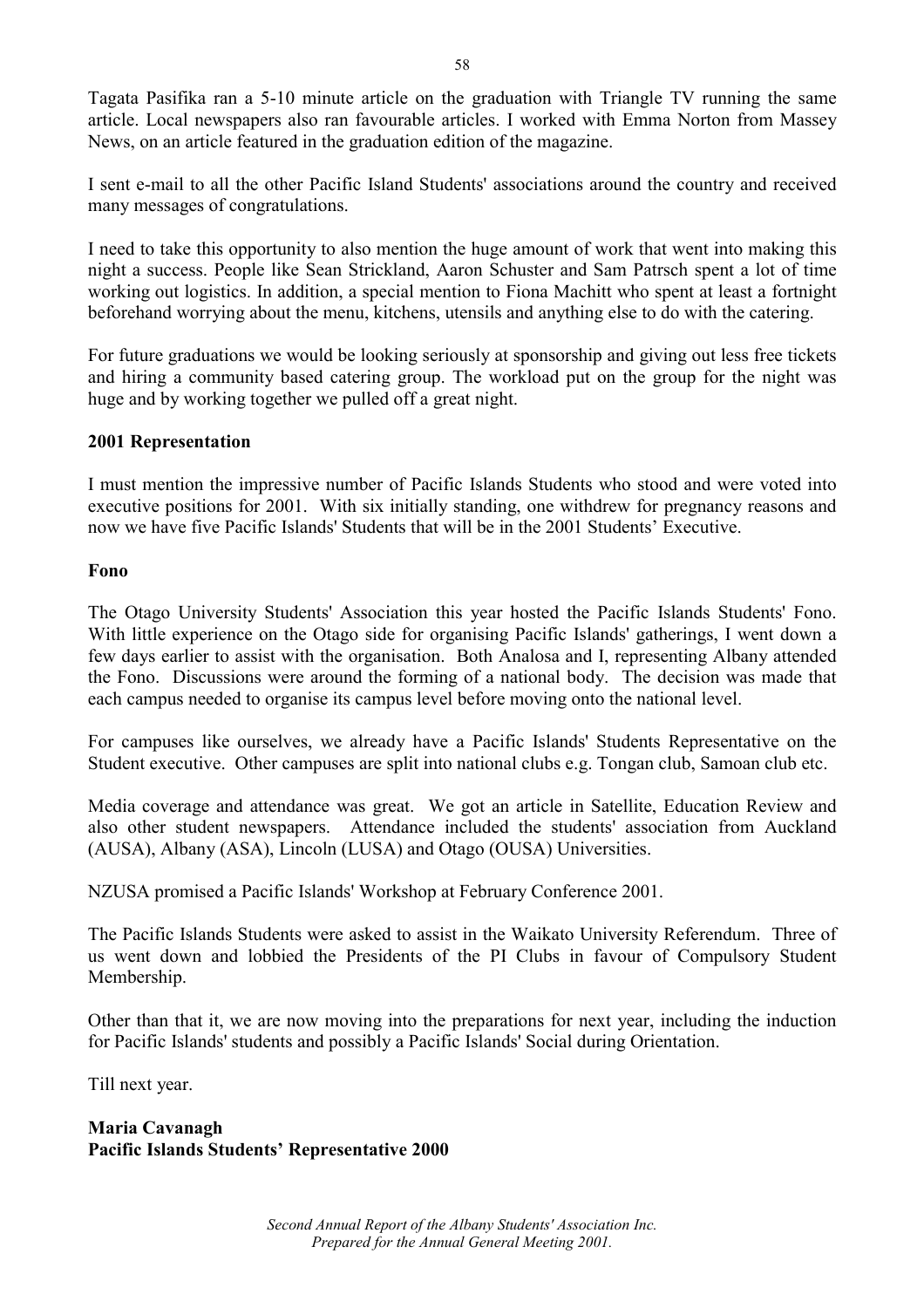Tagata Pasifika ran a 5-10 minute article on the graduation with Triangle TV running the same article. Local newspapers also ran favourable articles. I worked with Emma Norton from Massey News, on an article featured in the graduation edition of the magazine.

I sent e-mail to all the other Pacific Island Students' associations around the country and received many messages of congratulations.

I need to take this opportunity to also mention the huge amount of work that went into making this night a success. People like Sean Strickland, Aaron Schuster and Sam Patrsch spent a lot of time working out logistics. In addition, a special mention to Fiona Machitt who spent at least a fortnight beforehand worrying about the menu, kitchens, utensils and anything else to do with the catering.

For future graduations we would be looking seriously at sponsorship and giving out less free tickets and hiring a community based catering group. The workload put on the group for the night was huge and by working together we pulled off a great night.

#### **2001 Representation**

I must mention the impressive number of Pacific Islands Students who stood and were voted into executive positions for 2001. With six initially standing, one withdrew for pregnancy reasons and now we have five Pacific Islands' Students that will be in the 2001 Students' Executive.

#### **Fono**

The Otago University Students' Association this year hosted the Pacific Islands Students' Fono. With little experience on the Otago side for organising Pacific Islands' gatherings, I went down a few days earlier to assist with the organisation. Both Analosa and I, representing Albany attended the Fono. Discussions were around the forming of a national body. The decision was made that each campus needed to organise its campus level before moving onto the national level.

For campuses like ourselves, we already have a Pacific Islands' Students Representative on the Student executive. Other campuses are split into national clubs e.g. Tongan club, Samoan club etc.

Media coverage and attendance was great. We got an article in Satellite, Education Review and also other student newspapers. Attendance included the students' association from Auckland (AUSA), Albany (ASA), Lincoln (LUSA) and Otago (OUSA) Universities.

NZUSA promised a Pacific Islands' Workshop at February Conference 2001.

The Pacific Islands Students were asked to assist in the Waikato University Referendum. Three of us went down and lobbied the Presidents of the PI Clubs in favour of Compulsory Student Membership.

Other than that it, we are now moving into the preparations for next year, including the induction for Pacific Islands' students and possibly a Pacific Islands' Social during Orientation.

Till next year.

#### **Maria Cavanagh Pacific Islands Students' Representative 2000**

*Second Annual Report of the Albany Students' Association Inc. Prepared for the Annual General Meeting 2001.*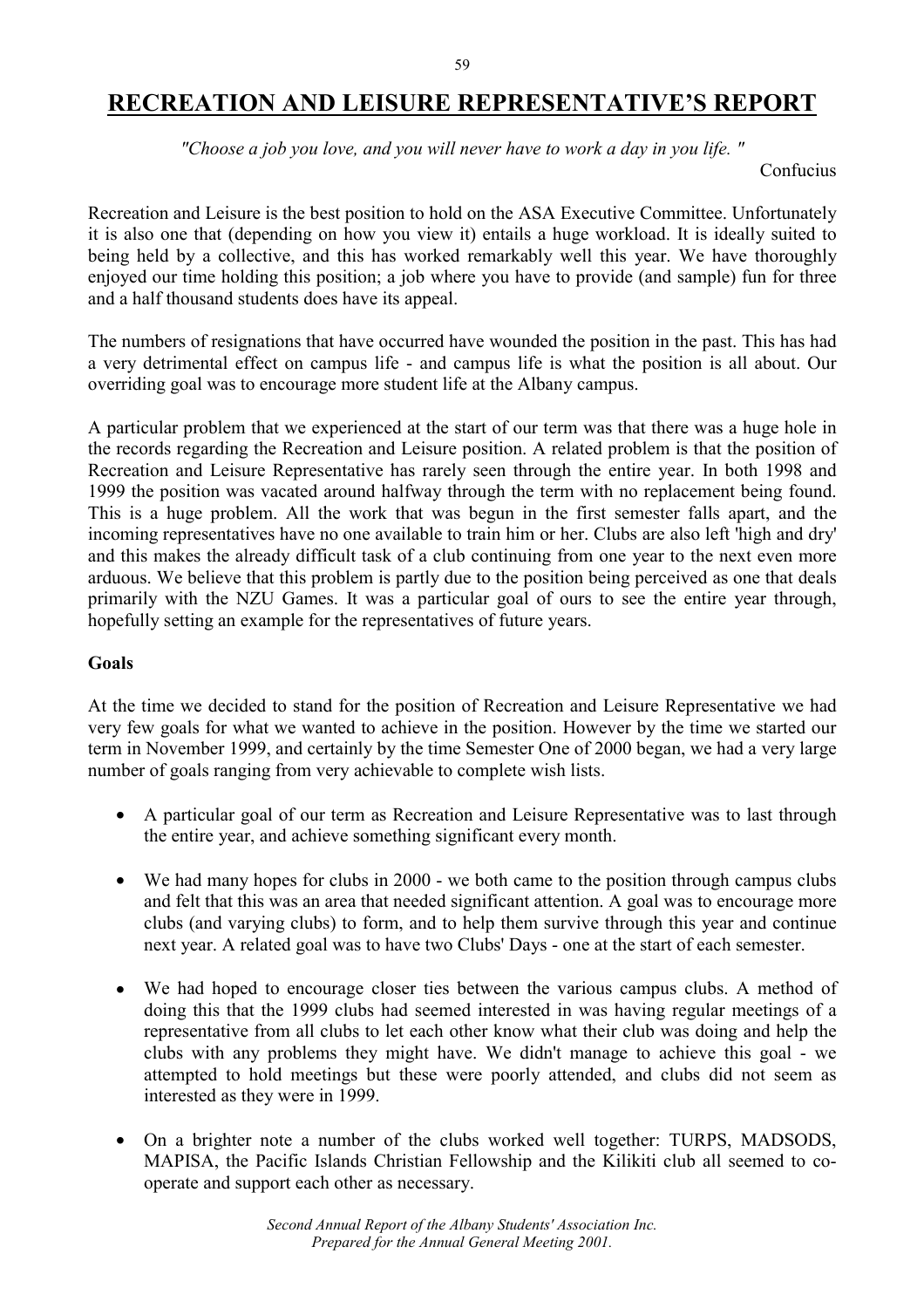### **RECREATION AND LEISURE REPRESENTATIVE'S REPORT**

*"Choose a job you love, and you will never have to work a day in you life. "*

Confucius

Recreation and Leisure is the best position to hold on the ASA Executive Committee. Unfortunately it is also one that (depending on how you view it) entails a huge workload. It is ideally suited to being held by a collective, and this has worked remarkably well this year. We have thoroughly enjoyed our time holding this position; a job where you have to provide (and sample) fun for three and a half thousand students does have its appeal.

The numbers of resignations that have occurred have wounded the position in the past. This has had a very detrimental effect on campus life - and campus life is what the position is all about. Our overriding goal was to encourage more student life at the Albany campus.

A particular problem that we experienced at the start of our term was that there was a huge hole in the records regarding the Recreation and Leisure position. A related problem is that the position of Recreation and Leisure Representative has rarely seen through the entire year. In both 1998 and 1999 the position was vacated around halfway through the term with no replacement being found. This is a huge problem. All the work that was begun in the first semester falls apart, and the incoming representatives have no one available to train him or her. Clubs are also left 'high and dry' and this makes the already difficult task of a club continuing from one year to the next even more arduous. We believe that this problem is partly due to the position being perceived as one that deals primarily with the NZU Games. It was a particular goal of ours to see the entire year through, hopefully setting an example for the representatives of future years.

#### **Goals**

At the time we decided to stand for the position of Recreation and Leisure Representative we had very few goals for what we wanted to achieve in the position. However by the time we started our term in November 1999, and certainly by the time Semester One of 2000 began, we had a very large number of goals ranging from very achievable to complete wish lists.

- A particular goal of our term as Recreation and Leisure Representative was to last through the entire year, and achieve something significant every month.
- We had many hopes for clubs in 2000 we both came to the position through campus clubs and felt that this was an area that needed significant attention. A goal was to encourage more clubs (and varying clubs) to form, and to help them survive through this year and continue next year. A related goal was to have two Clubs' Days - one at the start of each semester.
- We had hoped to encourage closer ties between the various campus clubs. A method of doing this that the 1999 clubs had seemed interested in was having regular meetings of a representative from all clubs to let each other know what their club was doing and help the clubs with any problems they might have. We didn't manage to achieve this goal - we attempted to hold meetings but these were poorly attended, and clubs did not seem as interested as they were in 1999.
- On a brighter note a number of the clubs worked well together: TURPS, MADSODS, MAPISA, the Pacific Islands Christian Fellowship and the Kilikiti club all seemed to cooperate and support each other as necessary.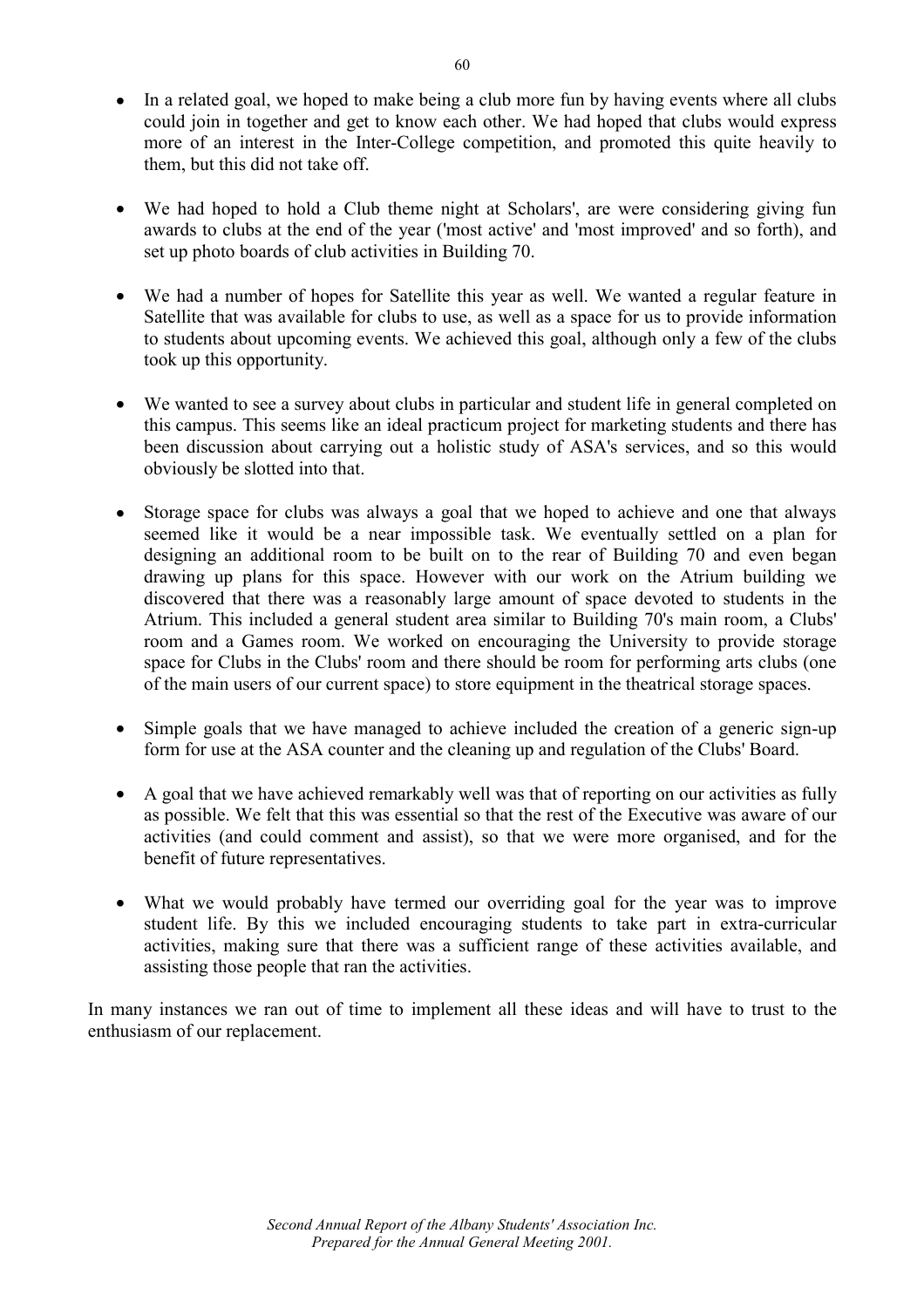- In a related goal, we hoped to make being a club more fun by having events where all clubs could join in together and get to know each other. We had hoped that clubs would express more of an interest in the Inter-College competition, and promoted this quite heavily to them, but this did not take off.
- We had hoped to hold a Club theme night at Scholars', are were considering giving fun awards to clubs at the end of the year ('most active' and 'most improved' and so forth), and set up photo boards of club activities in Building 70.
- We had a number of hopes for Satellite this year as well. We wanted a regular feature in Satellite that was available for clubs to use, as well as a space for us to provide information to students about upcoming events. We achieved this goal, although only a few of the clubs took up this opportunity.
- We wanted to see a survey about clubs in particular and student life in general completed on this campus. This seems like an ideal practicum project for marketing students and there has been discussion about carrying out a holistic study of ASA's services, and so this would obviously be slotted into that.
- Storage space for clubs was always a goal that we hoped to achieve and one that always seemed like it would be a near impossible task. We eventually settled on a plan for designing an additional room to be built on to the rear of Building 70 and even began drawing up plans for this space. However with our work on the Atrium building we discovered that there was a reasonably large amount of space devoted to students in the Atrium. This included a general student area similar to Building 70's main room, a Clubs' room and a Games room. We worked on encouraging the University to provide storage space for Clubs in the Clubs' room and there should be room for performing arts clubs (one of the main users of our current space) to store equipment in the theatrical storage spaces.
- Simple goals that we have managed to achieve included the creation of a generic sign-up form for use at the ASA counter and the cleaning up and regulation of the Clubs' Board.
- A goal that we have achieved remarkably well was that of reporting on our activities as fully as possible. We felt that this was essential so that the rest of the Executive was aware of our activities (and could comment and assist), so that we were more organised, and for the benefit of future representatives.
- What we would probably have termed our overriding goal for the year was to improve student life. By this we included encouraging students to take part in extra-curricular activities, making sure that there was a sufficient range of these activities available, and assisting those people that ran the activities.

In many instances we ran out of time to implement all these ideas and will have to trust to the enthusiasm of our replacement.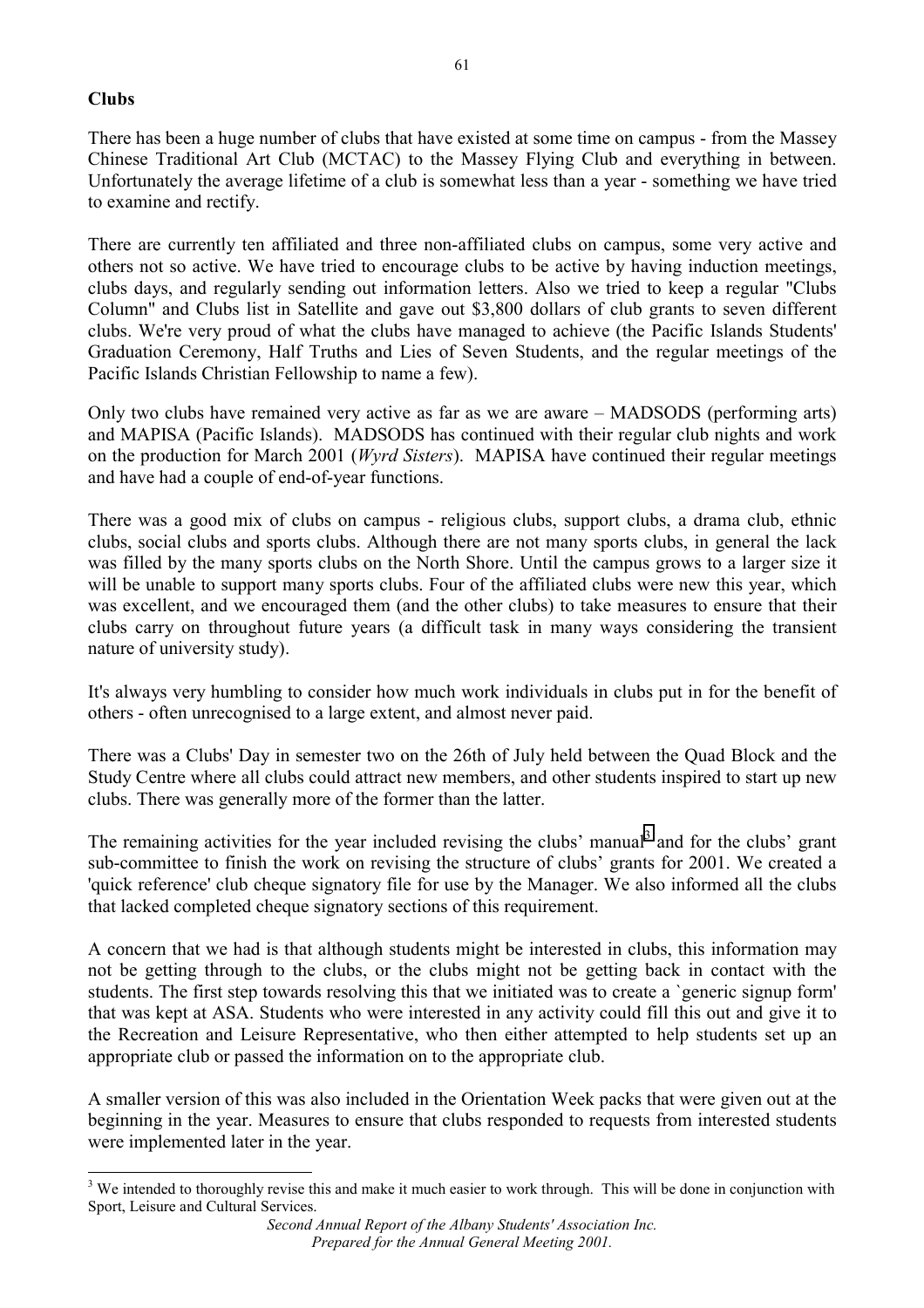#### **Clubs**

There has been a huge number of clubs that have existed at some time on campus - from the Massey Chinese Traditional Art Club (MCTAC) to the Massey Flying Club and everything in between. Unfortunately the average lifetime of a club is somewhat less than a year - something we have tried to examine and rectify.

There are currently ten affiliated and three non-affiliated clubs on campus, some very active and others not so active. We have tried to encourage clubs to be active by having induction meetings, clubs days, and regularly sending out information letters. Also we tried to keep a regular "Clubs Column" and Clubs list in Satellite and gave out \$3,800 dollars of club grants to seven different clubs. We're very proud of what the clubs have managed to achieve (the Pacific Islands Students' Graduation Ceremony, Half Truths and Lies of Seven Students, and the regular meetings of the Pacific Islands Christian Fellowship to name a few).

Only two clubs have remained very active as far as we are aware – MADSODS (performing arts) and MAPISA (Pacific Islands). MADSODS has continued with their regular club nights and work on the production for March 2001 (*Wyrd Sisters*). MAPISA have continued their regular meetings and have had a couple of end-of-year functions.

There was a good mix of clubs on campus - religious clubs, support clubs, a drama club, ethnic clubs, social clubs and sports clubs. Although there are not many sports clubs, in general the lack was filled by the many sports clubs on the North Shore. Until the campus grows to a larger size it will be unable to support many sports clubs. Four of the affiliated clubs were new this year, which was excellent, and we encouraged them (and the other clubs) to take measures to ensure that their clubs carry on throughout future years (a difficult task in many ways considering the transient nature of university study).

It's always very humbling to consider how much work individuals in clubs put in for the benefit of others - often unrecognised to a large extent, and almost never paid.

There was a Clubs' Day in semester two on the 26th of July held between the Quad Block and the Study Centre where all clubs could attract new members, and other students inspired to start up new clubs. There was generally more of the former than the latter.

The remaining activities for the year included revising the clubs' manual<sup>3</sup> and for the clubs' grant sub-committee to finish the work on revising the structure of clubs' grants for 2001. We created a 'quick reference' club cheque signatory file for use by the Manager. We also informed all the clubs that lacked completed cheque signatory sections of this requirement.

A concern that we had is that although students might be interested in clubs, this information may not be getting through to the clubs, or the clubs might not be getting back in contact with the students. The first step towards resolving this that we initiated was to create a `generic signup form' that was kept at ASA. Students who were interested in any activity could fill this out and give it to the Recreation and Leisure Representative, who then either attempted to help students set up an appropriate club or passed the information on to the appropriate club.

A smaller version of this was also included in the Orientation Week packs that were given out at the beginning in the year. Measures to ensure that clubs responded to requests from interested students were implemented later in the year.

<sup>&</sup>lt;sup>3</sup> We intended to thoroughly revise this and make it much easier to work through. This will be done in conjunction with Sport, Leisure and Cultural Services.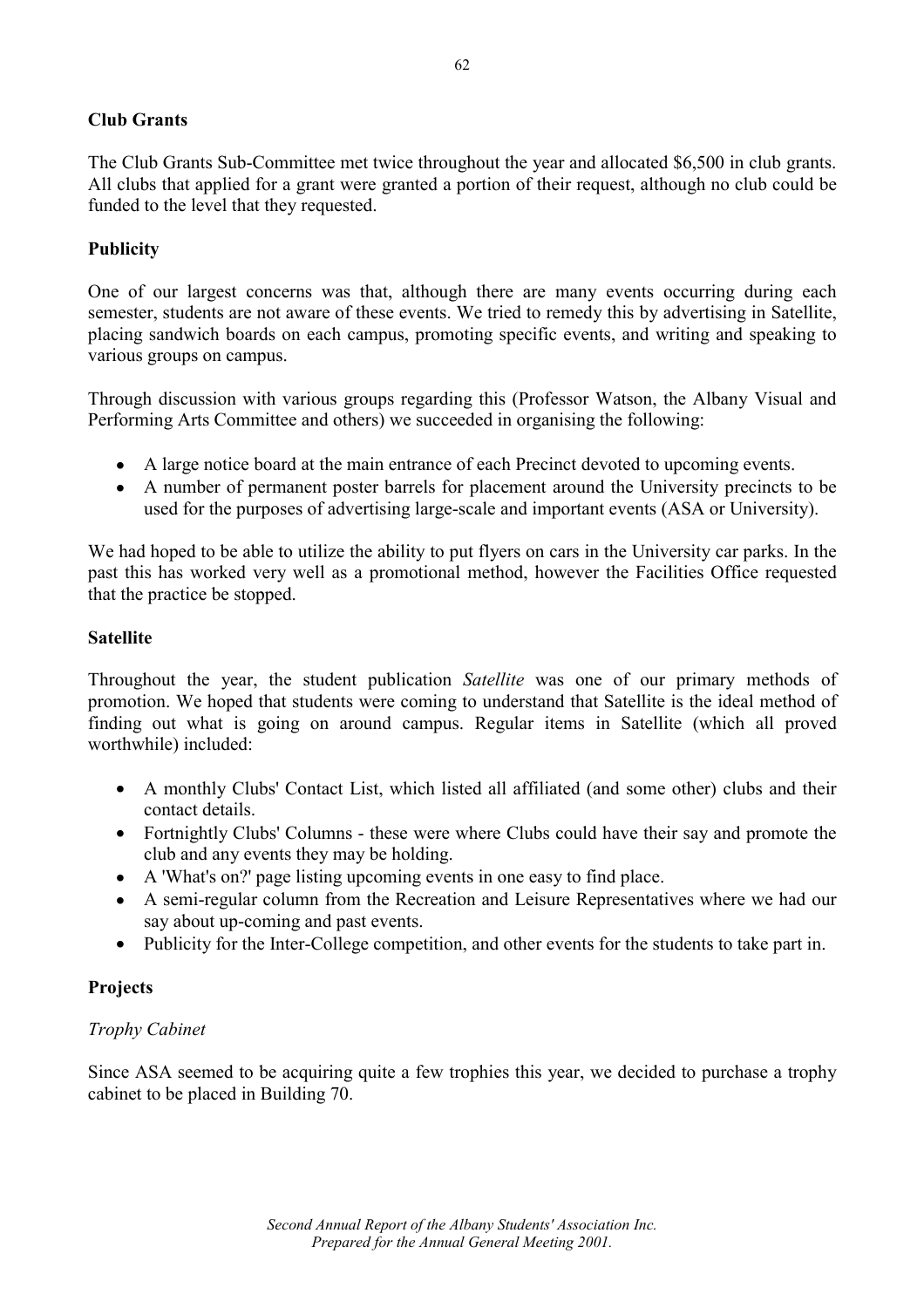#### **Club Grants**

The Club Grants Sub-Committee met twice throughout the year and allocated \$6,500 in club grants. All clubs that applied for a grant were granted a portion of their request, although no club could be funded to the level that they requested.

#### **Publicity**

One of our largest concerns was that, although there are many events occurring during each semester, students are not aware of these events. We tried to remedy this by advertising in Satellite, placing sandwich boards on each campus, promoting specific events, and writing and speaking to various groups on campus.

Through discussion with various groups regarding this (Professor Watson, the Albany Visual and Performing Arts Committee and others) we succeeded in organising the following:

- A large notice board at the main entrance of each Precinct devoted to upcoming events.
- A number of permanent poster barrels for placement around the University precincts to be used for the purposes of advertising large-scale and important events (ASA or University).

We had hoped to be able to utilize the ability to put flyers on cars in the University car parks. In the past this has worked very well as a promotional method, however the Facilities Office requested that the practice be stopped.

#### **Satellite**

Throughout the year, the student publication *Satellite* was one of our primary methods of promotion. We hoped that students were coming to understand that Satellite is the ideal method of finding out what is going on around campus. Regular items in Satellite (which all proved worthwhile) included:

- A monthly Clubs' Contact List, which listed all affiliated (and some other) clubs and their contact details.
- Fortnightly Clubs' Columns these were where Clubs could have their say and promote the club and any events they may be holding.
- A 'What's on?' page listing upcoming events in one easy to find place.
- A semi-regular column from the Recreation and Leisure Representatives where we had our say about up-coming and past events.
- Publicity for the Inter-College competition, and other events for the students to take part in.

#### **Projects**

#### *Trophy Cabinet*

Since ASA seemed to be acquiring quite a few trophies this year, we decided to purchase a trophy cabinet to be placed in Building 70.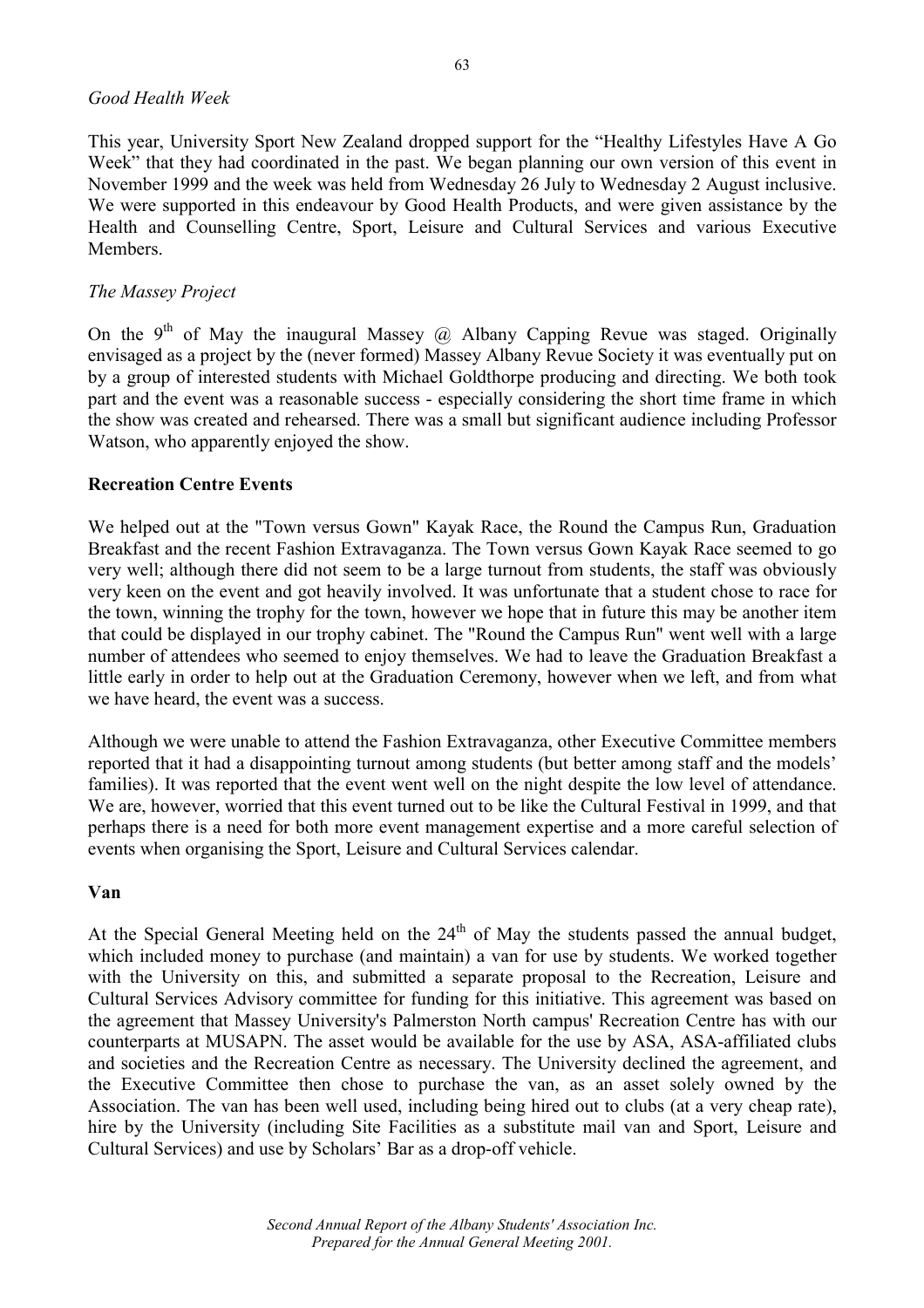#### *Good Health Week*

This year, University Sport New Zealand dropped support for the "Healthy Lifestyles Have A Go Week" that they had coordinated in the past. We began planning our own version of this event in November 1999 and the week was held from Wednesday 26 July to Wednesday 2 August inclusive. We were supported in this endeavour by Good Health Products, and were given assistance by the Health and Counselling Centre, Sport, Leisure and Cultural Services and various Executive Members.

#### *The Massey Project*

On the 9<sup>th</sup> of May the inaugural Massey  $\omega$  Albany Capping Revue was staged. Originally envisaged as a project by the (never formed) Massey Albany Revue Society it was eventually put on by a group of interested students with Michael Goldthorpe producing and directing. We both took part and the event was a reasonable success - especially considering the short time frame in which the show was created and rehearsed. There was a small but significant audience including Professor Watson, who apparently enjoyed the show.

#### **Recreation Centre Events**

We helped out at the "Town versus Gown" Kayak Race, the Round the Campus Run, Graduation Breakfast and the recent Fashion Extravaganza. The Town versus Gown Kayak Race seemed to go very well; although there did not seem to be a large turnout from students, the staff was obviously very keen on the event and got heavily involved. It was unfortunate that a student chose to race for the town, winning the trophy for the town, however we hope that in future this may be another item that could be displayed in our trophy cabinet. The "Round the Campus Run" went well with a large number of attendees who seemed to enjoy themselves. We had to leave the Graduation Breakfast a little early in order to help out at the Graduation Ceremony, however when we left, and from what we have heard, the event was a success.

Although we were unable to attend the Fashion Extravaganza, other Executive Committee members reported that it had a disappointing turnout among students (but better among staff and the models' families). It was reported that the event went well on the night despite the low level of attendance. We are, however, worried that this event turned out to be like the Cultural Festival in 1999, and that perhaps there is a need for both more event management expertise and a more careful selection of events when organising the Sport, Leisure and Cultural Services calendar.

#### **Van**

At the Special General Meeting held on the  $24<sup>th</sup>$  of May the students passed the annual budget, which included money to purchase (and maintain) a van for use by students. We worked together with the University on this, and submitted a separate proposal to the Recreation, Leisure and Cultural Services Advisory committee for funding for this initiative. This agreement was based on the agreement that Massey University's Palmerston North campus' Recreation Centre has with our counterparts at MUSAPN. The asset would be available for the use by ASA, ASA-affiliated clubs and societies and the Recreation Centre as necessary. The University declined the agreement, and the Executive Committee then chose to purchase the van, as an asset solely owned by the Association. The van has been well used, including being hired out to clubs (at a very cheap rate), hire by the University (including Site Facilities as a substitute mail van and Sport, Leisure and Cultural Services) and use by Scholars' Bar as a drop-off vehicle.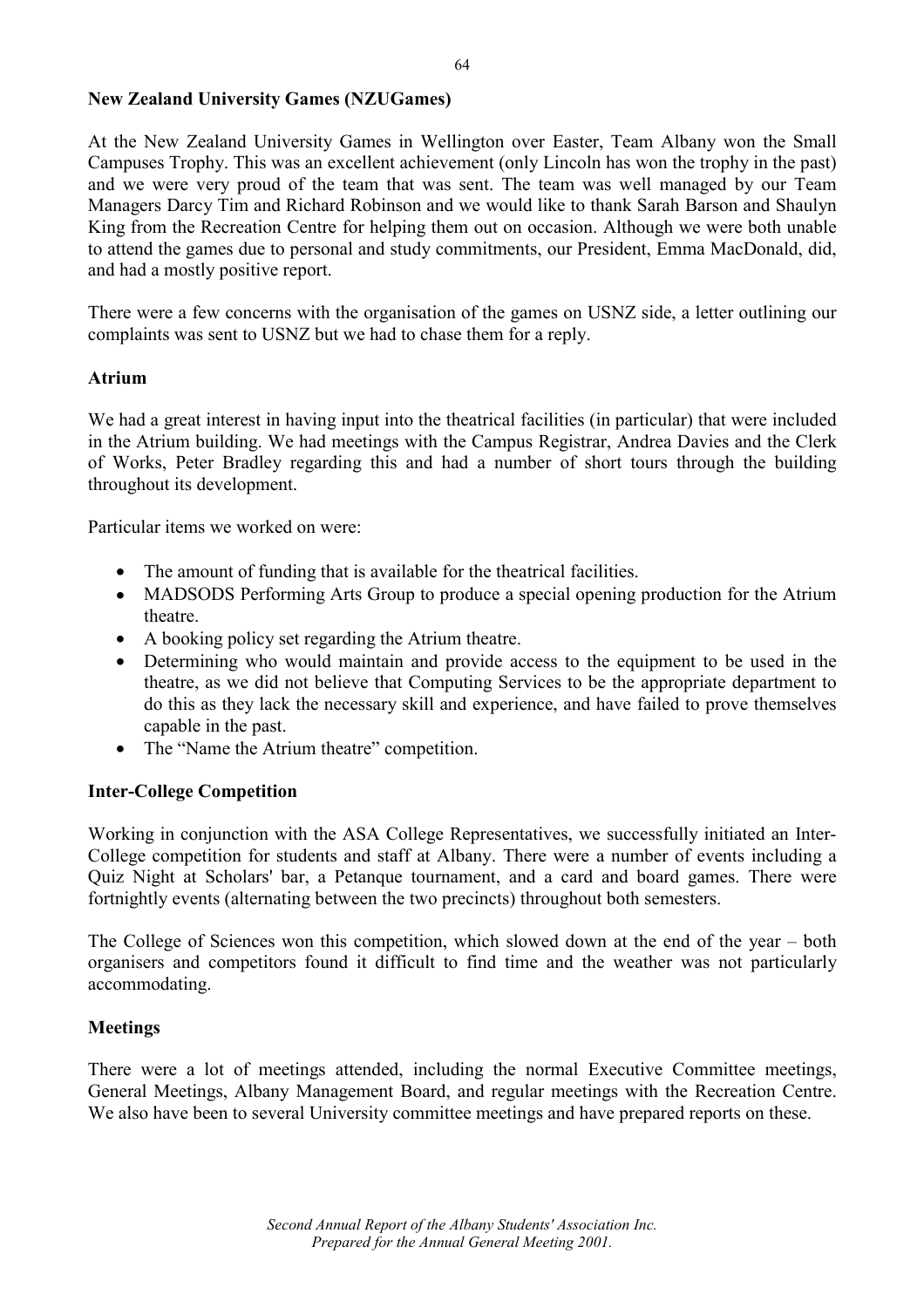#### **New Zealand University Games (NZUGames)**

At the New Zealand University Games in Wellington over Easter, Team Albany won the Small Campuses Trophy. This was an excellent achievement (only Lincoln has won the trophy in the past) and we were very proud of the team that was sent. The team was well managed by our Team Managers Darcy Tim and Richard Robinson and we would like to thank Sarah Barson and Shaulyn King from the Recreation Centre for helping them out on occasion. Although we were both unable to attend the games due to personal and study commitments, our President, Emma MacDonald, did, and had a mostly positive report.

There were a few concerns with the organisation of the games on USNZ side, a letter outlining our complaints was sent to USNZ but we had to chase them for a reply.

#### **Atrium**

We had a great interest in having input into the theatrical facilities (in particular) that were included in the Atrium building. We had meetings with the Campus Registrar, Andrea Davies and the Clerk of Works, Peter Bradley regarding this and had a number of short tours through the building throughout its development.

Particular items we worked on were:

- The amount of funding that is available for the theatrical facilities.
- MADSODS Performing Arts Group to produce a special opening production for the Atrium theatre.
- A booking policy set regarding the Atrium theatre.
- Determining who would maintain and provide access to the equipment to be used in the theatre, as we did not believe that Computing Services to be the appropriate department to do this as they lack the necessary skill and experience, and have failed to prove themselves capable in the past.
- The "Name the Atrium theatre" competition.

#### **Inter-College Competition**

Working in conjunction with the ASA College Representatives, we successfully initiated an Inter-College competition for students and staff at Albany. There were a number of events including a Quiz Night at Scholars' bar, a Petanque tournament, and a card and board games. There were fortnightly events (alternating between the two precincts) throughout both semesters.

The College of Sciences won this competition, which slowed down at the end of the year – both organisers and competitors found it difficult to find time and the weather was not particularly accommodating.

#### **Meetings**

There were a lot of meetings attended, including the normal Executive Committee meetings, General Meetings, Albany Management Board, and regular meetings with the Recreation Centre. We also have been to several University committee meetings and have prepared reports on these.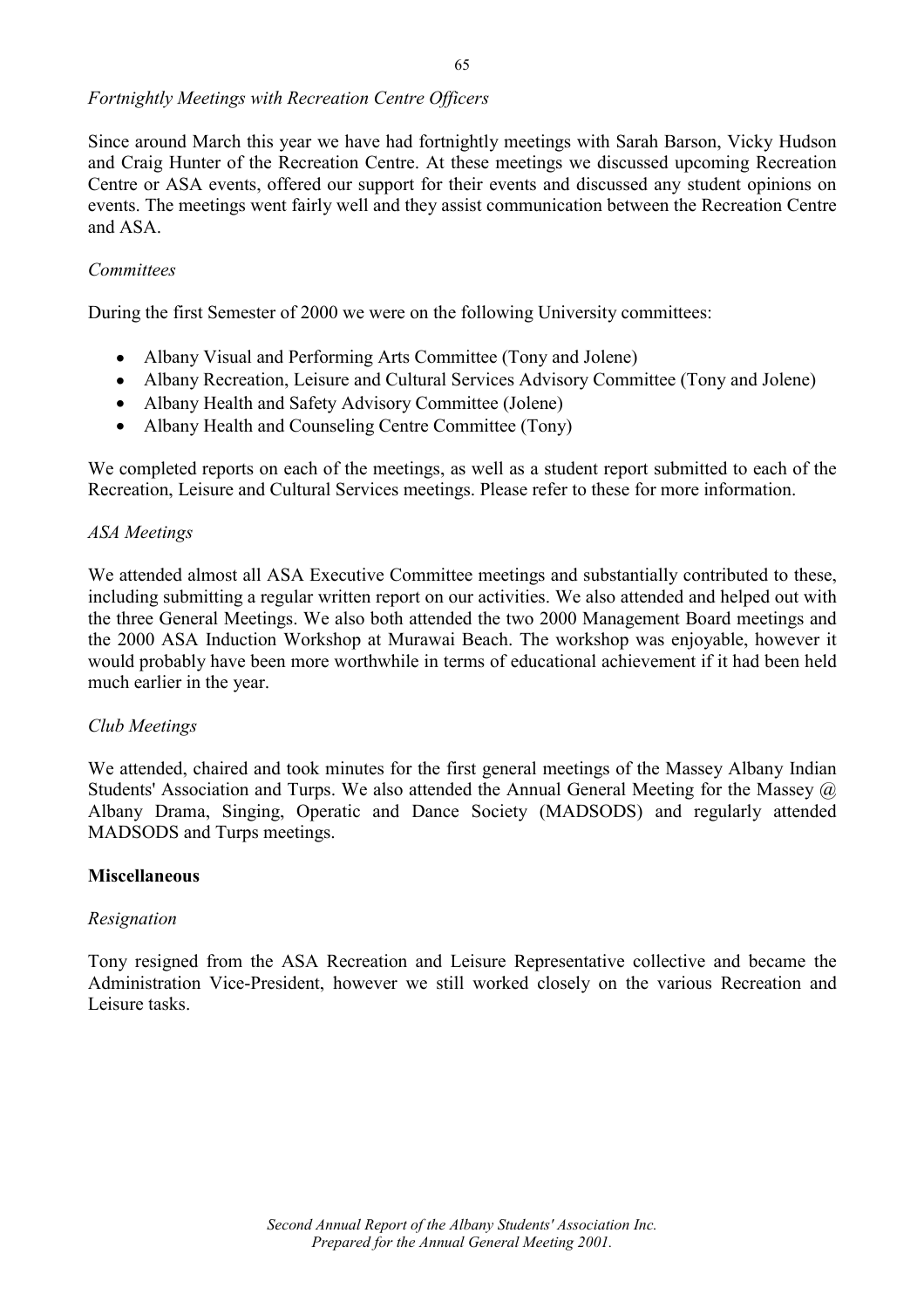#### *Fortnightly Meetings with Recreation Centre Officers*

Since around March this year we have had fortnightly meetings with Sarah Barson, Vicky Hudson and Craig Hunter of the Recreation Centre. At these meetings we discussed upcoming Recreation Centre or ASA events, offered our support for their events and discussed any student opinions on events. The meetings went fairly well and they assist communication between the Recreation Centre and ASA.

#### *Committees*

During the first Semester of 2000 we were on the following University committees:

- Albany Visual and Performing Arts Committee (Tony and Jolene)
- Albany Recreation, Leisure and Cultural Services Advisory Committee (Tony and Jolene)
- Albany Health and Safety Advisory Committee (Jolene)
- Albany Health and Counseling Centre Committee (Tony)

We completed reports on each of the meetings, as well as a student report submitted to each of the Recreation, Leisure and Cultural Services meetings. Please refer to these for more information.

#### *ASA Meetings*

We attended almost all ASA Executive Committee meetings and substantially contributed to these, including submitting a regular written report on our activities. We also attended and helped out with the three General Meetings. We also both attended the two 2000 Management Board meetings and the 2000 ASA Induction Workshop at Murawai Beach. The workshop was enjoyable, however it would probably have been more worthwhile in terms of educational achievement if it had been held much earlier in the year.

#### *Club Meetings*

We attended, chaired and took minutes for the first general meetings of the Massey Albany Indian Students' Association and Turps. We also attended the Annual General Meeting for the Massey  $\omega$ Albany Drama, Singing, Operatic and Dance Society (MADSODS) and regularly attended MADSODS and Turps meetings.

#### **Miscellaneous**

#### *Resignation*

Tony resigned from the ASA Recreation and Leisure Representative collective and became the Administration Vice-President, however we still worked closely on the various Recreation and Leisure tasks.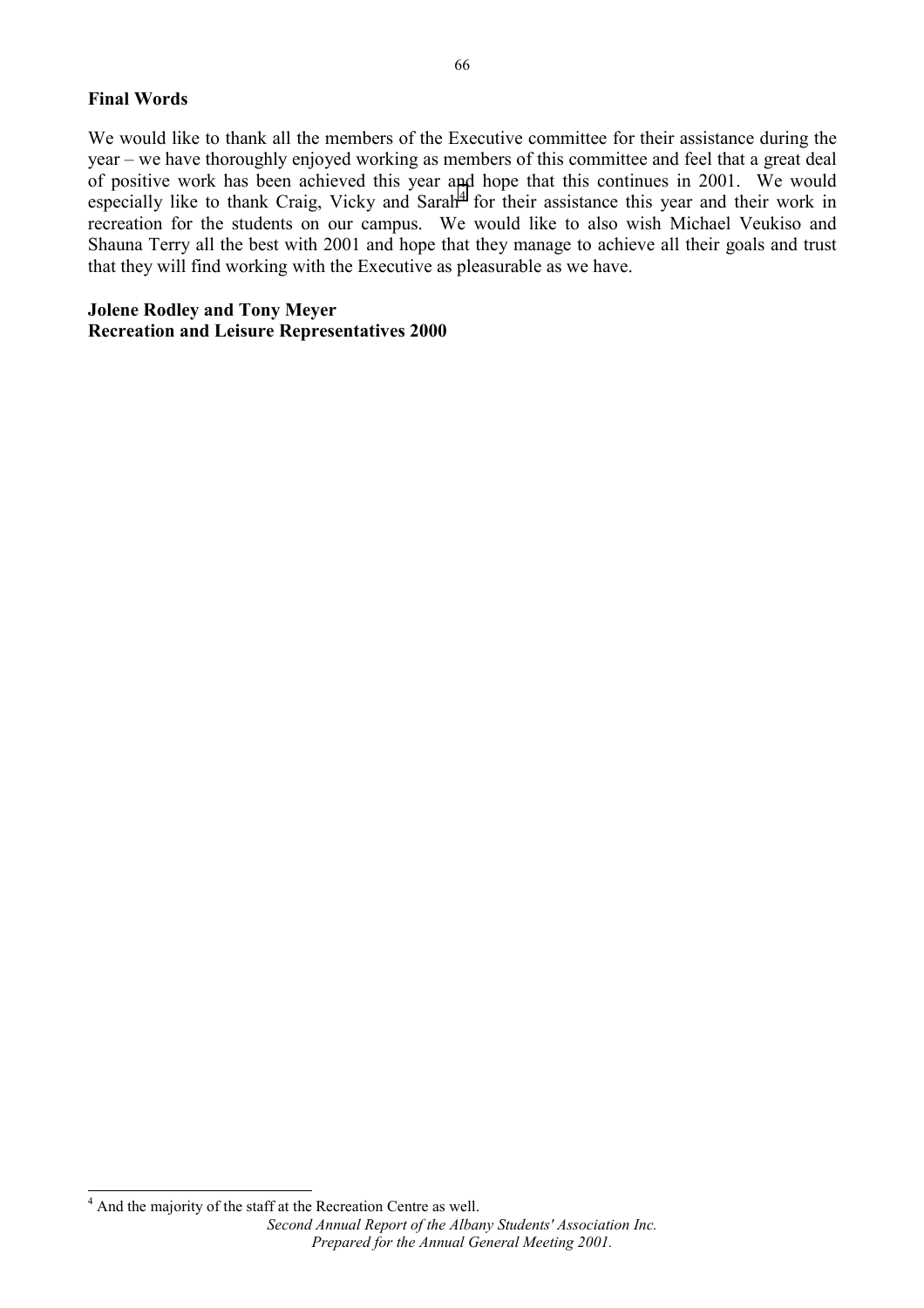#### **Final Words**

We would like to thank all the members of the Executive committee for their assistance during the year – we have thoroughly enjoyed working as members of this committee and feel that a great deal of positive work has been achieved this year and hope that this continues in 2001. We would especially like to thank Craig, Vicky and Sarah<sup>4</sup> for their assistance this year and their work in recreation for the students on our campus. We would like to also wish Michael Veukiso and Shauna Terry all the best with 2001 and hope that they manage to achieve all their goals and trust that they will find working with the Executive as pleasurable as we have.

**Jolene Rodley and Tony Meyer Recreation and Leisure Representatives 2000**

 $\overline{a}$ 

<sup>&</sup>lt;sup>4</sup> And the majority of the staff at the Recreation Centre as well.

*Second Annual Report of the Albany Students' Association Inc. Prepared for the Annual General Meeting 2001.*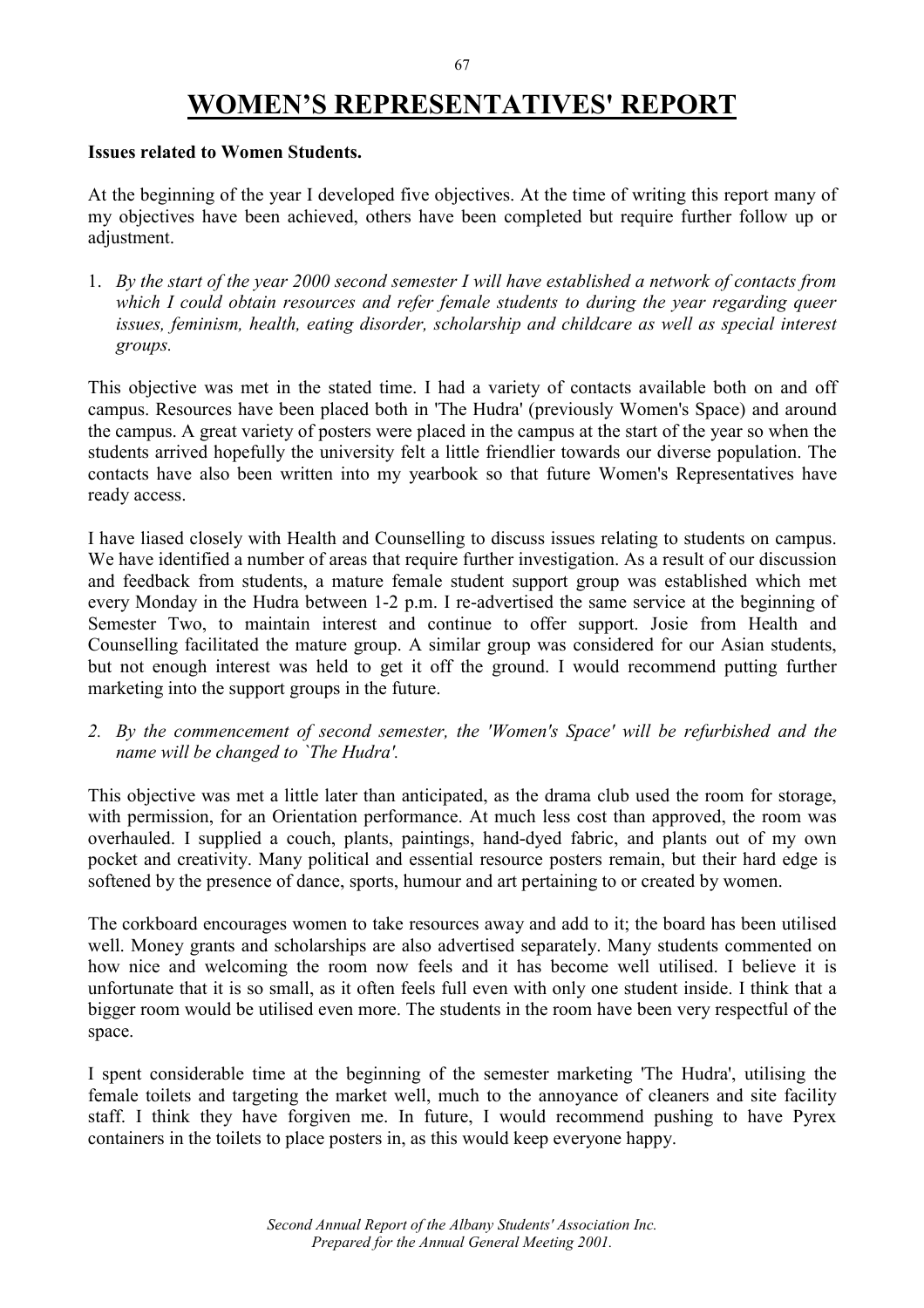## **WOMEN'S REPRESENTATIVES' REPORT**

#### **Issues related to Women Students.**

At the beginning of the year I developed five objectives. At the time of writing this report many of my objectives have been achieved, others have been completed but require further follow up or adjustment.

1. *By the start of the year 2000 second semester I will have established a network of contacts from which I could obtain resources and refer female students to during the year regarding queer issues, feminism, health, eating disorder, scholarship and childcare as well as special interest groups.*

This objective was met in the stated time. I had a variety of contacts available both on and off campus. Resources have been placed both in 'The Hudra' (previously Women's Space) and around the campus. A great variety of posters were placed in the campus at the start of the year so when the students arrived hopefully the university felt a little friendlier towards our diverse population. The contacts have also been written into my yearbook so that future Women's Representatives have ready access.

I have liased closely with Health and Counselling to discuss issues relating to students on campus. We have identified a number of areas that require further investigation. As a result of our discussion and feedback from students, a mature female student support group was established which met every Monday in the Hudra between 1-2 p.m. I re-advertised the same service at the beginning of Semester Two, to maintain interest and continue to offer support. Josie from Health and Counselling facilitated the mature group. A similar group was considered for our Asian students, but not enough interest was held to get it off the ground. I would recommend putting further marketing into the support groups in the future.

*2. By the commencement of second semester, the 'Women's Space' will be refurbished and the name will be changed to `The Hudra'.*

This objective was met a little later than anticipated, as the drama club used the room for storage, with permission, for an Orientation performance. At much less cost than approved, the room was overhauled. I supplied a couch, plants, paintings, hand-dyed fabric, and plants out of my own pocket and creativity. Many political and essential resource posters remain, but their hard edge is softened by the presence of dance, sports, humour and art pertaining to or created by women.

The corkboard encourages women to take resources away and add to it; the board has been utilised well. Money grants and scholarships are also advertised separately. Many students commented on how nice and welcoming the room now feels and it has become well utilised. I believe it is unfortunate that it is so small, as it often feels full even with only one student inside. I think that a bigger room would be utilised even more. The students in the room have been very respectful of the space.

I spent considerable time at the beginning of the semester marketing 'The Hudra', utilising the female toilets and targeting the market well, much to the annoyance of cleaners and site facility staff. I think they have forgiven me. In future, I would recommend pushing to have Pyrex containers in the toilets to place posters in, as this would keep everyone happy.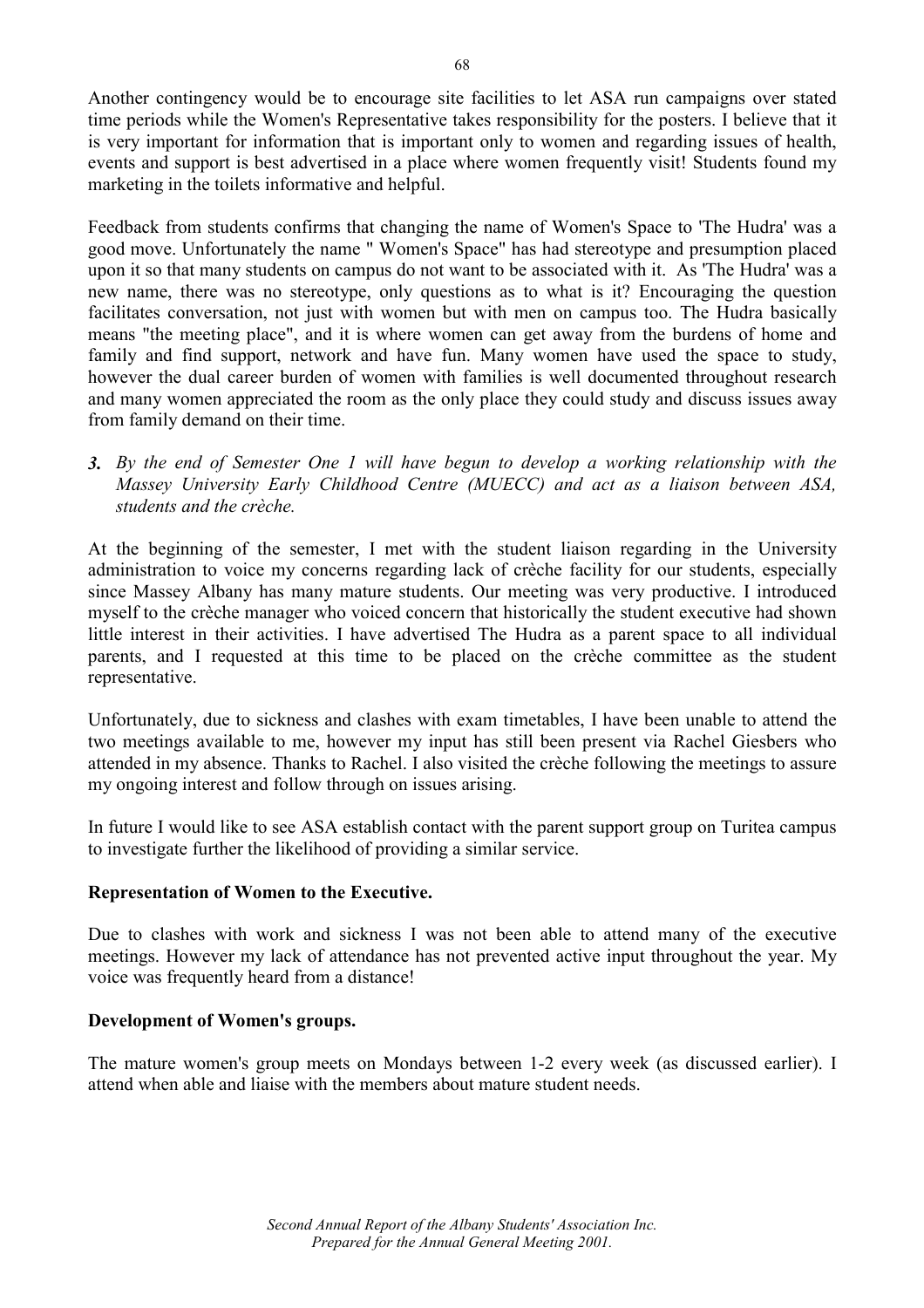Another contingency would be to encourage site facilities to let ASA run campaigns over stated time periods while the Women's Representative takes responsibility for the posters. I believe that it is very important for information that is important only to women and regarding issues of health, events and support is best advertised in a place where women frequently visit! Students found my marketing in the toilets informative and helpful.

Feedback from students confirms that changing the name of Women's Space to 'The Hudra' was a good move. Unfortunately the name " Women's Space" has had stereotype and presumption placed upon it so that many students on campus do not want to be associated with it. As 'The Hudra' was a new name, there was no stereotype, only questions as to what is it? Encouraging the question facilitates conversation, not just with women but with men on campus too. The Hudra basically means "the meeting place", and it is where women can get away from the burdens of home and family and find support, network and have fun. Many women have used the space to study, however the dual career burden of women with families is well documented throughout research and many women appreciated the room as the only place they could study and discuss issues away from family demand on their time.

*3. By the end of Semester One 1 will have begun to develop a working relationship with the Massey University Early Childhood Centre (MUECC) and act as a liaison between ASA, students and the crèche.*

At the beginning of the semester, I met with the student liaison regarding in the University administration to voice my concerns regarding lack of crèche facility for our students, especially since Massey Albany has many mature students. Our meeting was very productive. I introduced myself to the crèche manager who voiced concern that historically the student executive had shown little interest in their activities. I have advertised The Hudra as a parent space to all individual parents, and I requested at this time to be placed on the crèche committee as the student representative.

Unfortunately, due to sickness and clashes with exam timetables, I have been unable to attend the two meetings available to me, however my input has still been present via Rachel Giesbers who attended in my absence. Thanks to Rachel. I also visited the crèche following the meetings to assure my ongoing interest and follow through on issues arising.

In future I would like to see ASA establish contact with the parent support group on Turitea campus to investigate further the likelihood of providing a similar service.

#### **Representation of Women to the Executive.**

Due to clashes with work and sickness I was not been able to attend many of the executive meetings. However my lack of attendance has not prevented active input throughout the year. My voice was frequently heard from a distance!

#### **Development of Women's groups.**

The mature women's group meets on Mondays between 1-2 every week (as discussed earlier). I attend when able and liaise with the members about mature student needs.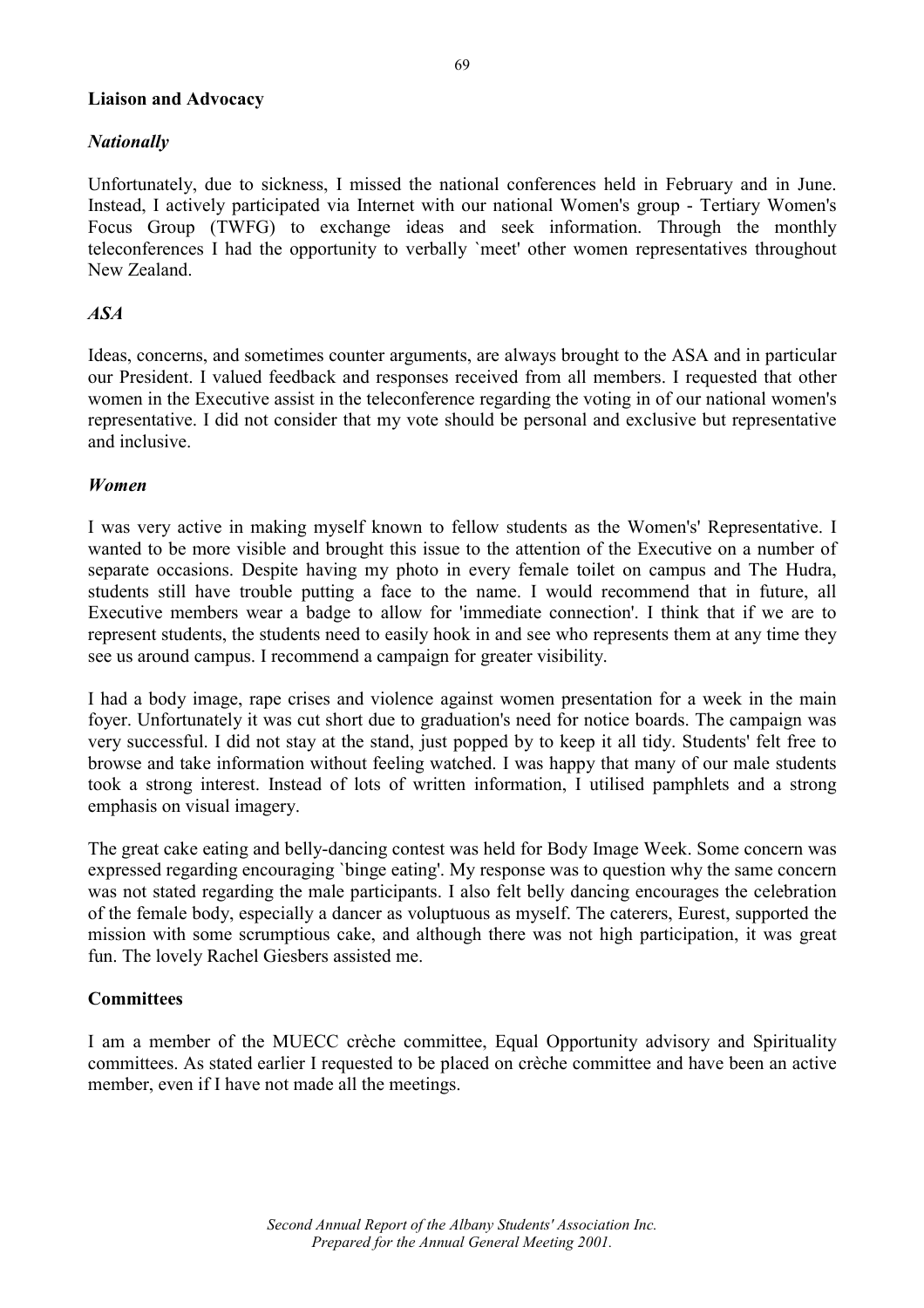#### **Liaison and Advocacy**

#### *Nationally*

Unfortunately, due to sickness, I missed the national conferences held in February and in June. Instead, I actively participated via Internet with our national Women's group - Tertiary Women's Focus Group (TWFG) to exchange ideas and seek information. Through the monthly teleconferences I had the opportunity to verbally `meet' other women representatives throughout New Zealand.

#### *ASA*

Ideas, concerns, and sometimes counter arguments, are always brought to the ASA and in particular our President. I valued feedback and responses received from all members. I requested that other women in the Executive assist in the teleconference regarding the voting in of our national women's representative. I did not consider that my vote should be personal and exclusive but representative and inclusive.

#### *Women*

I was very active in making myself known to fellow students as the Women's' Representative. I wanted to be more visible and brought this issue to the attention of the Executive on a number of separate occasions. Despite having my photo in every female toilet on campus and The Hudra, students still have trouble putting a face to the name. I would recommend that in future, all Executive members wear a badge to allow for 'immediate connection'. I think that if we are to represent students, the students need to easily hook in and see who represents them at any time they see us around campus. I recommend a campaign for greater visibility.

I had a body image, rape crises and violence against women presentation for a week in the main foyer. Unfortunately it was cut short due to graduation's need for notice boards. The campaign was very successful. I did not stay at the stand, just popped by to keep it all tidy. Students' felt free to browse and take information without feeling watched. I was happy that many of our male students took a strong interest. Instead of lots of written information, I utilised pamphlets and a strong emphasis on visual imagery.

The great cake eating and belly-dancing contest was held for Body Image Week. Some concern was expressed regarding encouraging `binge eating'. My response was to question why the same concern was not stated regarding the male participants. I also felt belly dancing encourages the celebration of the female body, especially a dancer as voluptuous as myself. The caterers, Eurest, supported the mission with some scrumptious cake, and although there was not high participation, it was great fun. The lovely Rachel Giesbers assisted me.

#### **Committees**

I am a member of the MUECC crèche committee, Equal Opportunity advisory and Spirituality committees. As stated earlier I requested to be placed on crèche committee and have been an active member, even if I have not made all the meetings.